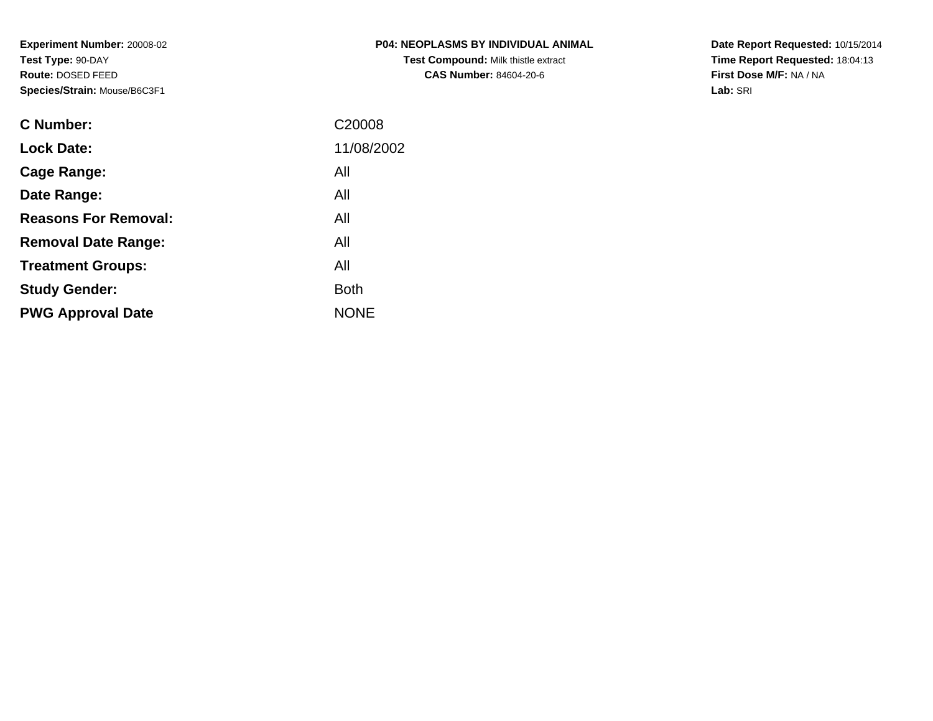**Experiment Number:** 20008-02**Test Type:** 90-DAY **Route:** DOSED FEED**Species/Strain:** Mouse/B6C3F1

| <b>P04: NEOPLASMS BY INDIVIDUAL ANIMAL</b> |
|--------------------------------------------|
| <b>Test Compound: Milk thistle extract</b> |
| <b>CAS Number: 84604-20-6</b>              |

**Date Report Requested:** 10/15/2014 **Time Report Requested:** 18:04:13**First Dose M/F:** NA / NA**Lab:** SRI

| <b>C</b> Number:            | C <sub>20008</sub> |
|-----------------------------|--------------------|
| <b>Lock Date:</b>           | 11/08/2002         |
| Cage Range:                 | All                |
| Date Range:                 | All                |
| <b>Reasons For Removal:</b> | All                |
| <b>Removal Date Range:</b>  | All                |
| <b>Treatment Groups:</b>    | All                |
| <b>Study Gender:</b>        | <b>Both</b>        |
| <b>PWG Approval Date</b>    | <b>NONE</b>        |
|                             |                    |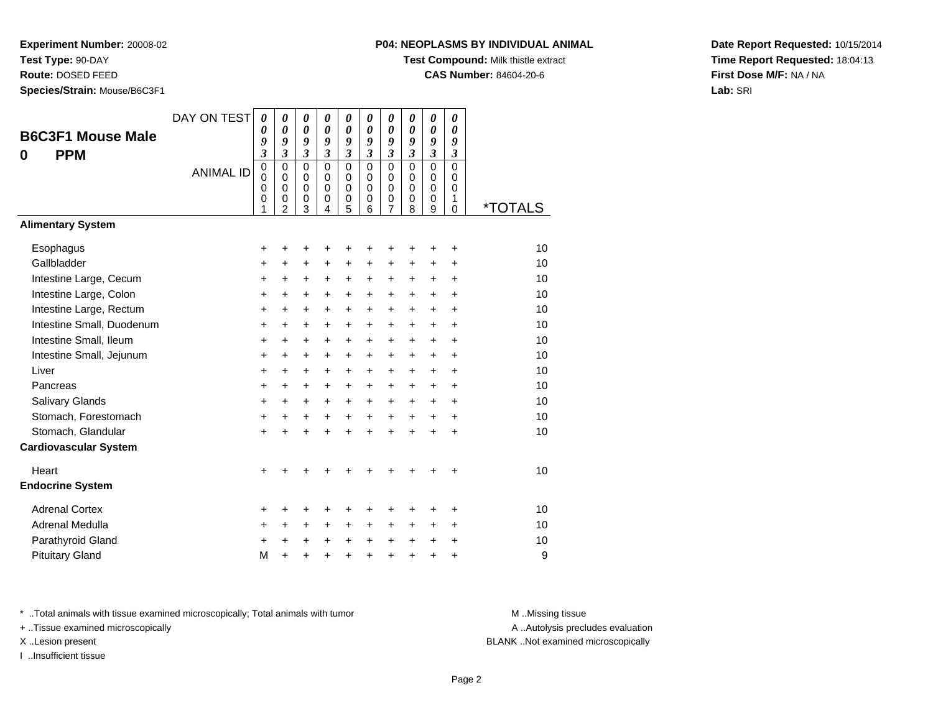**Test Type:** 90-DAY

**Route:** DOSED FEED

**Species/Strain:** Mouse/B6C3F1

**Test Compound:** Milk thistle extract

**CAS Number:** 84604-20-6

**Date Report Requested:** 10/15/2014**Time Report Requested:** 18:04:13**First Dose M/F:** NA / NA**Lab:** SRI

| <b>B6C3F1 Mouse Male</b><br><b>PPM</b><br>0 | DAY ON TEST<br><b>ANIMAL ID</b> | $\boldsymbol{\theta}$<br>0<br>9<br>$\overline{\mathbf{3}}$<br>$\mathbf 0$<br>$\mathbf 0$<br>0<br>$\boldsymbol{0}$<br>1 | 0<br>$\boldsymbol{\theta}$<br>9<br>$\overline{\mathbf{3}}$<br>$\mathbf 0$<br>$\mathbf 0$<br>$\mathbf 0$<br>0<br>$\overline{2}$ | 0<br>$\boldsymbol{\theta}$<br>9<br>$\mathfrak{z}$<br>$\mathbf 0$<br>$\Omega$<br>$\mathbf 0$<br>0<br>3 | $\boldsymbol{\theta}$<br>$\boldsymbol{\theta}$<br>9<br>$\mathfrak{z}$<br>$\overline{0}$<br>$\Omega$<br>$\mathbf 0$<br>$\mathbf 0$<br>4 | 0<br>$\boldsymbol{\theta}$<br>9<br>$\mathfrak{z}$<br>$\overline{0}$<br>0<br>0<br>$\mathbf 0$<br>5 | 0<br>$\boldsymbol{\theta}$<br>9<br>$\mathfrak{z}$<br>$\overline{0}$<br>$\Omega$<br>$\mathbf 0$<br>$\mathbf 0$<br>6 | 0<br>$\boldsymbol{\theta}$<br>9<br>$\overline{\mathbf{3}}$<br>$\overline{0}$<br>$\mathbf 0$<br>$\mathbf 0$<br>0<br>7 | 0<br>$\boldsymbol{\theta}$<br>9<br>$\mathfrak{z}$<br>$\overline{0}$<br>0<br>$\mathbf 0$<br>$\mathbf 0$<br>8 | $\boldsymbol{\theta}$<br>$\boldsymbol{\theta}$<br>9<br>$\overline{\mathbf{3}}$<br>$\overline{0}$<br>0<br>$\mathbf 0$<br>$\mathbf 0$<br>9 | 0<br>0<br>9<br>$\mathfrak{z}$<br>$\overline{0}$<br>$\Omega$<br>$\mathbf 0$<br>1<br>$\Omega$ | <i><b>*TOTALS</b></i> |
|---------------------------------------------|---------------------------------|------------------------------------------------------------------------------------------------------------------------|--------------------------------------------------------------------------------------------------------------------------------|-------------------------------------------------------------------------------------------------------|----------------------------------------------------------------------------------------------------------------------------------------|---------------------------------------------------------------------------------------------------|--------------------------------------------------------------------------------------------------------------------|----------------------------------------------------------------------------------------------------------------------|-------------------------------------------------------------------------------------------------------------|------------------------------------------------------------------------------------------------------------------------------------------|---------------------------------------------------------------------------------------------|-----------------------|
| <b>Alimentary System</b>                    |                                 |                                                                                                                        |                                                                                                                                |                                                                                                       |                                                                                                                                        |                                                                                                   |                                                                                                                    |                                                                                                                      |                                                                                                             |                                                                                                                                          |                                                                                             |                       |
| Esophagus                                   |                                 | +                                                                                                                      | +                                                                                                                              | +                                                                                                     | +                                                                                                                                      | +                                                                                                 | +                                                                                                                  | +                                                                                                                    |                                                                                                             | ٠                                                                                                                                        | +                                                                                           | 10                    |
| Gallbladder                                 |                                 | $\ddot{}$                                                                                                              | $\ddot{}$                                                                                                                      | $\ddot{}$                                                                                             | $\ddot{}$                                                                                                                              | $\ddot{}$                                                                                         | $\ddot{}$                                                                                                          | $\ddot{}$                                                                                                            | $\ddot{}$                                                                                                   | $\ddot{}$                                                                                                                                | $\ddot{}$                                                                                   | 10                    |
| Intestine Large, Cecum                      |                                 | $\ddot{}$                                                                                                              | +                                                                                                                              | $\ddot{}$                                                                                             | $\ddot{}$                                                                                                                              | $\ddot{}$                                                                                         | +                                                                                                                  | +                                                                                                                    | $\ddot{}$                                                                                                   | $+$                                                                                                                                      | $\ddot{}$                                                                                   | 10                    |
| Intestine Large, Colon                      |                                 | $\ddot{}$                                                                                                              | $\ddot{}$                                                                                                                      | $\ddot{}$                                                                                             | $\ddot{}$                                                                                                                              | $\ddot{}$                                                                                         | $\ddot{}$                                                                                                          | $\ddot{}$                                                                                                            | $\ddot{}$                                                                                                   | $+$                                                                                                                                      | $\ddot{}$                                                                                   | 10                    |
| Intestine Large, Rectum                     |                                 | +                                                                                                                      | +                                                                                                                              | +                                                                                                     | +                                                                                                                                      | +                                                                                                 | +                                                                                                                  | +                                                                                                                    | +                                                                                                           | +                                                                                                                                        | $\ddot{}$                                                                                   | 10                    |
| Intestine Small, Duodenum                   |                                 | $\ddot{}$                                                                                                              | $\ddot{}$                                                                                                                      | $\ddot{}$                                                                                             | $\ddot{}$                                                                                                                              | $\ddot{}$                                                                                         | $\ddot{}$                                                                                                          | $\ddot{}$                                                                                                            | $\ddot{}$                                                                                                   | $\ddot{}$                                                                                                                                | $\ddot{}$                                                                                   | 10                    |
| Intestine Small, Ileum                      |                                 | $\ddot{}$                                                                                                              | $\ddot{}$                                                                                                                      | $\ddot{}$                                                                                             | $\ddot{}$                                                                                                                              | $\ddot{}$                                                                                         | $\ddot{}$                                                                                                          | $\ddot{}$                                                                                                            | $\ddot{}$                                                                                                   | $\ddot{}$                                                                                                                                | $\ddot{}$                                                                                   | 10                    |
| Intestine Small, Jejunum                    |                                 | $\ddot{}$                                                                                                              | $\ddot{}$                                                                                                                      | $\ddot{}$                                                                                             | $\ddot{}$                                                                                                                              | $+$                                                                                               | $\ddot{}$                                                                                                          | $\ddot{}$                                                                                                            | $+$                                                                                                         | $+$                                                                                                                                      | $\ddot{}$                                                                                   | 10                    |
| Liver                                       |                                 | $\ddot{}$                                                                                                              | $\ddot{}$                                                                                                                      | $\ddot{}$                                                                                             | $\ddot{}$                                                                                                                              | $\ddot{}$                                                                                         | $\ddot{}$                                                                                                          | $\ddot{}$                                                                                                            | $\ddot{}$                                                                                                   | $+$                                                                                                                                      | $\ddot{}$                                                                                   | 10                    |
| Pancreas                                    |                                 | $\ddot{}$                                                                                                              | +                                                                                                                              | +                                                                                                     | $\ddot{}$                                                                                                                              | $\ddot{}$                                                                                         | $\ddot{}$                                                                                                          | $\ddot{}$                                                                                                            | $\ddot{}$                                                                                                   | $\ddot{}$                                                                                                                                | $\ddot{}$                                                                                   | 10                    |
| Salivary Glands                             |                                 | $\ddot{}$                                                                                                              | $\ddot{}$                                                                                                                      | $\ddot{}$                                                                                             | $\ddot{}$                                                                                                                              | $\ddot{}$                                                                                         | $+$                                                                                                                | $\ddot{}$                                                                                                            | $+$                                                                                                         | $+$                                                                                                                                      | $\ddot{}$                                                                                   | 10                    |
| Stomach, Forestomach                        |                                 | +                                                                                                                      | +                                                                                                                              | +                                                                                                     | $\ddot{}$                                                                                                                              | $\ddot{}$                                                                                         | $\ddot{}$                                                                                                          | $\ddot{}$                                                                                                            | $\ddot{}$                                                                                                   | $\ddot{}$                                                                                                                                | $\ddot{}$                                                                                   | 10                    |
| Stomach, Glandular                          |                                 | $\ddot{}$                                                                                                              | $\ddot{}$                                                                                                                      | $\ddot{}$                                                                                             | $\ddot{}$                                                                                                                              | $\ddot{}$                                                                                         | $\ddot{}$                                                                                                          | $\ddot{}$                                                                                                            | ÷                                                                                                           | $\ddot{}$                                                                                                                                | ÷                                                                                           | 10                    |
| <b>Cardiovascular System</b>                |                                 |                                                                                                                        |                                                                                                                                |                                                                                                       |                                                                                                                                        |                                                                                                   |                                                                                                                    |                                                                                                                      |                                                                                                             |                                                                                                                                          |                                                                                             |                       |
| Heart                                       |                                 | +                                                                                                                      |                                                                                                                                | +                                                                                                     |                                                                                                                                        |                                                                                                   |                                                                                                                    |                                                                                                                      |                                                                                                             |                                                                                                                                          | ٠                                                                                           | 10                    |
| <b>Endocrine System</b>                     |                                 |                                                                                                                        |                                                                                                                                |                                                                                                       |                                                                                                                                        |                                                                                                   |                                                                                                                    |                                                                                                                      |                                                                                                             |                                                                                                                                          |                                                                                             |                       |
| <b>Adrenal Cortex</b>                       |                                 | +                                                                                                                      | +                                                                                                                              | +                                                                                                     | +                                                                                                                                      | +                                                                                                 | +                                                                                                                  | +                                                                                                                    | ٠                                                                                                           | +                                                                                                                                        | ٠                                                                                           | 10                    |
| Adrenal Medulla                             |                                 | +                                                                                                                      | $\ddot{}$                                                                                                                      | $\ddot{}$                                                                                             | $\ddot{}$                                                                                                                              | $\ddot{}$                                                                                         | $\ddot{}$                                                                                                          | $\ddot{}$                                                                                                            | $\ddot{}$                                                                                                   | $+$                                                                                                                                      | $\ddot{}$                                                                                   | 10                    |
| Parathyroid Gland                           |                                 | +                                                                                                                      | +                                                                                                                              | +                                                                                                     | +                                                                                                                                      | +                                                                                                 | +                                                                                                                  | +                                                                                                                    | $\ddot{}$                                                                                                   | $\ddot{}$                                                                                                                                | +                                                                                           | 10                    |
| <b>Pituitary Gland</b>                      |                                 | M                                                                                                                      | $\ddot{}$                                                                                                                      | $\ddot{}$                                                                                             | +                                                                                                                                      | $\ddot{}$                                                                                         | ÷                                                                                                                  | $\ddot{}$                                                                                                            | ÷                                                                                                           | $\ddot{}$                                                                                                                                | +                                                                                           | 9                     |

\* ..Total animals with tissue examined microscopically; Total animals with tumor **M** . Missing tissue M ..Missing tissue

+ ..Tissue examined microscopically

I ..Insufficient tissue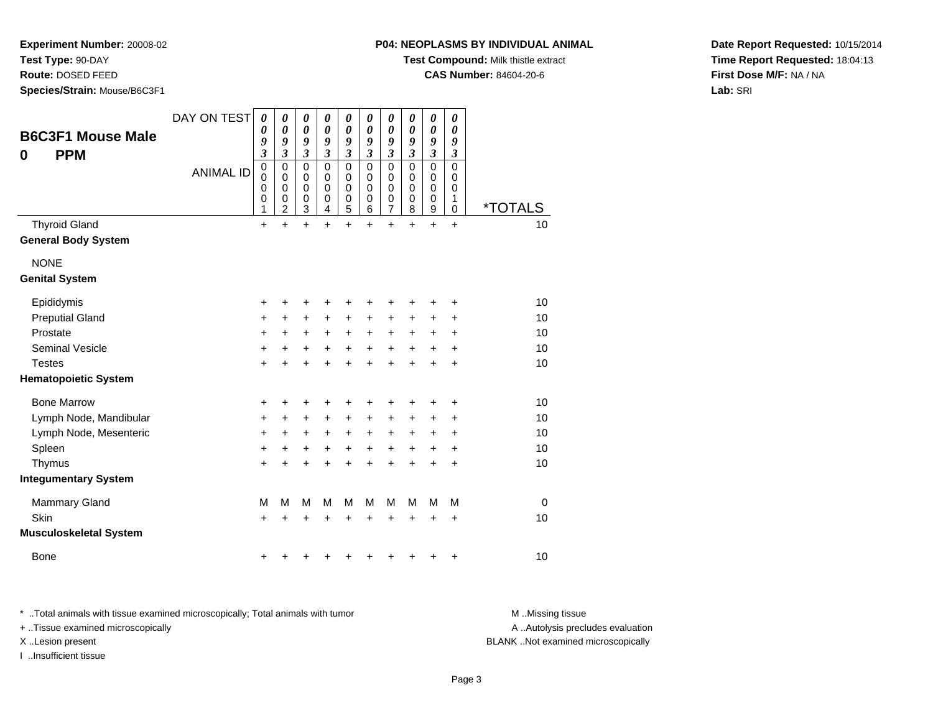**Test Type:** 90-DAY

**Route:** DOSED FEED

**Species/Strain:** Mouse/B6C3F1

#### **P04: NEOPLASMS BY INDIVIDUAL ANIMAL**

**Test Compound:** Milk thistle extract

**CAS Number:** 84604-20-6

**Date Report Requested:** 10/15/2014**Time Report Requested:** 18:04:13**First Dose M/F:** NA / NA**Lab:** SRI

| <b>B6C3F1 Mouse Male</b><br><b>PPM</b><br>0        | DAY ON TEST      | $\boldsymbol{\theta}$<br>0<br>9<br>$\overline{\mathbf{3}}$<br>$\pmb{0}$ | 0<br>0<br>9<br>$\overline{\mathbf{3}}$<br>0 | 0<br>0<br>9<br>$\overline{\mathbf{3}}$<br>$\mathbf 0$ | 0<br>$\boldsymbol{\theta}$<br>9<br>$\overline{\mathbf{3}}$<br>$\mathbf 0$ | 0<br>$\boldsymbol{\theta}$<br>9<br>$\mathfrak{z}$<br>$\mathbf 0$ | 0<br>0<br>9<br>$\overline{\mathbf{3}}$<br>$\mathbf 0$ | 0<br>$\boldsymbol{\theta}$<br>9<br>$\mathfrak{z}$<br>$\mathbf 0$ | 0<br>0<br>9<br>$\mathfrak{z}$<br>$\mathbf 0$ | 0<br>$\boldsymbol{\theta}$<br>9<br>$\mathfrak{z}$<br>$\mathbf 0$ | 0<br>0<br>9<br>$\boldsymbol{\mathfrak{z}}$<br>$\mathbf 0$ |                       |
|----------------------------------------------------|------------------|-------------------------------------------------------------------------|---------------------------------------------|-------------------------------------------------------|---------------------------------------------------------------------------|------------------------------------------------------------------|-------------------------------------------------------|------------------------------------------------------------------|----------------------------------------------|------------------------------------------------------------------|-----------------------------------------------------------|-----------------------|
|                                                    | <b>ANIMAL ID</b> | $\mathbf 0$<br>$\mathbf 0$<br>0<br>1                                    | 0<br>0<br>0<br>$\overline{c}$               | $\mathbf 0$<br>$\pmb{0}$<br>$\pmb{0}$<br>3            | 0<br>0<br>0<br>4                                                          | $\mathbf 0$<br>$\mathbf 0$<br>$\pmb{0}$<br>5                     | 0<br>$\pmb{0}$<br>0<br>6                              | 0<br>$\mathbf 0$<br>$\pmb{0}$<br>$\overline{7}$                  | 0<br>$\mathbf 0$<br>0<br>8                   | 0<br>$\mathbf 0$<br>$\pmb{0}$<br>$\boldsymbol{9}$                | $\mathbf 0$<br>$\pmb{0}$<br>1<br>$\mathbf 0$              | <i><b>*TOTALS</b></i> |
| <b>Thyroid Gland</b><br><b>General Body System</b> |                  | +                                                                       | $\ddot{}$                                   | $\ddot{}$                                             | $\ddot{}$                                                                 | $\ddot{}$                                                        | $\ddot{}$                                             | $\ddot{}$                                                        | $\ddot{}$                                    | $\ddot{}$                                                        | $\ddot{}$                                                 | 10                    |
| <b>NONE</b><br><b>Genital System</b>               |                  |                                                                         |                                             |                                                       |                                                                           |                                                                  |                                                       |                                                                  |                                              |                                                                  |                                                           |                       |
| Epididymis                                         |                  | +                                                                       | +                                           | +                                                     | +                                                                         | +                                                                |                                                       | +                                                                |                                              | +                                                                | +                                                         | 10                    |
| <b>Preputial Gland</b>                             |                  | +                                                                       | +                                           | +                                                     | +                                                                         | +                                                                | +                                                     | +                                                                | +                                            | +                                                                | +                                                         | 10                    |
| Prostate                                           |                  | +                                                                       | +                                           | $\ddot{}$                                             | $\ddot{}$                                                                 | $\ddot{}$                                                        | $\ddot{}$                                             | $\ddot{}$                                                        | $\pm$                                        | +                                                                | $\ddot{}$                                                 | 10                    |
| <b>Seminal Vesicle</b>                             |                  | +                                                                       | +                                           | +                                                     | +                                                                         | +                                                                | +                                                     | $\ddot{}$                                                        | +                                            | +                                                                | +                                                         | 10                    |
| <b>Testes</b>                                      |                  | $\pm$                                                                   | +                                           | +                                                     | +                                                                         | +                                                                | +                                                     | +                                                                |                                              | +                                                                | $\ddot{}$                                                 | 10                    |
| <b>Hematopoietic System</b>                        |                  |                                                                         |                                             |                                                       |                                                                           |                                                                  |                                                       |                                                                  |                                              |                                                                  |                                                           |                       |
| <b>Bone Marrow</b>                                 |                  | +                                                                       | +                                           | +                                                     | +                                                                         | +                                                                |                                                       | +                                                                |                                              |                                                                  | +                                                         | 10                    |
| Lymph Node, Mandibular                             |                  | +                                                                       | +                                           | +                                                     | +                                                                         | +                                                                | +                                                     | $\ddot{}$                                                        | +                                            | +                                                                | +                                                         | 10                    |
| Lymph Node, Mesenteric                             |                  | +                                                                       | +                                           | +                                                     | +                                                                         | $\ddot{}$                                                        | +                                                     | $\ddot{}$                                                        | +                                            | +                                                                | +                                                         | 10                    |
| Spleen                                             |                  | $\ddot{}$                                                               | +                                           | +                                                     | +                                                                         | +                                                                | +                                                     | $\ddot{}$                                                        | +                                            | $\ddot{}$                                                        | +                                                         | 10                    |
| Thymus                                             |                  | +                                                                       | +                                           | +                                                     | +                                                                         | +                                                                |                                                       | +                                                                |                                              | $\ddot{}$                                                        | $\ddot{}$                                                 | 10                    |
| <b>Integumentary System</b>                        |                  |                                                                         |                                             |                                                       |                                                                           |                                                                  |                                                       |                                                                  |                                              |                                                                  |                                                           |                       |
| <b>Mammary Gland</b>                               |                  | M                                                                       | M                                           | M                                                     | М                                                                         | M                                                                | M                                                     | M                                                                | M                                            | M                                                                | M                                                         | $\mathbf 0$           |
| Skin                                               |                  | +                                                                       | +                                           | +                                                     | +                                                                         | +                                                                |                                                       | +                                                                | +                                            | ٠                                                                | +                                                         | 10                    |
| <b>Musculoskeletal System</b>                      |                  |                                                                         |                                             |                                                       |                                                                           |                                                                  |                                                       |                                                                  |                                              |                                                                  |                                                           |                       |
| Bone                                               |                  | +                                                                       |                                             |                                                       |                                                                           |                                                                  |                                                       |                                                                  |                                              |                                                                  | +                                                         | 10                    |

\* ..Total animals with tissue examined microscopically; Total animals with tumor **M** . Missing tissue M ..Missing tissue

+ ..Tissue examined microscopically

I ..Insufficient tissue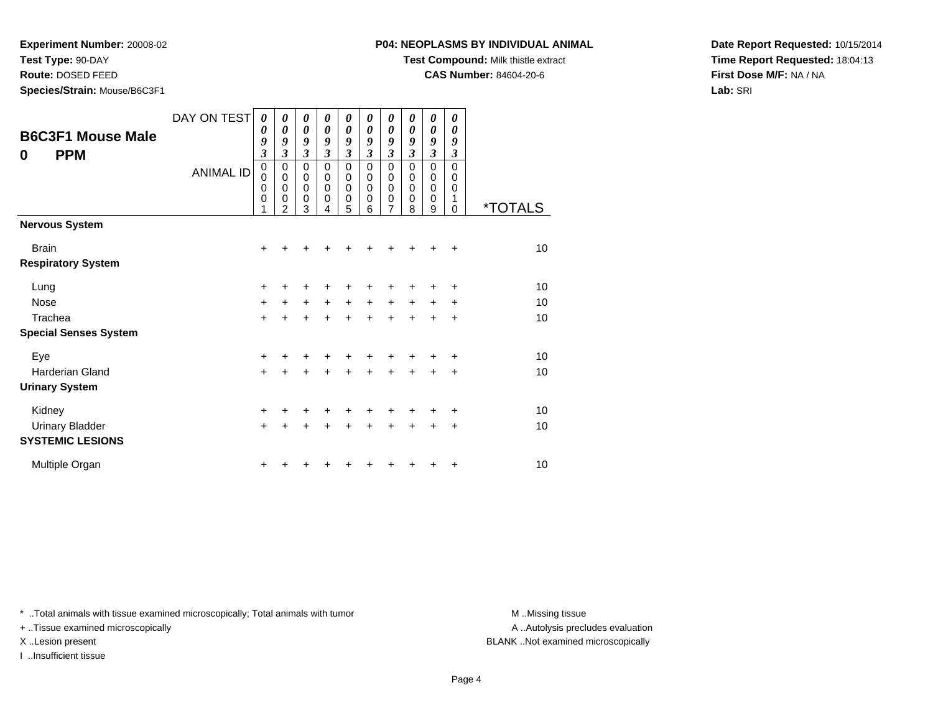**Test Type:** 90-DAY

**Route:** DOSED FEED

**Species/Strain:** Mouse/B6C3F1

#### **P04: NEOPLASMS BY INDIVIDUAL ANIMAL**

**Test Compound:** Milk thistle extract

**CAS Number:** 84604-20-6

**Date Report Requested:** 10/15/2014**Time Report Requested:** 18:04:13**First Dose M/F:** NA / NA**Lab:** SRI

| <b>B6C3F1 Mouse Male</b><br><b>PPM</b><br>0 | DAY ON TEST<br><b>ANIMAL ID</b> | 0<br>0<br>9<br>$\overline{\mathbf{3}}$<br>$\mathbf 0$<br>0<br>0<br>$\mathbf 0$ | 0<br>$\boldsymbol{\theta}$<br>9<br>3<br>$\mathbf 0$<br>$\mathbf 0$<br>$\pmb{0}$<br>0<br>$\overline{2}$ | 0<br>$\boldsymbol{\theta}$<br>9<br>$\boldsymbol{\beta}$<br>0<br>0<br>$\mathbf 0$<br>0<br>3 | 0<br>0<br>9<br>3<br>0<br>0<br>$\mathbf 0$<br>0<br>4 | 0<br>0<br>9<br>$\overline{\mathbf{3}}$<br>$\mathbf 0$<br>0<br>0<br>$\boldsymbol{0}$<br>5 | 0<br>0<br>9<br>3<br>0<br>0<br>0<br>0<br>6 | 0<br>0<br>9<br>$\overline{\mathbf{3}}$<br>0<br>0<br>$\pmb{0}$<br>0<br>7 | 0<br>0<br>9<br>3<br>$\Omega$<br>0<br>0<br>0<br>8 | 0<br>$\boldsymbol{\theta}$<br>9<br>$\overline{\mathbf{3}}$<br>0<br>0<br>$\mathbf 0$<br>0<br>9 | 0<br>0<br>9<br>3<br>$\Omega$<br>0<br>0<br>1<br>$\Omega$ | <i><b>*TOTALS</b></i> |
|---------------------------------------------|---------------------------------|--------------------------------------------------------------------------------|--------------------------------------------------------------------------------------------------------|--------------------------------------------------------------------------------------------|-----------------------------------------------------|------------------------------------------------------------------------------------------|-------------------------------------------|-------------------------------------------------------------------------|--------------------------------------------------|-----------------------------------------------------------------------------------------------|---------------------------------------------------------|-----------------------|
| <b>Nervous System</b>                       |                                 |                                                                                |                                                                                                        |                                                                                            |                                                     |                                                                                          |                                           |                                                                         |                                                  |                                                                                               |                                                         |                       |
| <b>Brain</b><br><b>Respiratory System</b>   |                                 | +                                                                              |                                                                                                        |                                                                                            |                                                     |                                                                                          |                                           |                                                                         |                                                  |                                                                                               | ÷                                                       | 10                    |
| Lung                                        |                                 | +                                                                              | +                                                                                                      | +                                                                                          |                                                     |                                                                                          |                                           |                                                                         |                                                  |                                                                                               | ÷                                                       | 10                    |
| <b>Nose</b>                                 |                                 | $\ddot{}$                                                                      | +                                                                                                      | $\ddot{}$                                                                                  | $\ddot{}$                                           | $+$                                                                                      | $\ddot{}$                                 | $\ddot{}$                                                               | $\ddot{}$                                        | $\ddot{}$                                                                                     | $\ddot{}$                                               | 10                    |
| Trachea                                     |                                 | $\ddot{}$                                                                      | +                                                                                                      | $\ddot{}$                                                                                  | $\ddot{}$                                           | $\ddot{}$                                                                                | $\ddot{}$                                 | $\ddot{}$                                                               | $\ddot{}$                                        | $\ddot{}$                                                                                     | $\ddot{}$                                               | 10                    |
| <b>Special Senses System</b>                |                                 |                                                                                |                                                                                                        |                                                                                            |                                                     |                                                                                          |                                           |                                                                         |                                                  |                                                                                               |                                                         |                       |
| Eye                                         |                                 | $\ddot{}$                                                                      |                                                                                                        |                                                                                            |                                                     |                                                                                          |                                           |                                                                         |                                                  |                                                                                               | ÷                                                       | 10                    |
| <b>Harderian Gland</b>                      |                                 | $+$                                                                            | $\div$                                                                                                 | $\ddot{}$                                                                                  |                                                     | $\ddot{}$                                                                                | $\ddot{}$                                 | $\ddot{}$                                                               | $\ddot{}$                                        | $\pm$                                                                                         | $\ddot{}$                                               | 10                    |
| <b>Urinary System</b>                       |                                 |                                                                                |                                                                                                        |                                                                                            |                                                     |                                                                                          |                                           |                                                                         |                                                  |                                                                                               |                                                         |                       |
| Kidney                                      |                                 | +                                                                              |                                                                                                        | +                                                                                          |                                                     | +                                                                                        | +                                         | +                                                                       |                                                  |                                                                                               | $\ddot{}$                                               | 10                    |
| <b>Urinary Bladder</b>                      |                                 | $\ddot{}$                                                                      |                                                                                                        | $\ddot{}$                                                                                  | $\ddot{}$                                           | $\ddot{}$                                                                                | $\ddot{}$                                 | $\ddot{}$                                                               | ÷                                                | $\ddot{}$                                                                                     | +                                                       | 10                    |
| <b>SYSTEMIC LESIONS</b>                     |                                 |                                                                                |                                                                                                        |                                                                                            |                                                     |                                                                                          |                                           |                                                                         |                                                  |                                                                                               |                                                         |                       |
| Multiple Organ                              |                                 | +                                                                              |                                                                                                        |                                                                                            |                                                     |                                                                                          |                                           |                                                                         |                                                  |                                                                                               | +                                                       | 10                    |

\* ..Total animals with tissue examined microscopically; Total animals with tumor **M** . Missing tissue M ..Missing tissue

+ ..Tissue examined microscopically

I ..Insufficient tissue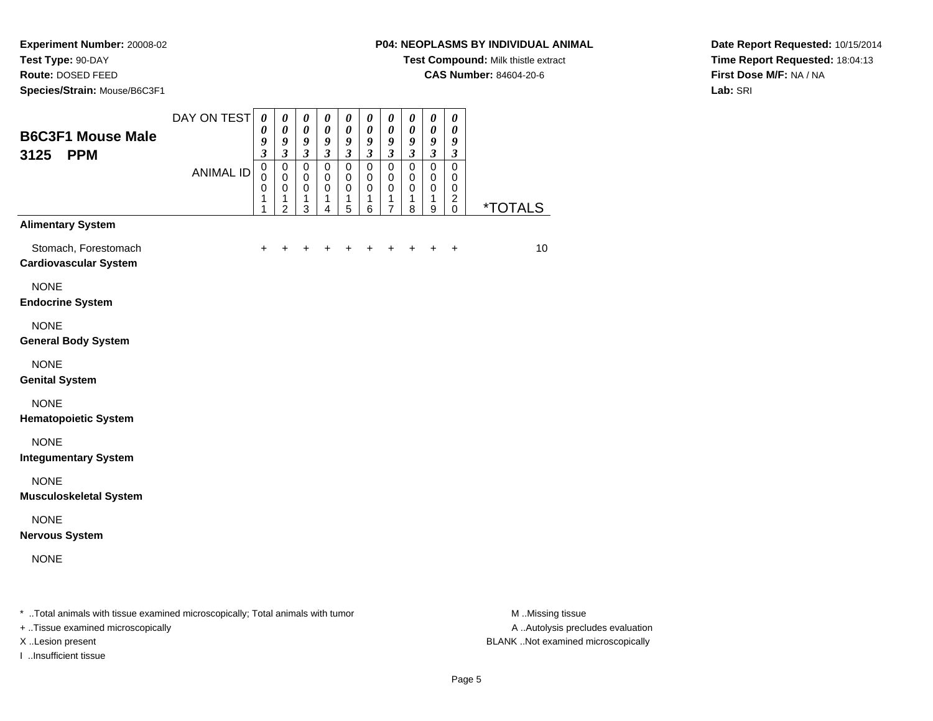**Experiment Number:** 20008-02**Test Type:** 90-DAY

**Route:** DOSED FEED

**Species/Strain:** Mouse/B6C3F1

## **P04: NEOPLASMS BY INDIVIDUAL ANIMAL**

**Test Compound:** Milk thistle extract

**CAS Number:** 84604-20-6

**Date Report Requested:** 10/15/2014**Time Report Requested:** 18:04:13**First Dose M/F:** NA / NA**Lab:** SRI

| <b>B6C3F1 Mouse Male</b><br><b>PPM</b><br>3125                                                                 | DAY ON TEST      | $\boldsymbol{\theta}$<br>0<br>9<br>$\mathfrak{z}$ | $\boldsymbol{\theta}$<br>$\boldsymbol{\theta}$<br>9<br>$\mathfrak{z}$ | $\boldsymbol{\theta}$<br>$\boldsymbol{\theta}$<br>$\boldsymbol{9}$<br>$\mathfrak{z}$ | $\boldsymbol{\theta}$<br>$\boldsymbol{\theta}$<br>9<br>$\mathfrak{z}$ | $\boldsymbol{\theta}$<br>$\boldsymbol{\theta}$<br>9<br>$\mathfrak{z}$ | $\boldsymbol{\theta}$<br>$\boldsymbol{\theta}$<br>9<br>$\mathfrak{z}$ | $\boldsymbol{\theta}$<br>$\boldsymbol{\theta}$<br>9<br>$\boldsymbol{\beta}$ | $\boldsymbol{\theta}$<br>0<br>9<br>$\mathfrak{z}$ | $\pmb{\theta}$<br>$\pmb{\theta}$<br>9<br>$\boldsymbol{\mathfrak{z}}$ | $\boldsymbol{\theta}$<br>0<br>$\boldsymbol{9}$<br>$\boldsymbol{\beta}$ |                       |
|----------------------------------------------------------------------------------------------------------------|------------------|---------------------------------------------------|-----------------------------------------------------------------------|--------------------------------------------------------------------------------------|-----------------------------------------------------------------------|-----------------------------------------------------------------------|-----------------------------------------------------------------------|-----------------------------------------------------------------------------|---------------------------------------------------|----------------------------------------------------------------------|------------------------------------------------------------------------|-----------------------|
|                                                                                                                | <b>ANIMAL ID</b> | $\mathbf 0$<br>$\mathbf 0$<br>0<br>1<br>1         | $\mathbf 0$<br>$\mathbf 0$<br>$\mathbf 0$<br>1<br>$\overline{2}$      | $\pmb{0}$<br>0<br>$\pmb{0}$<br>1<br>3                                                | $\pmb{0}$<br>0<br>$\mathbf 0$<br>1<br>4                               | $\pmb{0}$<br>0<br>$\pmb{0}$<br>$\mathbf{1}$<br>5                      | 0<br>0<br>$\mathbf 0$<br>1<br>6                                       | $\mathbf 0$<br>0<br>$\mathbf 0$<br>1<br>$\overline{7}$                      | $\mathbf 0$<br>0<br>$\mathbf 0$<br>1<br>8         | $\mathbf 0$<br>0<br>$\mathbf 0$<br>1<br>$\boldsymbol{9}$             | $\mathbf 0$<br>0<br>$\mathbf 0$<br>$\overline{c}$<br>$\mathbf 0$       | <i><b>*TOTALS</b></i> |
| <b>Alimentary System</b>                                                                                       |                  |                                                   |                                                                       |                                                                                      |                                                                       |                                                                       |                                                                       |                                                                             |                                                   |                                                                      |                                                                        |                       |
| Stomach, Forestomach<br><b>Cardiovascular System</b>                                                           |                  | $\ddot{}$                                         | ٠                                                                     | ٠                                                                                    | +                                                                     | +                                                                     | +                                                                     | $\ddot{}$                                                                   | +                                                 | $\pm$                                                                | $\ddot{}$                                                              | 10                    |
| <b>NONE</b><br><b>Endocrine System</b>                                                                         |                  |                                                   |                                                                       |                                                                                      |                                                                       |                                                                       |                                                                       |                                                                             |                                                   |                                                                      |                                                                        |                       |
| <b>NONE</b><br><b>General Body System</b>                                                                      |                  |                                                   |                                                                       |                                                                                      |                                                                       |                                                                       |                                                                       |                                                                             |                                                   |                                                                      |                                                                        |                       |
| <b>NONE</b><br><b>Genital System</b>                                                                           |                  |                                                   |                                                                       |                                                                                      |                                                                       |                                                                       |                                                                       |                                                                             |                                                   |                                                                      |                                                                        |                       |
| <b>NONE</b><br><b>Hematopoietic System</b>                                                                     |                  |                                                   |                                                                       |                                                                                      |                                                                       |                                                                       |                                                                       |                                                                             |                                                   |                                                                      |                                                                        |                       |
| <b>NONE</b><br><b>Integumentary System</b>                                                                     |                  |                                                   |                                                                       |                                                                                      |                                                                       |                                                                       |                                                                       |                                                                             |                                                   |                                                                      |                                                                        |                       |
| <b>NONE</b><br><b>Musculoskeletal System</b>                                                                   |                  |                                                   |                                                                       |                                                                                      |                                                                       |                                                                       |                                                                       |                                                                             |                                                   |                                                                      |                                                                        |                       |
| <b>NONE</b><br><b>Nervous System</b>                                                                           |                  |                                                   |                                                                       |                                                                                      |                                                                       |                                                                       |                                                                       |                                                                             |                                                   |                                                                      |                                                                        |                       |
| <b>NONE</b>                                                                                                    |                  |                                                   |                                                                       |                                                                                      |                                                                       |                                                                       |                                                                       |                                                                             |                                                   |                                                                      |                                                                        |                       |
| , † 1982 pro stanovnik postali stanovni postali su stanovni su stanovni su † 1982 pro stanovni su stati su sta |                  |                                                   |                                                                       |                                                                                      |                                                                       |                                                                       |                                                                       |                                                                             |                                                   |                                                                      |                                                                        | <b>BA BALLY</b>       |

..Total animals with tissue examined microscopically; Total animals with tumor M ..Missing tissue M ..Missing tissue

+ ..Tissue examined microscopically

I ..Insufficient tissue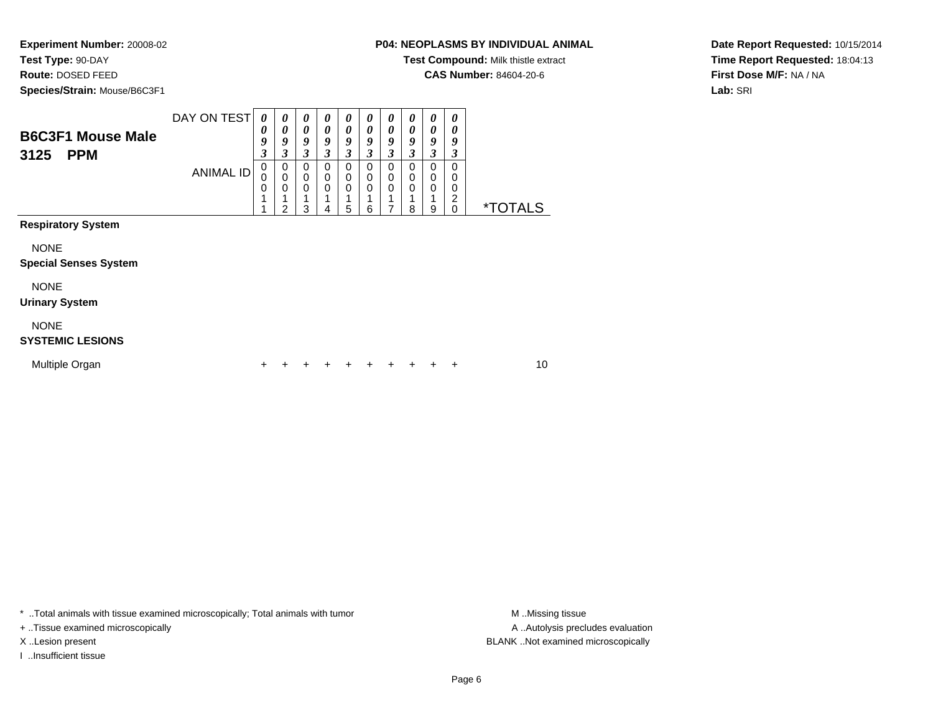**Test Type:** 90-DAY

**Route:** DOSED FEED

**Species/Strain:** Mouse/B6C3F1

# **P04: NEOPLASMS BY INDIVIDUAL ANIMAL**

**Test Compound:** Milk thistle extract

**CAS Number:** 84604-20-6

**Date Report Requested:** 10/15/2014**Time Report Requested:** 18:04:13**First Dose M/F:** NA / NA**Lab:** SRI

| <b>B6C3F1 Mouse Male</b><br>3125<br><b>PPM</b> | DAY ON TEST<br><b>ANIMAL ID</b> | 0<br>$\boldsymbol{\theta}$<br>9<br>$\boldsymbol{\beta}$<br>$\,0\,$<br>0<br>$\mathbf 0$<br>1<br>4 | 0<br>0<br>9<br>$\mathfrak{z}$<br>0<br>$\mathbf 0$<br>$\mathbf 0$<br>2 | $\boldsymbol{\theta}$<br>$\boldsymbol{\theta}$<br>9<br>3<br>$\mathbf 0$<br>0<br>$\mathbf{0}$<br>1<br>3 | 0<br>0<br>9<br>3<br>0<br>0<br>0<br>4 | 0<br>0<br>9<br>3<br>$\Omega$<br>0<br>$\Omega$<br>5 | 0<br>0<br>9<br>3<br>0<br>$\Omega$<br>$\Omega$<br>6 | 0<br>0<br>9<br>3<br>$\mathbf 0$<br>0<br>$\Omega$<br>7 | 0<br>$\boldsymbol{\theta}$<br>9<br>$\mathfrak{z}$<br>$\mathbf 0$<br>$\mathbf 0$<br>$\Omega$<br>1<br>8 | $\boldsymbol{\theta}$<br>0<br>9<br>3<br>$\mathbf 0$<br>$\mathbf 0$<br>$\mathbf 0$<br>9 | 0<br>$\boldsymbol{\theta}$<br>9<br>$\boldsymbol{\beta}$<br>$\Omega$<br>0<br>$\mathbf 0$<br>$\overline{2}$<br>$\mathbf 0$ | <i><b>*TOTALS</b></i> |
|------------------------------------------------|---------------------------------|--------------------------------------------------------------------------------------------------|-----------------------------------------------------------------------|--------------------------------------------------------------------------------------------------------|--------------------------------------|----------------------------------------------------|----------------------------------------------------|-------------------------------------------------------|-------------------------------------------------------------------------------------------------------|----------------------------------------------------------------------------------------|--------------------------------------------------------------------------------------------------------------------------|-----------------------|
| <b>Respiratory System</b>                      |                                 |                                                                                                  |                                                                       |                                                                                                        |                                      |                                                    |                                                    |                                                       |                                                                                                       |                                                                                        |                                                                                                                          |                       |
| <b>NONE</b><br><b>Special Senses System</b>    |                                 |                                                                                                  |                                                                       |                                                                                                        |                                      |                                                    |                                                    |                                                       |                                                                                                       |                                                                                        |                                                                                                                          |                       |
| <b>NONE</b><br><b>Urinary System</b>           |                                 |                                                                                                  |                                                                       |                                                                                                        |                                      |                                                    |                                                    |                                                       |                                                                                                       |                                                                                        |                                                                                                                          |                       |
| <b>NONE</b><br><b>SYSTEMIC LESIONS</b>         |                                 |                                                                                                  |                                                                       |                                                                                                        |                                      |                                                    |                                                    |                                                       |                                                                                                       |                                                                                        |                                                                                                                          |                       |
| Multiple Organ                                 |                                 | +                                                                                                |                                                                       |                                                                                                        |                                      |                                                    |                                                    | ٠                                                     | ÷                                                                                                     | +                                                                                      | ÷                                                                                                                        | 10                    |

\* ..Total animals with tissue examined microscopically; Total animals with tumor **M** . Missing tissue M ..Missing tissue

+ ..Tissue examined microscopically

I ..Insufficient tissue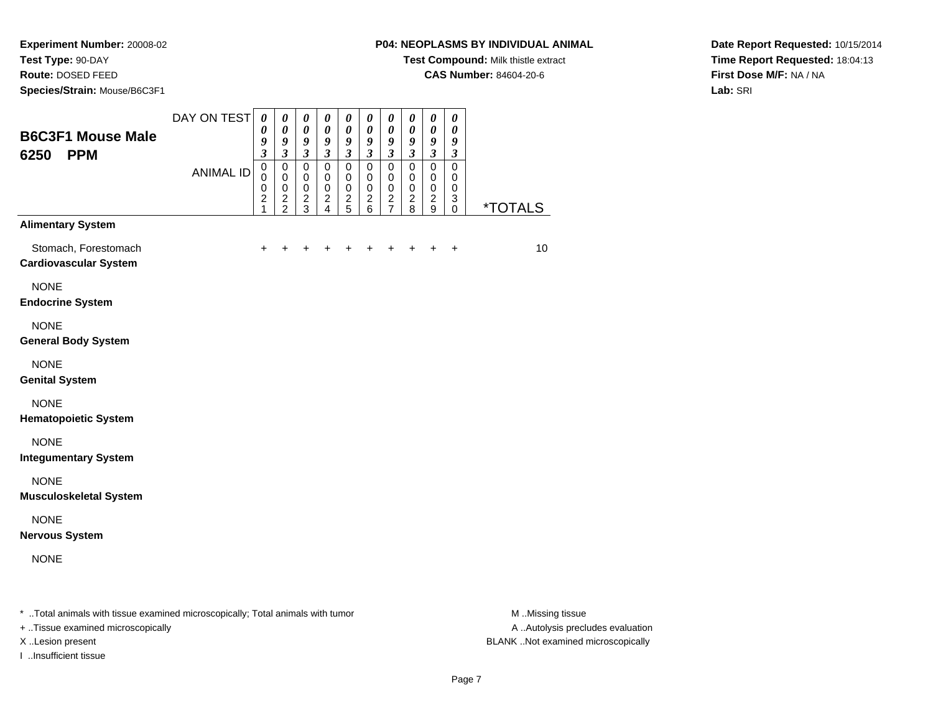**Experiment Number:** 20008-02**Test Type:** 90-DAY

**Route:** DOSED FEED

**Species/Strain:** Mouse/B6C3F1

#### **P04: NEOPLASMS BY INDIVIDUAL ANIMAL**

**Test Compound:** Milk thistle extract

**CAS Number:** 84604-20-6

**Date Report Requested:** 10/15/2014**Time Report Requested:** 18:04:13**First Dose M/F:** NA / NA**Lab:** SRI

| <b>B6C3F1 Mouse Male</b><br><b>PPM</b><br>6250                                                                 | DAY ON TEST      | $\boldsymbol{\theta}$<br>$\boldsymbol{\theta}$<br>9<br>$\overline{\mathbf{3}}$ | $\boldsymbol{\theta}$<br>$\boldsymbol{\theta}$<br>9<br>$\mathfrak{z}$ | $\boldsymbol{\theta}$<br>$\pmb{\theta}$<br>9<br>$\mathfrak{z}$ | $\boldsymbol{\theta}$<br>$\boldsymbol{\theta}$<br>9<br>$\mathfrak{z}$     | $\boldsymbol{\theta}$<br>$\pmb{\theta}$<br>9<br>$\overline{\mathbf{3}}$ | $\boldsymbol{\theta}$<br>$\boldsymbol{\theta}$<br>9<br>$\mathfrak{z}$ | $\boldsymbol{\theta}$<br>$\boldsymbol{\theta}$<br>9<br>$\mathfrak{z}$       | $\pmb{\theta}$<br>0<br>9<br>$\overline{\mathbf{3}}$                     | $\pmb{\theta}$<br>$\boldsymbol{\theta}$<br>9<br>$\mathfrak{z}$   | $\boldsymbol{\theta}$<br>0<br>9<br>$\mathfrak{z}$ |                                                                                                                                                                                                                                                                                                                                    |
|----------------------------------------------------------------------------------------------------------------|------------------|--------------------------------------------------------------------------------|-----------------------------------------------------------------------|----------------------------------------------------------------|---------------------------------------------------------------------------|-------------------------------------------------------------------------|-----------------------------------------------------------------------|-----------------------------------------------------------------------------|-------------------------------------------------------------------------|------------------------------------------------------------------|---------------------------------------------------|------------------------------------------------------------------------------------------------------------------------------------------------------------------------------------------------------------------------------------------------------------------------------------------------------------------------------------|
|                                                                                                                | <b>ANIMAL ID</b> | $\pmb{0}$<br>$\mathbf 0$<br>$\mathbf 0$<br>$\boldsymbol{2}$<br>1               | $\pmb{0}$<br>$\mathbf 0$<br>$\mathsf 0$<br>$\frac{2}{2}$              | $\pmb{0}$<br>$\pmb{0}$<br>$\mathsf 0$<br>$\frac{2}{3}$         | $\mathbf 0$<br>$\mathbf 0$<br>$\mathbf 0$<br>$\overline{\mathbf{c}}$<br>4 | $\pmb{0}$<br>$\mathbf 0$<br>$\pmb{0}$<br>$\frac{2}{5}$                  | $\mathbf 0$<br>$\mathbf 0$<br>$\mathbf 0$<br>$\overline{c}$<br>6      | $\mathbf 0$<br>$\pmb{0}$<br>$\pmb{0}$<br>$\boldsymbol{2}$<br>$\overline{7}$ | $\mathbf 0$<br>$\pmb{0}$<br>$\mathbf 0$<br>$\overline{\mathbf{c}}$<br>8 | $\mathbf 0$<br>$\mathbf 0$<br>$\pmb{0}$<br>$\boldsymbol{2}$<br>9 | $\mathbf 0$<br>0<br>$\mathbf 0$<br>3<br>0         | *TOTALS                                                                                                                                                                                                                                                                                                                            |
| <b>Alimentary System</b>                                                                                       |                  |                                                                                |                                                                       |                                                                |                                                                           |                                                                         |                                                                       |                                                                             |                                                                         |                                                                  |                                                   |                                                                                                                                                                                                                                                                                                                                    |
| Stomach, Forestomach<br><b>Cardiovascular System</b>                                                           |                  |                                                                                |                                                                       |                                                                |                                                                           |                                                                         |                                                                       |                                                                             |                                                                         |                                                                  |                                                   | 10                                                                                                                                                                                                                                                                                                                                 |
| <b>NONE</b><br><b>Endocrine System</b>                                                                         |                  |                                                                                |                                                                       |                                                                |                                                                           |                                                                         |                                                                       |                                                                             |                                                                         |                                                                  |                                                   |                                                                                                                                                                                                                                                                                                                                    |
| <b>NONE</b><br><b>General Body System</b>                                                                      |                  |                                                                                |                                                                       |                                                                |                                                                           |                                                                         |                                                                       |                                                                             |                                                                         |                                                                  |                                                   |                                                                                                                                                                                                                                                                                                                                    |
| <b>NONE</b><br><b>Genital System</b>                                                                           |                  |                                                                                |                                                                       |                                                                |                                                                           |                                                                         |                                                                       |                                                                             |                                                                         |                                                                  |                                                   |                                                                                                                                                                                                                                                                                                                                    |
| <b>NONE</b><br><b>Hematopoietic System</b>                                                                     |                  |                                                                                |                                                                       |                                                                |                                                                           |                                                                         |                                                                       |                                                                             |                                                                         |                                                                  |                                                   |                                                                                                                                                                                                                                                                                                                                    |
| <b>NONE</b><br><b>Integumentary System</b>                                                                     |                  |                                                                                |                                                                       |                                                                |                                                                           |                                                                         |                                                                       |                                                                             |                                                                         |                                                                  |                                                   |                                                                                                                                                                                                                                                                                                                                    |
| <b>NONE</b><br><b>Musculoskeletal System</b>                                                                   |                  |                                                                                |                                                                       |                                                                |                                                                           |                                                                         |                                                                       |                                                                             |                                                                         |                                                                  |                                                   |                                                                                                                                                                                                                                                                                                                                    |
| <b>NONE</b><br><b>Nervous System</b>                                                                           |                  |                                                                                |                                                                       |                                                                |                                                                           |                                                                         |                                                                       |                                                                             |                                                                         |                                                                  |                                                   |                                                                                                                                                                                                                                                                                                                                    |
| <b>NONE</b>                                                                                                    |                  |                                                                                |                                                                       |                                                                |                                                                           |                                                                         |                                                                       |                                                                             |                                                                         |                                                                  |                                                   |                                                                                                                                                                                                                                                                                                                                    |
| , † 1982 pro stanovnik postali stanovni postali su stanovni su stanovni su † 1982 pro stanovni su stati su sta |                  |                                                                                |                                                                       |                                                                |                                                                           |                                                                         |                                                                       |                                                                             |                                                                         |                                                                  |                                                   | $\mathbf{A}$ $\mathbf{A}$ $\mathbf{A}$ $\mathbf{A}$ $\mathbf{A}$ $\mathbf{A}$ $\mathbf{A}$ $\mathbf{A}$ $\mathbf{A}$ $\mathbf{A}$ $\mathbf{A}$ $\mathbf{A}$ $\mathbf{A}$ $\mathbf{A}$ $\mathbf{A}$ $\mathbf{A}$ $\mathbf{A}$ $\mathbf{A}$ $\mathbf{A}$ $\mathbf{A}$ $\mathbf{A}$ $\mathbf{A}$ $\mathbf{A}$ $\mathbf{A}$ $\mathbf{$ |

..Total animals with tissue examined microscopically; Total animals with tumor M ..Missing tissue M ..Missing tissue

+ ..Tissue examined microscopically

I ..Insufficient tissue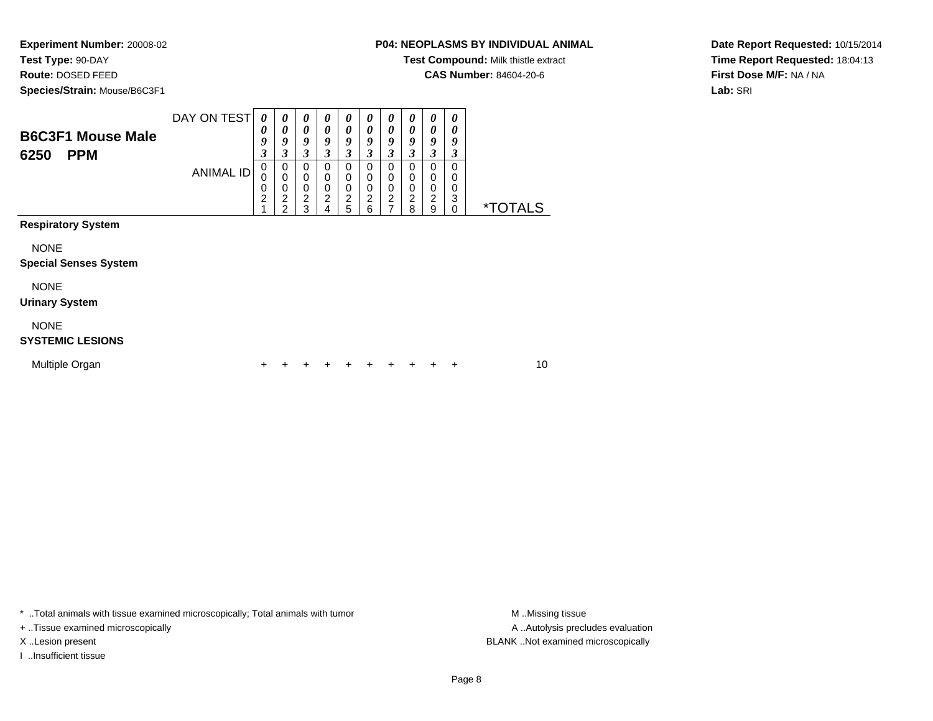**Test Type:** 90-DAY

**Route:** DOSED FEED

**Species/Strain:** Mouse/B6C3F1

**Test Compound:** Milk thistle extract

**CAS Number:** 84604-20-6

**Date Report Requested:** 10/15/2014**Time Report Requested:** 18:04:13**First Dose M/F:** NA / NA**Lab:** SRI

| <b>B6C3F1 Mouse Male</b><br>6250<br><b>PPM</b> | DAY ON TEST<br><b>ANIMAL ID</b> | 0<br>$\boldsymbol{\theta}$<br>9<br>$\boldsymbol{\beta}$<br>$\mathbf 0$<br>$\mathbf 0$<br>0<br>$\overline{c}$<br>4 | 0<br>0<br>9<br>3<br>$\mathbf 0$<br>$\mathbf 0$<br>0<br>$\overline{\mathbf{c}}$<br>$\mathfrak{p}$ | $\boldsymbol{\theta}$<br>$\boldsymbol{\theta}$<br>9<br>3<br>$\mathbf 0$<br>$\mathbf 0$<br>$\mathbf 0$<br>$\frac{2}{3}$ | 0<br>0<br>9<br>3<br>$\Omega$<br>0<br>0<br>$\overline{c}$<br>4 | 0<br>0<br>9<br>3<br>$\mathbf 0$<br>$\mathbf 0$<br>$\mathbf 0$<br>$\overline{c}$<br>5 | 0<br>0<br>9<br>3<br>$\Omega$<br>$\Omega$<br>0<br>$\overline{c}$<br>6 | 0<br>0<br>9<br>$\overline{\mathbf{3}}$<br>0<br>0<br>$\mathbf 0$<br>$\overline{c}$<br>$\overline{7}$ | 0<br>$\boldsymbol{\theta}$<br>9<br>3<br>0<br>0<br>0<br>$\boldsymbol{2}$<br>8 | $\boldsymbol{\theta}$<br>$\boldsymbol{\theta}$<br>9<br>3<br>$\pmb{0}$<br>$\mathbf 0$<br>$\mathbf 0$<br>$\overline{\mathbf{c}}$<br>9 | $\boldsymbol{\theta}$<br>0<br>9<br>3<br>0<br>0<br>0<br>3<br>0 | <i><b>*TOTALS</b></i> |    |
|------------------------------------------------|---------------------------------|-------------------------------------------------------------------------------------------------------------------|--------------------------------------------------------------------------------------------------|------------------------------------------------------------------------------------------------------------------------|---------------------------------------------------------------|--------------------------------------------------------------------------------------|----------------------------------------------------------------------|-----------------------------------------------------------------------------------------------------|------------------------------------------------------------------------------|-------------------------------------------------------------------------------------------------------------------------------------|---------------------------------------------------------------|-----------------------|----|
| <b>Respiratory System</b>                      |                                 |                                                                                                                   |                                                                                                  |                                                                                                                        |                                                               |                                                                                      |                                                                      |                                                                                                     |                                                                              |                                                                                                                                     |                                                               |                       |    |
| <b>NONE</b><br><b>Special Senses System</b>    |                                 |                                                                                                                   |                                                                                                  |                                                                                                                        |                                                               |                                                                                      |                                                                      |                                                                                                     |                                                                              |                                                                                                                                     |                                                               |                       |    |
| <b>NONE</b><br><b>Urinary System</b>           |                                 |                                                                                                                   |                                                                                                  |                                                                                                                        |                                                               |                                                                                      |                                                                      |                                                                                                     |                                                                              |                                                                                                                                     |                                                               |                       |    |
| <b>NONE</b><br><b>SYSTEMIC LESIONS</b>         |                                 |                                                                                                                   |                                                                                                  |                                                                                                                        |                                                               |                                                                                      |                                                                      |                                                                                                     |                                                                              |                                                                                                                                     |                                                               |                       |    |
| Multiple Organ                                 |                                 | +                                                                                                                 |                                                                                                  |                                                                                                                        |                                                               |                                                                                      |                                                                      | +                                                                                                   | ÷                                                                            | +                                                                                                                                   | ÷                                                             |                       | 10 |

\* ..Total animals with tissue examined microscopically; Total animals with tumor **M** . Missing tissue M ..Missing tissue

+ ..Tissue examined microscopically

I ..Insufficient tissue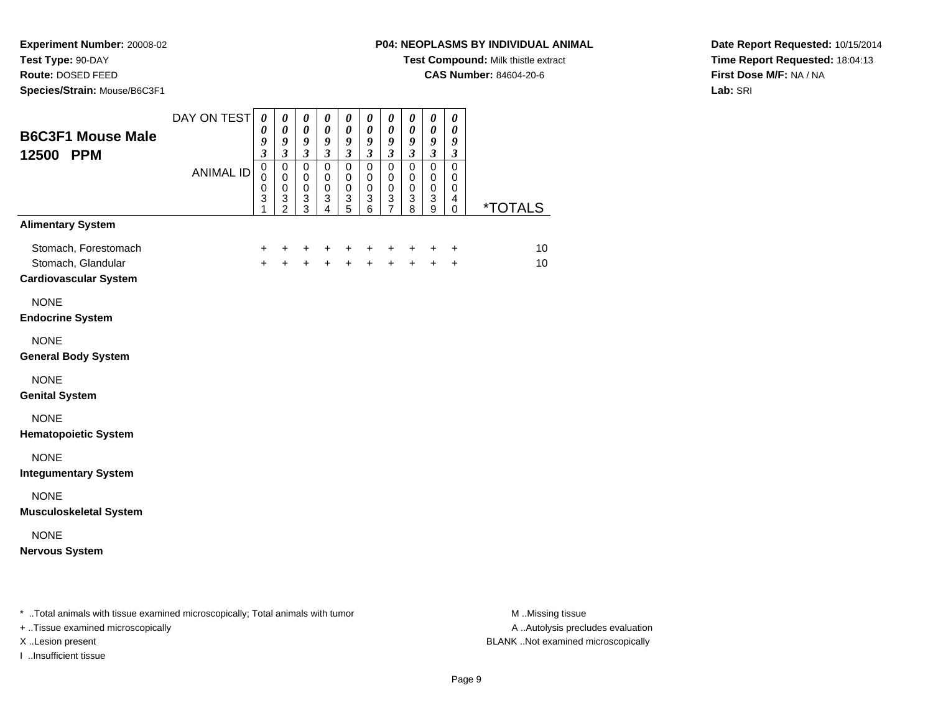**Experiment Number:** 20008-02**Test Type:** 90-DAY

**Route:** DOSED FEED

**Species/Strain:** Mouse/B6C3F1

## **P04: NEOPLASMS BY INDIVIDUAL ANIMAL**

**Test Compound:** Milk thistle extract

**CAS Number:** 84604-20-6

**Date Report Requested:** 10/15/2014**Time Report Requested:** 18:04:13**First Dose M/F:** NA / NA**Lab:** SRI

| <b>B6C3F1 Mouse Male</b><br>12500 PPM                                      | DAY ON TEST<br><b>ANIMAL ID</b> | 0<br>0<br>9<br>$\overline{\mathbf{3}}$<br>$\pmb{0}$<br>$\Omega$ | 0<br>$\boldsymbol{\theta}$<br>9<br>$\overline{\mathbf{3}}$<br>$\mathbf 0$<br>$\mathbf 0$ | 0<br>$\boldsymbol{\theta}$<br>9<br>$\mathfrak{z}$<br>$\pmb{0}$<br>$\mathbf 0$ | $\boldsymbol{\theta}$<br>$\boldsymbol{\theta}$<br>9<br>$\mathfrak{z}$<br>$\pmb{0}$<br>$\mathbf 0$ | $\boldsymbol{\theta}$<br>$\pmb{\theta}$<br>9<br>$\mathfrak{z}$<br>$\mathbf 0$<br>$\pmb{0}$ | 0<br>$\boldsymbol{\theta}$<br>9<br>$\mathfrak{z}$<br>$\mathbf 0$<br>$\pmb{0}$ | $\boldsymbol{\theta}$<br>$\boldsymbol{\theta}$<br>9<br>$\mathfrak{z}$<br>$\pmb{0}$<br>$\mathbf 0$ | 0<br>0<br>9<br>$\mathfrak{z}$<br>$\mathbf 0$<br>$\mathbf 0$ | 0<br>$\pmb{\theta}$<br>9<br>$\overline{\mathbf{3}}$<br>$\mathsf 0$<br>$\mathbf 0$ | 0<br>$\boldsymbol{\theta}$<br>9<br>$\mathfrak{z}$<br>$\mathbf 0$<br>$\mathbf 0$ |                       |
|----------------------------------------------------------------------------|---------------------------------|-----------------------------------------------------------------|------------------------------------------------------------------------------------------|-------------------------------------------------------------------------------|---------------------------------------------------------------------------------------------------|--------------------------------------------------------------------------------------------|-------------------------------------------------------------------------------|---------------------------------------------------------------------------------------------------|-------------------------------------------------------------|-----------------------------------------------------------------------------------|---------------------------------------------------------------------------------|-----------------------|
|                                                                            |                                 | $\pmb{0}$<br>3<br>1                                             | $\pmb{0}$<br>$\frac{3}{2}$                                                               | $\pmb{0}$<br>$\ensuremath{\mathsf{3}}$<br>$\overline{3}$                      | $\pmb{0}$<br>$\frac{3}{4}$                                                                        | $\pmb{0}$<br>$\frac{3}{5}$                                                                 | $\pmb{0}$<br>$\frac{3}{6}$                                                    | $\pmb{0}$<br>$\frac{3}{7}$                                                                        | $\pmb{0}$<br>3<br>$\overline{8}$                            | $\pmb{0}$<br>3<br>$\overline{9}$                                                  | $\mathbf 0$<br>4<br>$\mathbf 0$                                                 | <i><b>*TOTALS</b></i> |
| <b>Alimentary System</b>                                                   |                                 |                                                                 |                                                                                          |                                                                               |                                                                                                   |                                                                                            |                                                                               |                                                                                                   |                                                             |                                                                                   |                                                                                 |                       |
| Stomach, Forestomach<br>Stomach, Glandular<br><b>Cardiovascular System</b> |                                 | $\ddot{}$<br>$+$                                                | $\ddot{}$                                                                                | +<br>$\ddot{}$                                                                | +<br>$\ddot{}$                                                                                    | +<br>$\ddot{}$                                                                             | +<br>$\ddot{}$                                                                | $\ddot{}$<br>$\ddot{+}$                                                                           | +<br>$\ddot{+}$                                             | +<br>$\ddot{}$                                                                    | $\ddot{}$<br>$\ddot{}$                                                          | 10<br>10              |
| <b>NONE</b><br><b>Endocrine System</b>                                     |                                 |                                                                 |                                                                                          |                                                                               |                                                                                                   |                                                                                            |                                                                               |                                                                                                   |                                                             |                                                                                   |                                                                                 |                       |
| <b>NONE</b><br><b>General Body System</b>                                  |                                 |                                                                 |                                                                                          |                                                                               |                                                                                                   |                                                                                            |                                                                               |                                                                                                   |                                                             |                                                                                   |                                                                                 |                       |
| <b>NONE</b><br><b>Genital System</b>                                       |                                 |                                                                 |                                                                                          |                                                                               |                                                                                                   |                                                                                            |                                                                               |                                                                                                   |                                                             |                                                                                   |                                                                                 |                       |
| <b>NONE</b><br><b>Hematopoietic System</b>                                 |                                 |                                                                 |                                                                                          |                                                                               |                                                                                                   |                                                                                            |                                                                               |                                                                                                   |                                                             |                                                                                   |                                                                                 |                       |
| <b>NONE</b><br><b>Integumentary System</b>                                 |                                 |                                                                 |                                                                                          |                                                                               |                                                                                                   |                                                                                            |                                                                               |                                                                                                   |                                                             |                                                                                   |                                                                                 |                       |
| <b>NONE</b><br><b>Musculoskeletal System</b>                               |                                 |                                                                 |                                                                                          |                                                                               |                                                                                                   |                                                                                            |                                                                               |                                                                                                   |                                                             |                                                                                   |                                                                                 |                       |
| <b>NONE</b><br><b>Nervous System</b>                                       |                                 |                                                                 |                                                                                          |                                                                               |                                                                                                   |                                                                                            |                                                                               |                                                                                                   |                                                             |                                                                                   |                                                                                 |                       |
|                                                                            |                                 |                                                                 |                                                                                          |                                                                               |                                                                                                   |                                                                                            |                                                                               |                                                                                                   |                                                             |                                                                                   |                                                                                 |                       |

\* ..Total animals with tissue examined microscopically; Total animals with tumor **M** . Missing tissue M ..Missing tissue

+ ..Tissue examined microscopically

I ..Insufficient tissue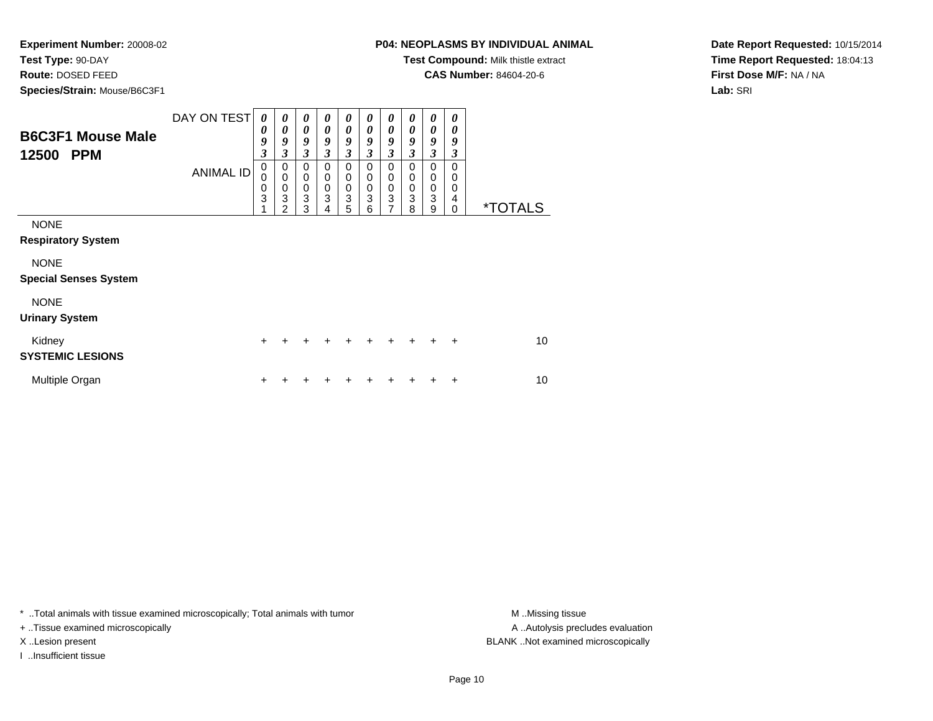**Test Type:** 90-DAY

**Route:** DOSED FEED

**Species/Strain:** Mouse/B6C3F1

**Test Compound:** Milk thistle extract

**CAS Number:** 84604-20-6

**Date Report Requested:** 10/15/2014**Time Report Requested:** 18:04:13**First Dose M/F:** NA / NA**Lab:** SRI

| <b>B6C3F1 Mouse Male</b><br>12500<br><b>PPM</b> | DAY ON TEST      | $\theta$<br>0<br>9<br>3<br>0 | $\boldsymbol{\theta}$<br>$\boldsymbol{\theta}$<br>9<br>3<br>0 | $\boldsymbol{\theta}$<br>$\boldsymbol{\theta}$<br>9<br>3<br>$\mathbf 0$ | 0<br>$\boldsymbol{\theta}$<br>9<br>3<br>0 | 0<br>$\boldsymbol{\theta}$<br>9<br>3<br>0 | 0<br>0<br>9<br>3<br>0              | $\boldsymbol{\theta}$<br>$\boldsymbol{\theta}$<br>9<br>$\overline{\mathbf{3}}$<br>0 | 0<br>0<br>9<br>3<br>0 | 0<br>0<br>9<br>$\mathfrak{z}$<br>0                         | 0<br>0<br>9<br>3<br>0 |                       |
|-------------------------------------------------|------------------|------------------------------|---------------------------------------------------------------|-------------------------------------------------------------------------|-------------------------------------------|-------------------------------------------|------------------------------------|-------------------------------------------------------------------------------------|-----------------------|------------------------------------------------------------|-----------------------|-----------------------|
|                                                 | <b>ANIMAL ID</b> | 0<br>0<br>3                  | $\mathbf 0$<br>0<br>3<br>$\mathfrak{p}$                       | $\mathbf 0$<br>$\mathbf 0$<br>3<br>3                                    | 0<br>$\mathbf 0$<br>3                     | 0<br>$\mathbf 0$<br>3<br>5                | $\mathbf 0$<br>$\pmb{0}$<br>3<br>6 | 0<br>$\boldsymbol{0}$<br>$\ensuremath{\mathsf{3}}$<br>$\overline{7}$                | 0<br>0<br>3<br>8      | $\mathbf 0$<br>$\pmb{0}$<br>$\ensuremath{\mathsf{3}}$<br>9 | 0<br>0<br>4<br>0      | <i><b>*TOTALS</b></i> |
| <b>NONE</b><br><b>Respiratory System</b>        |                  |                              |                                                               |                                                                         |                                           |                                           |                                    |                                                                                     |                       |                                                            |                       |                       |
| <b>NONE</b><br><b>Special Senses System</b>     |                  |                              |                                                               |                                                                         |                                           |                                           |                                    |                                                                                     |                       |                                                            |                       |                       |
| <b>NONE</b><br><b>Urinary System</b>            |                  |                              |                                                               |                                                                         |                                           |                                           |                                    |                                                                                     |                       |                                                            |                       |                       |
| Kidney<br><b>SYSTEMIC LESIONS</b>               |                  | $\ddot{}$                    | ÷                                                             | ÷                                                                       | $\div$                                    | $\ddot{}$                                 | ÷                                  | $\ddot{}$                                                                           | $\ddot{}$             | $\pm$                                                      | $\ddot{}$             | 10                    |
| Multiple Organ                                  |                  | +                            |                                                               |                                                                         |                                           |                                           |                                    | ┿                                                                                   |                       | +                                                          | ٠                     | 10                    |

\* ..Total animals with tissue examined microscopically; Total animals with tumor **M** . Missing tissue M ..Missing tissue

+ ..Tissue examined microscopically

I ..Insufficient tissue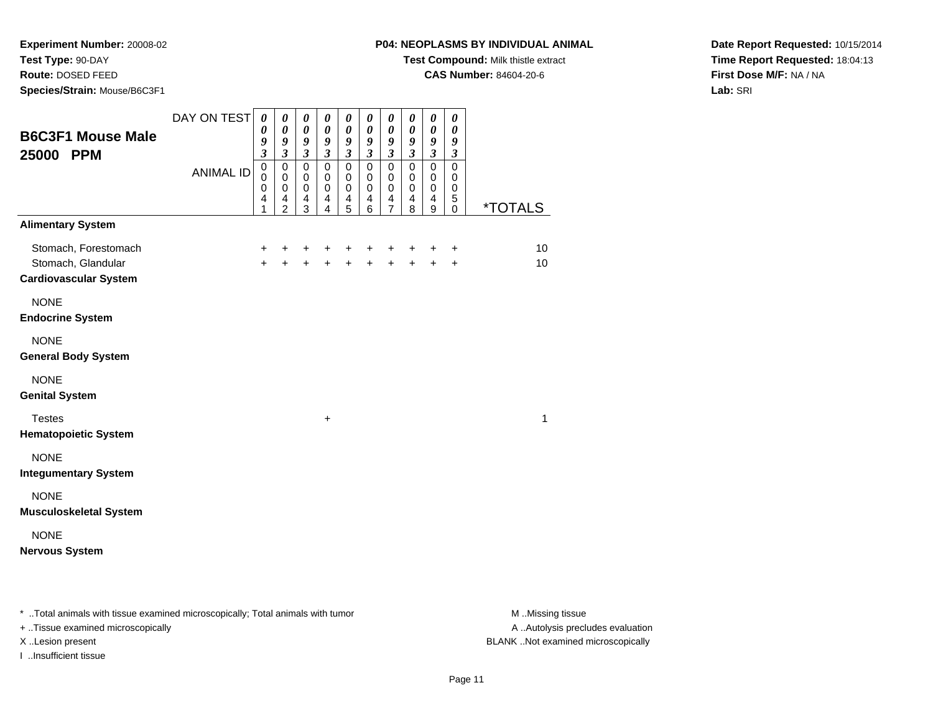**Experiment Number:** 20008-02**Test Type:** 90-DAY

**Route:** DOSED FEED

**Species/Strain:** Mouse/B6C3F1

## **P04: NEOPLASMS BY INDIVIDUAL ANIMAL**

**Test Compound:** Milk thistle extract

**CAS Number:** 84604-20-6

**Date Report Requested:** 10/15/2014**Time Report Requested:** 18:04:13**First Dose M/F:** NA / NA**Lab:** SRI

| <b>B6C3F1 Mouse Male</b><br>25000 PPM                                      | DAY ON TEST<br><b>ANIMAL ID</b> | $\boldsymbol{\theta}$<br>$\boldsymbol{\theta}$<br>9<br>$\mathfrak{z}$<br>$\pmb{0}$<br>$\mathbf 0$<br>0<br>4<br>1 | $\pmb{\theta}$<br>$\pmb{\theta}$<br>9<br>$\mathfrak{z}$<br>$\mathbf 0$<br>$\mathbf 0$<br>$\mathbf 0$<br>4<br>$\overline{c}$ | $\pmb{\theta}$<br>$\pmb{\theta}$<br>9<br>$\mathfrak{z}$<br>$\pmb{0}$<br>$\pmb{0}$<br>$\mathbf 0$<br>4<br>3 | 0<br>$\pmb{\theta}$<br>$\boldsymbol{9}$<br>$\mathfrak{z}$<br>$\pmb{0}$<br>$\mathbf 0$<br>$\mathbf 0$<br>$\overline{\mathbf{4}}$<br>4 | $\boldsymbol{\theta}$<br>$\boldsymbol{\theta}$<br>9<br>$\mathfrak{z}$<br>$\pmb{0}$<br>$\mathbf 0$<br>$\pmb{0}$<br>$\overline{\mathbf{4}}$<br>$\overline{5}$ | $\pmb{\theta}$<br>$\pmb{\theta}$<br>9<br>$\mathfrak{z}$<br>$\pmb{0}$<br>$\pmb{0}$<br>$\pmb{0}$<br>$\overline{4}$<br>6 | $\boldsymbol{\theta}$<br>$\pmb{\theta}$<br>9<br>$\boldsymbol{\beta}$<br>$\pmb{0}$<br>0<br>$\pmb{0}$<br>$\overline{\mathbf{r}}$<br>$\overline{7}$ | $\pmb{\theta}$<br>$\pmb{\theta}$<br>$\boldsymbol{g}$<br>$\mathfrak{z}$<br>$\pmb{0}$<br>$\pmb{0}$<br>$\pmb{0}$<br>$\overline{\mathbf{4}}$<br>8 | $\pmb{\theta}$<br>$\pmb{\theta}$<br>9<br>$\mathfrak{z}$<br>$\pmb{0}$<br>$\mathbf 0$<br>$\pmb{0}$<br>$\overline{\mathbf{4}}$<br>9 | $\pmb{\theta}$<br>$\boldsymbol{\theta}$<br>9<br>$\boldsymbol{\beta}$<br>$\pmb{0}$<br>0<br>$\pmb{0}$<br>$\mathbf 5$<br>0 | <i><b>*TOTALS</b></i> |
|----------------------------------------------------------------------------|---------------------------------|------------------------------------------------------------------------------------------------------------------|-----------------------------------------------------------------------------------------------------------------------------|------------------------------------------------------------------------------------------------------------|--------------------------------------------------------------------------------------------------------------------------------------|-------------------------------------------------------------------------------------------------------------------------------------------------------------|-----------------------------------------------------------------------------------------------------------------------|--------------------------------------------------------------------------------------------------------------------------------------------------|-----------------------------------------------------------------------------------------------------------------------------------------------|----------------------------------------------------------------------------------------------------------------------------------|-------------------------------------------------------------------------------------------------------------------------|-----------------------|
| <b>Alimentary System</b>                                                   |                                 |                                                                                                                  |                                                                                                                             |                                                                                                            |                                                                                                                                      |                                                                                                                                                             |                                                                                                                       |                                                                                                                                                  |                                                                                                                                               |                                                                                                                                  |                                                                                                                         |                       |
| Stomach, Forestomach<br>Stomach, Glandular<br><b>Cardiovascular System</b> |                                 | +<br>$+$                                                                                                         | +<br>$\ddot{}$                                                                                                              | +<br>$+$                                                                                                   | +<br>$+$                                                                                                                             | +<br>$+$                                                                                                                                                    | +<br>$+$                                                                                                              | +<br>$\ddot{}$                                                                                                                                   | +<br>$+$                                                                                                                                      | +<br>$\ddot{}$                                                                                                                   | $\ddot{}$<br>$\ddot{}$                                                                                                  | 10<br>10              |
| <b>NONE</b><br><b>Endocrine System</b>                                     |                                 |                                                                                                                  |                                                                                                                             |                                                                                                            |                                                                                                                                      |                                                                                                                                                             |                                                                                                                       |                                                                                                                                                  |                                                                                                                                               |                                                                                                                                  |                                                                                                                         |                       |
| <b>NONE</b><br><b>General Body System</b>                                  |                                 |                                                                                                                  |                                                                                                                             |                                                                                                            |                                                                                                                                      |                                                                                                                                                             |                                                                                                                       |                                                                                                                                                  |                                                                                                                                               |                                                                                                                                  |                                                                                                                         |                       |
| <b>NONE</b><br><b>Genital System</b>                                       |                                 |                                                                                                                  |                                                                                                                             |                                                                                                            |                                                                                                                                      |                                                                                                                                                             |                                                                                                                       |                                                                                                                                                  |                                                                                                                                               |                                                                                                                                  |                                                                                                                         |                       |
| <b>Testes</b><br><b>Hematopoietic System</b>                               |                                 |                                                                                                                  |                                                                                                                             |                                                                                                            | $\ddot{}$                                                                                                                            |                                                                                                                                                             |                                                                                                                       |                                                                                                                                                  |                                                                                                                                               |                                                                                                                                  |                                                                                                                         | 1                     |
| <b>NONE</b><br><b>Integumentary System</b>                                 |                                 |                                                                                                                  |                                                                                                                             |                                                                                                            |                                                                                                                                      |                                                                                                                                                             |                                                                                                                       |                                                                                                                                                  |                                                                                                                                               |                                                                                                                                  |                                                                                                                         |                       |
| <b>NONE</b><br><b>Musculoskeletal System</b>                               |                                 |                                                                                                                  |                                                                                                                             |                                                                                                            |                                                                                                                                      |                                                                                                                                                             |                                                                                                                       |                                                                                                                                                  |                                                                                                                                               |                                                                                                                                  |                                                                                                                         |                       |
| <b>NONE</b><br><b>Nervous System</b>                                       |                                 |                                                                                                                  |                                                                                                                             |                                                                                                            |                                                                                                                                      |                                                                                                                                                             |                                                                                                                       |                                                                                                                                                  |                                                                                                                                               |                                                                                                                                  |                                                                                                                         |                       |

\* ..Total animals with tissue examined microscopically; Total animals with tumor **M** . Missing tissue M ..Missing tissue

+ ..Tissue examined microscopically

I ..Insufficient tissue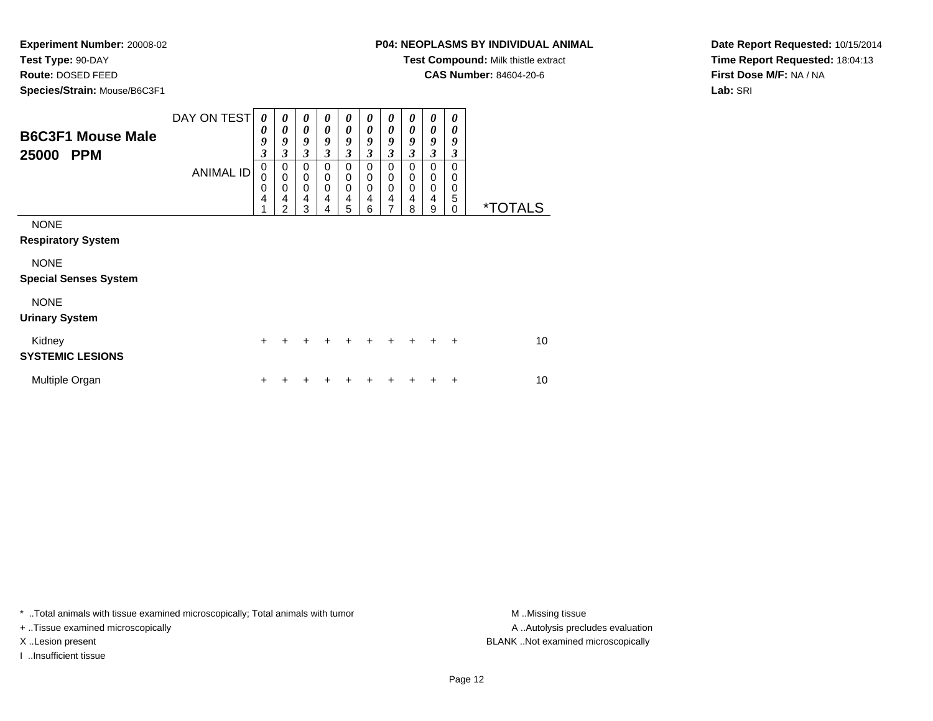**Test Type:** 90-DAY

**Route:** DOSED FEED

**Species/Strain:** Mouse/B6C3F1

**Test Compound:** Milk thistle extract

**CAS Number:** 84604-20-6

**Date Report Requested:** 10/15/2014**Time Report Requested:** 18:04:13**First Dose M/F:** NA / NA**Lab:** SRI

| <b>B6C3F1 Mouse Male</b><br>25000<br><b>PPM</b> | DAY ON TEST      | $\boldsymbol{\theta}$<br>0<br>9<br>$\boldsymbol{\beta}$ | 0<br>0<br>9<br>3                                               | 0<br>$\boldsymbol{\theta}$<br>9<br>$\mathfrak{z}$   | 0<br>0<br>9<br>3                                    | 0<br>0<br>9<br>3                                              | $\boldsymbol{\theta}$<br>0<br>9<br>3 | 0<br>0<br>9<br>$\mathfrak{z}$                       | 0<br>0<br>9<br>3      | 0<br>0<br>9<br>3                | 0<br>0<br>9<br>3             |                       |
|-------------------------------------------------|------------------|---------------------------------------------------------|----------------------------------------------------------------|-----------------------------------------------------|-----------------------------------------------------|---------------------------------------------------------------|--------------------------------------|-----------------------------------------------------|-----------------------|---------------------------------|------------------------------|-----------------------|
|                                                 | <b>ANIMAL ID</b> | $\mathbf 0$<br>0<br>0<br>4                              | $\pmb{0}$<br>$\mathbf 0$<br>$\mathbf 0$<br>4<br>$\overline{2}$ | $\mathbf 0$<br>$\mathbf 0$<br>$\mathbf 0$<br>4<br>3 | $\mathbf 0$<br>$\mathbf 0$<br>$\mathbf 0$<br>4<br>4 | $\mathbf 0$<br>$\mathbf 0$<br>$\Omega$<br>$\overline{4}$<br>5 | 0<br>0<br>$\mathbf 0$<br>4<br>6      | $\mathbf 0$<br>0<br>$\Omega$<br>$\overline{4}$<br>7 | 0<br>0<br>0<br>4<br>8 | 0<br>0<br>$\mathbf 0$<br>4<br>9 | 0<br>0<br>0<br>5<br>$\Omega$ | <i><b>*TOTALS</b></i> |
| <b>NONE</b><br><b>Respiratory System</b>        |                  |                                                         |                                                                |                                                     |                                                     |                                                               |                                      |                                                     |                       |                                 |                              |                       |
| <b>NONE</b><br><b>Special Senses System</b>     |                  |                                                         |                                                                |                                                     |                                                     |                                                               |                                      |                                                     |                       |                                 |                              |                       |
| <b>NONE</b><br><b>Urinary System</b>            |                  |                                                         |                                                                |                                                     |                                                     |                                                               |                                      |                                                     |                       |                                 |                              |                       |
| Kidney<br><b>SYSTEMIC LESIONS</b>               |                  | $\ddot{}$                                               | +                                                              |                                                     | +                                                   | ÷                                                             | ٠                                    | $\ddot{}$                                           | $\ddot{}$             | $\ddot{+}$                      | $\ddot{}$                    | 10                    |
| Multiple Organ                                  |                  | ÷                                                       |                                                                |                                                     |                                                     |                                                               | ٠                                    | ٠                                                   | ┿                     | ٠                               | ÷                            | 10                    |

\* ..Total animals with tissue examined microscopically; Total animals with tumor **M** . Missing tissue M ..Missing tissue

+ ..Tissue examined microscopically

I ..Insufficient tissue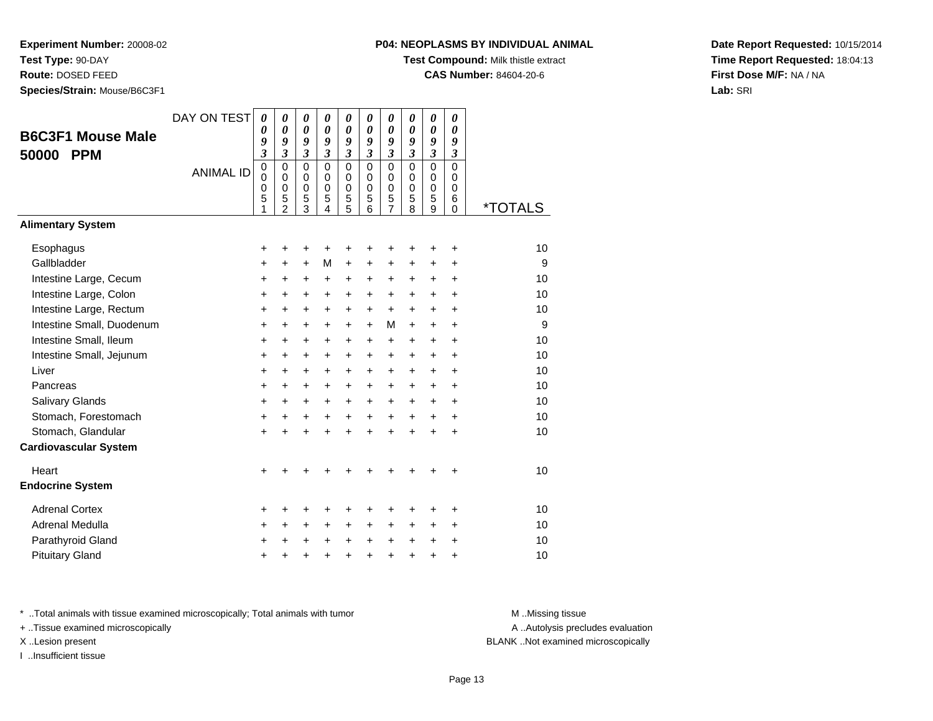**Test Type:** 90-DAY

**Route:** DOSED FEED

**Species/Strain:** Mouse/B6C3F1

## **P04: NEOPLASMS BY INDIVIDUAL ANIMAL**

**Test Compound:** Milk thistle extract

**CAS Number:** 84604-20-6

**Date Report Requested:** 10/15/2014**Time Report Requested:** 18:04:13**First Dose M/F:** NA / NA**Lab:** SRI

| <b>B6C3F1 Mouse Male</b>     | DAY ON TEST      | $\boldsymbol{\theta}$<br>0                | 0<br>$\boldsymbol{\theta}$                                 | 0<br>$\boldsymbol{\theta}$                       | 0<br>0                                            | 0<br>$\boldsymbol{\theta}$             | 0<br>0                                        | 0<br>$\boldsymbol{\theta}$                   | 0<br>0                                           | 0<br>$\boldsymbol{\theta}$       | 0<br>$\boldsymbol{\theta}$                   |                       |
|------------------------------|------------------|-------------------------------------------|------------------------------------------------------------|--------------------------------------------------|---------------------------------------------------|----------------------------------------|-----------------------------------------------|----------------------------------------------|--------------------------------------------------|----------------------------------|----------------------------------------------|-----------------------|
| <b>PPM</b><br>50000          |                  | 9<br>$\overline{\mathbf{3}}$              | 9<br>$\mathfrak{z}$                                        | 9<br>$\mathfrak{z}$                              | 9<br>$\mathfrak{z}$                               | 9<br>$\mathfrak{z}$                    | 9<br>$\mathfrak{z}$                           | 9<br>$\boldsymbol{\beta}$                    | 9<br>$\boldsymbol{\mathfrak{z}}$                 | 9<br>$\boldsymbol{\mathfrak{z}}$ | 9<br>3                                       |                       |
|                              | <b>ANIMAL ID</b> | $\mathbf 0$<br>$\mathbf 0$<br>0<br>5<br>1 | $\Omega$<br>$\Omega$<br>$\mathbf 0$<br>5<br>$\overline{2}$ | $\Omega$<br>$\mathbf 0$<br>$\mathbf 0$<br>5<br>3 | $\mathbf{0}$<br>$\Omega$<br>$\mathbf 0$<br>5<br>4 | $\Omega$<br>0<br>$\mathbf 0$<br>5<br>5 | $\Omega$<br>$\Omega$<br>$\mathbf 0$<br>5<br>6 | $\overline{0}$<br>0<br>$\mathbf 0$<br>5<br>7 | $\mathbf 0$<br>$\Omega$<br>$\mathbf 0$<br>5<br>8 | $\mathbf 0$<br>0<br>0<br>5<br>9  | $\overline{0}$<br>0<br>$\mathbf 0$<br>6<br>0 | <i><b>*TOTALS</b></i> |
| <b>Alimentary System</b>     |                  |                                           |                                                            |                                                  |                                                   |                                        |                                               |                                              |                                                  |                                  |                                              |                       |
| Esophagus                    |                  | $\pmb{+}$                                 |                                                            | +                                                | +                                                 | +                                      | +                                             | +                                            |                                                  | +                                | $\ddot{}$                                    | 10                    |
| Gallbladder                  |                  | +                                         | $\ddot{}$                                                  | $\ddot{}$                                        | M                                                 | $\ddot{}$                              | +                                             | $\ddot{}$                                    | $\ddot{}$                                        | $\ddot{}$                        | +                                            | 9                     |
| Intestine Large, Cecum       |                  | +                                         | +                                                          | +                                                | +                                                 | +                                      | +                                             | $\ddot{}$                                    | +                                                | $\ddot{}$                        | $\ddot{}$                                    | 10                    |
| Intestine Large, Colon       |                  | +                                         | $\ddot{}$                                                  | $\ddot{}$                                        | +                                                 | +                                      | $\ddot{}$                                     | $\ddot{}$                                    | $\ddot{}$                                        | $+$                              | $\ddot{}$                                    | 10                    |
| Intestine Large, Rectum      |                  | +                                         | $\ddot{}$                                                  | $\ddot{}$                                        | +                                                 | $\ddot{}$                              | $\ddot{}$                                     | $\ddot{}$                                    | $\ddot{}$                                        | $+$                              | $\ddot{}$                                    | 10                    |
| Intestine Small, Duodenum    |                  | +                                         | $\ddot{}$                                                  | $\ddot{}$                                        | +                                                 | +                                      | $\ddot{}$                                     | М                                            | $\ddot{}$                                        | $+$                              | $\ddot{}$                                    | 9                     |
| Intestine Small, Ileum       |                  | $\pmb{+}$                                 | $\ddot{}$                                                  | $\ddot{}$                                        | +                                                 | +                                      | $\ddot{}$                                     | $\ddot{}$                                    | $\ddot{}$                                        | $\ddot{}$                        | $\ddot{}$                                    | 10                    |
| Intestine Small, Jejunum     |                  | +                                         | $\ddot{}$                                                  | $\ddot{}$                                        | +                                                 | +                                      | +                                             | +                                            | $\ddot{}$                                        | $+$                              | +                                            | 10                    |
| Liver                        |                  | $\ddot{}$                                 | $\ddot{}$                                                  | $\ddot{}$                                        | +                                                 | +                                      | $\ddot{}$                                     | $\ddot{}$                                    | $\ddot{}$                                        | $+$                              | $\ddot{}$                                    | 10                    |
| Pancreas                     |                  | $\ddot{}$                                 | $\ddot{}$                                                  | $\ddot{}$                                        | +                                                 | +                                      | +                                             | +                                            | $\ddot{}$                                        | $\ddot{}$                        | +                                            | 10                    |
| Salivary Glands              |                  | $\ddot{}$                                 | $\ddot{}$                                                  | $\ddot{}$                                        | $\ddot{}$                                         | $\ddot{}$                              | $\ddot{}$                                     | $\ddot{}$                                    | $\ddot{}$                                        | $+$                              | $\ddot{}$                                    | 10                    |
| Stomach, Forestomach         |                  | $\pmb{+}$                                 | $\ddot{}$                                                  | $\ddot{}$                                        | +                                                 | +                                      | $\ddot{}$                                     | $\ddot{}$                                    | $+$                                              | $+$                              | $\ddot{}$                                    | 10                    |
| Stomach, Glandular           |                  | $\ddot{}$                                 |                                                            | $\ddot{}$                                        | ÷                                                 | $\ddot{}$                              | $\ddot{}$                                     | $\ddot{}$                                    | $\ddot{}$                                        | $\ddot{}$                        | $\ddot{}$                                    | 10                    |
| <b>Cardiovascular System</b> |                  |                                           |                                                            |                                                  |                                                   |                                        |                                               |                                              |                                                  |                                  |                                              |                       |
| Heart                        |                  | $\ddot{}$                                 |                                                            |                                                  |                                                   | ۰                                      |                                               | +                                            |                                                  |                                  | ٠                                            | 10                    |
| <b>Endocrine System</b>      |                  |                                           |                                                            |                                                  |                                                   |                                        |                                               |                                              |                                                  |                                  |                                              |                       |
| <b>Adrenal Cortex</b>        |                  | +                                         |                                                            | +                                                | +                                                 | +                                      | +                                             | +                                            |                                                  | +                                | ٠                                            | 10                    |
| Adrenal Medulla              |                  | +                                         | $\ddot{}$                                                  | $\ddot{}$                                        | +                                                 | +                                      | $\ddot{}$                                     | $\ddot{}$                                    | $\ddot{}$                                        | +                                | +                                            | 10                    |
| Parathyroid Gland            |                  | +                                         |                                                            | +                                                | $\ddot{}$                                         | $\ddot{}$                              | $\ddot{}$                                     | $\ddot{}$                                    | $\ddot{}$                                        | $\ddot{}$                        | $\ddot{}$                                    | 10                    |
| <b>Pituitary Gland</b>       |                  | +                                         |                                                            | +                                                | +                                                 | $\pmb{+}$                              | $\ddot{}$                                     | +                                            | $\ddot{}$                                        | $\ddot{}$                        | +                                            | 10                    |

\* ..Total animals with tissue examined microscopically; Total animals with tumor **M** . Missing tissue M ..Missing tissue

+ ..Tissue examined microscopically

I ..Insufficient tissue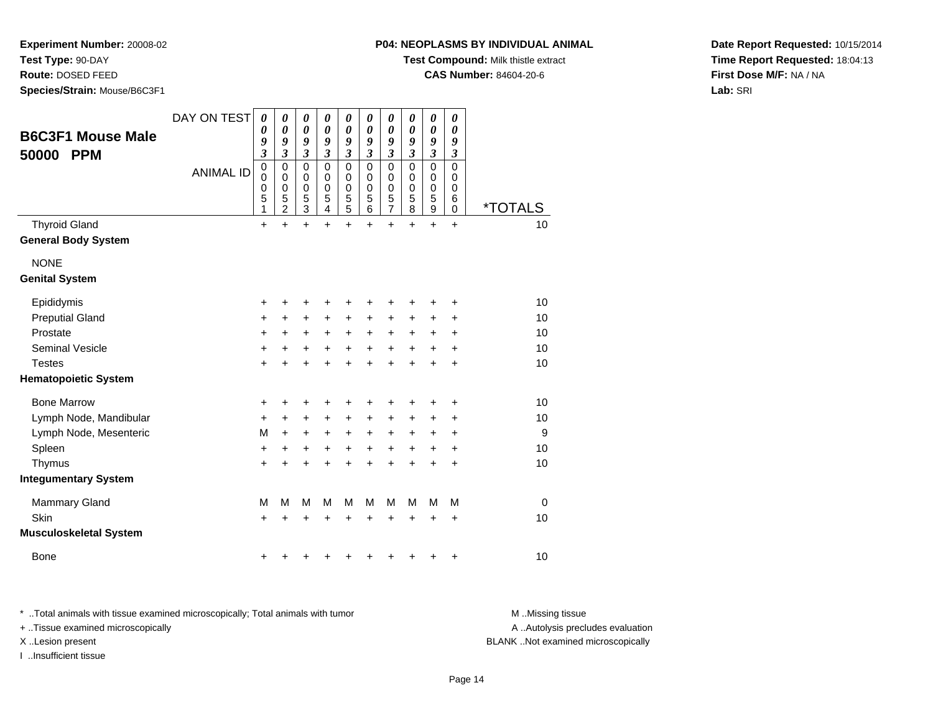**Test Type:** 90-DAY

**Route:** DOSED FEED

**Species/Strain:** Mouse/B6C3F1

**Test Compound:** Milk thistle extract

**CAS Number:** 84604-20-6

**Date Report Requested:** 10/15/2014**Time Report Requested:** 18:04:13**First Dose M/F:** NA / NA**Lab:** SRI

| <b>B6C3F1 Mouse Male</b><br>50000<br><b>PPM</b> | DAY ON TEST<br><b>ANIMAL ID</b> | 0<br>0<br>9<br>3<br>$\pmb{0}$<br>$\mathbf 0$<br>$\mathbf 0$<br>5<br>1 | 0<br>0<br>9<br>3<br>0<br>$\mathbf 0$<br>0<br>5<br>$\overline{c}$ | 0<br>$\boldsymbol{\theta}$<br>9<br>$\boldsymbol{\mathfrak{z}}$<br>$\mathbf 0$<br>$\mathbf 0$<br>$\mathbf 0$<br>5<br>$\overline{3}$ | 0<br>0<br>9<br>$\overline{\mathbf{3}}$<br>0<br>0<br>0<br>5<br>4 | 0<br>$\boldsymbol{\theta}$<br>9<br>$\mathfrak{z}$<br>0<br>$\mathbf 0$<br>$\mathbf 0$<br>5<br>5 | 0<br>$\boldsymbol{\theta}$<br>9<br>$\mathfrak{z}$<br>$\Omega$<br>0<br>0<br>5<br>6 | 0<br>0<br>9<br>$\boldsymbol{\mathfrak{z}}$<br>$\mathbf 0$<br>$\mathbf 0$<br>0<br>5<br>$\overline{7}$ | 0<br>$\boldsymbol{\theta}$<br>9<br>$\boldsymbol{\beta}$<br>$\Omega$<br>0<br>$\mathbf 0$<br>5<br>8 | 0<br>$\boldsymbol{\theta}$<br>9<br>$\boldsymbol{\mathfrak{z}}$<br>$\mathbf 0$<br>0<br>$\mathbf 0$<br>5<br>$\overline{9}$ | 0<br>$\boldsymbol{\theta}$<br>9<br>$\boldsymbol{\mathfrak{z}}$<br>$\Omega$<br>0<br>0<br>6<br>$\mathbf 0$ | <i><b>*TOTALS</b></i> |
|-------------------------------------------------|---------------------------------|-----------------------------------------------------------------------|------------------------------------------------------------------|------------------------------------------------------------------------------------------------------------------------------------|-----------------------------------------------------------------|------------------------------------------------------------------------------------------------|-----------------------------------------------------------------------------------|------------------------------------------------------------------------------------------------------|---------------------------------------------------------------------------------------------------|--------------------------------------------------------------------------------------------------------------------------|----------------------------------------------------------------------------------------------------------|-----------------------|
| <b>Thyroid Gland</b>                            |                                 | $\ddot{}$                                                             | $\ddot{}$                                                        | $\ddot{}$                                                                                                                          | $\ddot{}$                                                       | $\ddot{}$                                                                                      | $\ddot{}$                                                                         | $\ddot{}$                                                                                            | $\ddot{}$                                                                                         | $\ddot{}$                                                                                                                | $\ddot{}$                                                                                                | 10                    |
| <b>General Body System</b>                      |                                 |                                                                       |                                                                  |                                                                                                                                    |                                                                 |                                                                                                |                                                                                   |                                                                                                      |                                                                                                   |                                                                                                                          |                                                                                                          |                       |
| <b>NONE</b>                                     |                                 |                                                                       |                                                                  |                                                                                                                                    |                                                                 |                                                                                                |                                                                                   |                                                                                                      |                                                                                                   |                                                                                                                          |                                                                                                          |                       |
| <b>Genital System</b>                           |                                 |                                                                       |                                                                  |                                                                                                                                    |                                                                 |                                                                                                |                                                                                   |                                                                                                      |                                                                                                   |                                                                                                                          |                                                                                                          |                       |
| Epididymis                                      |                                 | +                                                                     | +                                                                | +                                                                                                                                  | +                                                               | +                                                                                              | +                                                                                 | +                                                                                                    | +                                                                                                 | +                                                                                                                        | +                                                                                                        | 10                    |
| <b>Preputial Gland</b>                          |                                 | +                                                                     | +                                                                | +                                                                                                                                  | +                                                               | +                                                                                              | +                                                                                 | +                                                                                                    | +                                                                                                 | +                                                                                                                        | +                                                                                                        | 10                    |
| Prostate                                        |                                 | +                                                                     | +                                                                | $\ddot{}$                                                                                                                          | +                                                               | +                                                                                              | +                                                                                 | +                                                                                                    | +                                                                                                 | +                                                                                                                        | +                                                                                                        | 10                    |
| <b>Seminal Vesicle</b>                          |                                 | +                                                                     | +                                                                | +                                                                                                                                  | +                                                               | +                                                                                              | +                                                                                 | +                                                                                                    | +                                                                                                 | +                                                                                                                        | $\ddot{}$                                                                                                | 10                    |
| <b>Testes</b>                                   |                                 | $\ddot{}$                                                             | +                                                                | +                                                                                                                                  | +                                                               | +                                                                                              | +                                                                                 | +                                                                                                    |                                                                                                   | +                                                                                                                        | +                                                                                                        | 10                    |
| <b>Hematopoietic System</b>                     |                                 |                                                                       |                                                                  |                                                                                                                                    |                                                                 |                                                                                                |                                                                                   |                                                                                                      |                                                                                                   |                                                                                                                          |                                                                                                          |                       |
| <b>Bone Marrow</b>                              |                                 | +                                                                     | $\ddot{}$                                                        | +                                                                                                                                  | +                                                               | +                                                                                              | +                                                                                 | +                                                                                                    | +                                                                                                 | +                                                                                                                        | +                                                                                                        | 10                    |
| Lymph Node, Mandibular                          |                                 | +                                                                     | $\pm$                                                            | +                                                                                                                                  | +                                                               | +                                                                                              | +                                                                                 | +                                                                                                    | +                                                                                                 | +                                                                                                                        | $\ddot{}$                                                                                                | 10                    |
| Lymph Node, Mesenteric                          |                                 | M                                                                     | $\ddot{}$                                                        | $\ddot{}$                                                                                                                          | +                                                               | +                                                                                              | $\ddot{}$                                                                         | $\ddot{}$                                                                                            | $\ddot{}$                                                                                         | $\ddot{}$                                                                                                                | $\ddot{}$                                                                                                | 9                     |
| Spleen                                          |                                 | +                                                                     | +                                                                | +                                                                                                                                  | +                                                               | +                                                                                              | +                                                                                 | +                                                                                                    | +                                                                                                 | +                                                                                                                        | +                                                                                                        | 10                    |
| Thymus                                          |                                 | $\ddot{}$                                                             | $\ddot{}$                                                        | $\ddot{}$                                                                                                                          | +                                                               | +                                                                                              | +                                                                                 | +                                                                                                    |                                                                                                   | $\ddot{}$                                                                                                                | $\ddot{}$                                                                                                | 10                    |
| <b>Integumentary System</b>                     |                                 |                                                                       |                                                                  |                                                                                                                                    |                                                                 |                                                                                                |                                                                                   |                                                                                                      |                                                                                                   |                                                                                                                          |                                                                                                          |                       |
| <b>Mammary Gland</b>                            |                                 | M                                                                     | M                                                                | M                                                                                                                                  | M                                                               | M                                                                                              | M                                                                                 | M                                                                                                    | M                                                                                                 | M                                                                                                                        | M                                                                                                        | $\mathbf 0$           |
| Skin                                            |                                 | +                                                                     | +                                                                | +                                                                                                                                  | +                                                               | +                                                                                              | +                                                                                 | +                                                                                                    | ٠                                                                                                 | +                                                                                                                        | +                                                                                                        | 10                    |
| <b>Musculoskeletal System</b>                   |                                 |                                                                       |                                                                  |                                                                                                                                    |                                                                 |                                                                                                |                                                                                   |                                                                                                      |                                                                                                   |                                                                                                                          |                                                                                                          |                       |
| <b>Bone</b>                                     |                                 | +                                                                     |                                                                  |                                                                                                                                    |                                                                 |                                                                                                |                                                                                   |                                                                                                      |                                                                                                   |                                                                                                                          | +                                                                                                        | 10                    |

\* ..Total animals with tissue examined microscopically; Total animals with tumor **M** . Missing tissue M ..Missing tissue

+ ..Tissue examined microscopically

I ..Insufficient tissue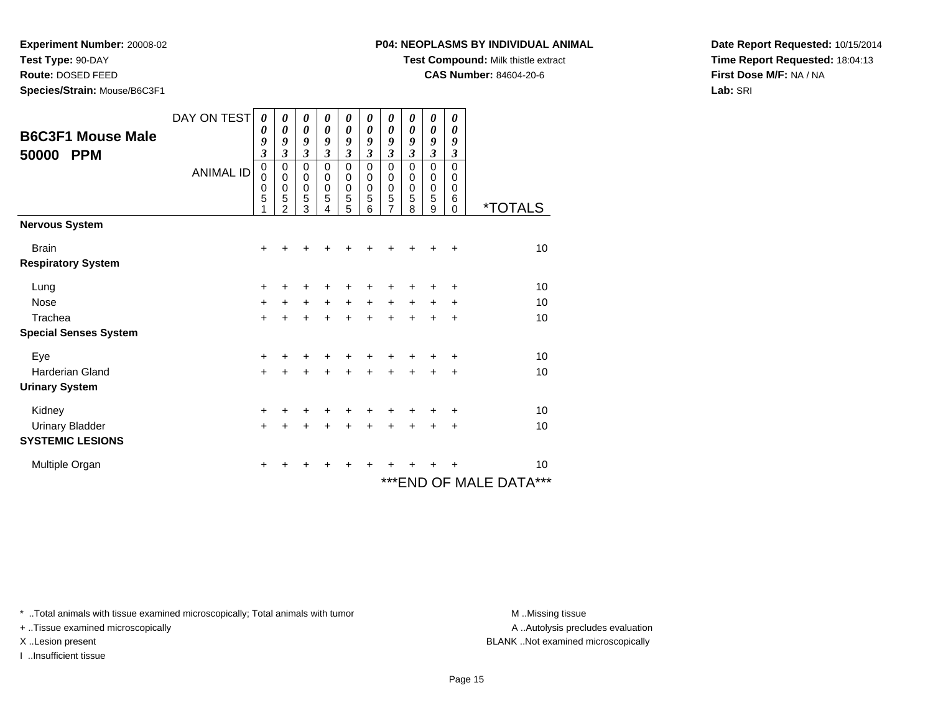**Test Type:** 90-DAY

**Route:** DOSED FEED

**Species/Strain:** Mouse/B6C3F1

**Test Compound:** Milk thistle extract

**CAS Number:** 84604-20-6

**Date Report Requested:** 10/15/2014**Time Report Requested:** 18:04:13**First Dose M/F:** NA / NA**Lab:** SRI

| <b>B6C3F1 Mouse Male</b><br>50000<br><b>PPM</b> | DAY ON TEST<br><b>ANIMAL ID</b> | $\boldsymbol{\theta}$<br>0<br>9<br>$\mathfrak{z}$<br>$\mathbf 0$<br>0<br>$\mathbf 0$<br>5<br>1 | 0<br>0<br>9<br>3<br>$\mathsf 0$<br>0<br>0<br>5<br>$\mathfrak{p}$ | 0<br>0<br>9<br>3<br>0<br>$\mathbf 0$<br>$\pmb{0}$<br>5<br>3 | 0<br>0<br>9<br>3<br>0<br>0<br>0<br>5<br>4 | 0<br>$\boldsymbol{\theta}$<br>9<br>3<br>0<br>$\pmb{0}$<br>$\mathbf 0$<br>5<br>5 | 0<br>$\boldsymbol{\theta}$<br>9<br>$\mathfrak{z}$<br>$\mathbf 0$<br>$\mathbf 0$<br>$\mathbf 0$<br>5<br>6 | 0<br>0<br>9<br>3<br>$\mathsf 0$<br>0<br>$\mathbf 0$<br>5<br>$\overline{7}$ | 0<br>0<br>9<br>$\mathfrak{z}$<br>$\mathbf 0$<br>0<br>$\mathbf 0$<br>5<br>8 | 0<br>0<br>9<br>$\overline{\mathbf{3}}$<br>$\mathbf 0$<br>$\mathbf 0$<br>$\mathbf 0$<br>5<br>9 | 0<br>0<br>9<br>$\mathfrak{z}$<br>$\Omega$<br>0<br>0<br>6<br>$\mathbf 0$ | <i><b>*TOTALS</b></i>   |
|-------------------------------------------------|---------------------------------|------------------------------------------------------------------------------------------------|------------------------------------------------------------------|-------------------------------------------------------------|-------------------------------------------|---------------------------------------------------------------------------------|----------------------------------------------------------------------------------------------------------|----------------------------------------------------------------------------|----------------------------------------------------------------------------|-----------------------------------------------------------------------------------------------|-------------------------------------------------------------------------|-------------------------|
| <b>Nervous System</b>                           |                                 |                                                                                                |                                                                  |                                                             |                                           |                                                                                 |                                                                                                          |                                                                            |                                                                            |                                                                                               |                                                                         |                         |
| <b>Brain</b>                                    |                                 | $\ddot{}$                                                                                      |                                                                  |                                                             |                                           |                                                                                 |                                                                                                          |                                                                            |                                                                            |                                                                                               | +                                                                       | 10                      |
| <b>Respiratory System</b>                       |                                 |                                                                                                |                                                                  |                                                             |                                           |                                                                                 |                                                                                                          |                                                                            |                                                                            |                                                                                               |                                                                         |                         |
| Lung                                            |                                 | $\ddot{}$                                                                                      | +                                                                | +                                                           | +                                         | +                                                                               | +                                                                                                        | ٠                                                                          |                                                                            | ٠                                                                                             | +                                                                       | 10                      |
| <b>Nose</b>                                     |                                 | $\ddot{}$                                                                                      | $+$                                                              | $+$                                                         | $+$                                       | $+$                                                                             | $+$                                                                                                      | $+$                                                                        | $+$                                                                        | $\ddot{}$                                                                                     | +                                                                       | 10                      |
| Trachea                                         |                                 | $\ddot{}$                                                                                      | +                                                                | $\ddot{}$                                                   | +                                         | $\ddot{}$                                                                       | $\ddot{}$                                                                                                | $\ddot{}$                                                                  | $\ddot{}$                                                                  | +                                                                                             | +                                                                       | 10                      |
| <b>Special Senses System</b>                    |                                 |                                                                                                |                                                                  |                                                             |                                           |                                                                                 |                                                                                                          |                                                                            |                                                                            |                                                                                               |                                                                         |                         |
| Eye                                             |                                 | +                                                                                              |                                                                  |                                                             |                                           |                                                                                 |                                                                                                          |                                                                            |                                                                            |                                                                                               | +                                                                       | 10                      |
| <b>Harderian Gland</b>                          |                                 | $\ddot{}$                                                                                      |                                                                  |                                                             |                                           | $\ddot{}$                                                                       | $\ddot{}$                                                                                                |                                                                            | +                                                                          | +                                                                                             | +                                                                       | 10                      |
| <b>Urinary System</b>                           |                                 |                                                                                                |                                                                  |                                                             |                                           |                                                                                 |                                                                                                          |                                                                            |                                                                            |                                                                                               |                                                                         |                         |
| Kidney                                          |                                 | $\ddot{}$                                                                                      |                                                                  |                                                             |                                           |                                                                                 |                                                                                                          |                                                                            |                                                                            |                                                                                               | ٠                                                                       | 10                      |
| <b>Urinary Bladder</b>                          |                                 | $\ddot{}$                                                                                      | +                                                                |                                                             |                                           | $\ddot{}$                                                                       | $\ddot{}$                                                                                                | $\ddot{}$                                                                  | $\ddot{}$                                                                  | $\ddot{}$                                                                                     | +                                                                       | 10                      |
| <b>SYSTEMIC LESIONS</b>                         |                                 |                                                                                                |                                                                  |                                                             |                                           |                                                                                 |                                                                                                          |                                                                            |                                                                            |                                                                                               |                                                                         |                         |
| Multiple Organ                                  |                                 | $\ddot{}$                                                                                      | +                                                                | +                                                           | +                                         | +                                                                               | ÷                                                                                                        |                                                                            |                                                                            |                                                                                               | ٠                                                                       | 10                      |
|                                                 |                                 |                                                                                                |                                                                  |                                                             |                                           |                                                                                 |                                                                                                          |                                                                            |                                                                            |                                                                                               |                                                                         | *** END OF MALE DATA*** |

\* ..Total animals with tissue examined microscopically; Total animals with tumor **M** . Missing tissue M ..Missing tissue

+ ..Tissue examined microscopically

I ..Insufficient tissue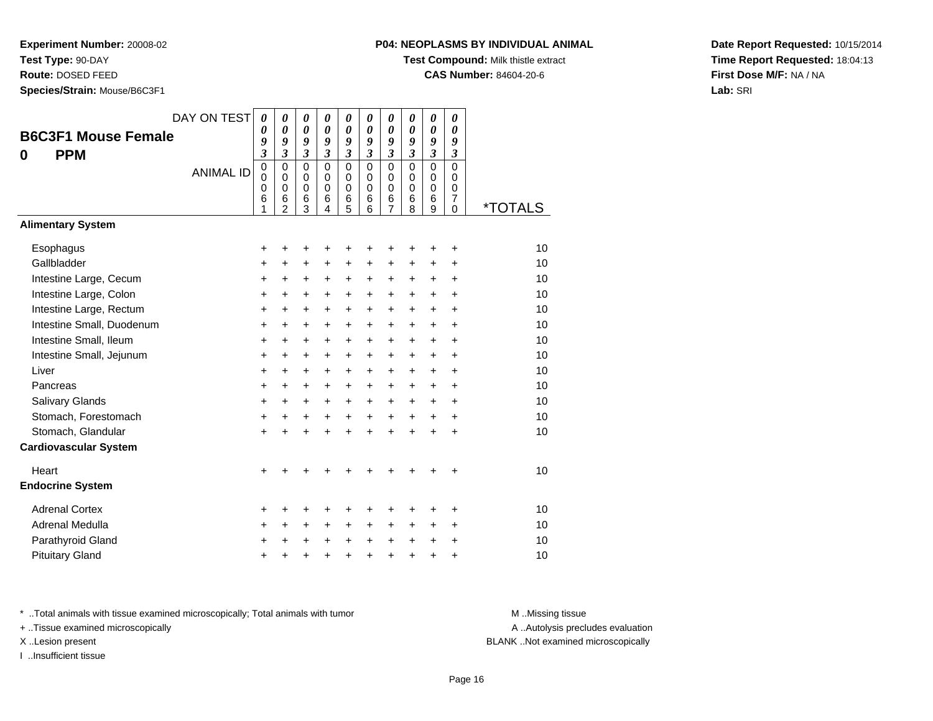**Test Type:** 90-DAY

**Route:** DOSED FEED

**Species/Strain:** Mouse/B6C3F1

# **P04: NEOPLASMS BY INDIVIDUAL ANIMAL**

**Test Compound:** Milk thistle extract

**CAS Number:** 84604-20-6

**Date Report Requested:** 10/15/2014**Time Report Requested:** 18:04:13**First Dose M/F:** NA / NA**Lab:** SRI

| DAY ON TEST<br><b>B6C3F1 Mouse Female</b><br><b>PPM</b><br>0<br><b>Alimentary System</b> | <b>ANIMAL ID</b> | 0<br>0<br>9<br>$\overline{\mathbf{3}}$<br>$\mathbf 0$<br>$\mathbf 0$<br>0<br>6<br>1 | 0<br>$\pmb{\theta}$<br>9<br>$\overline{\mathbf{3}}$<br>$\mathbf 0$<br>$\mathbf 0$<br>$\mathbf 0$<br>6<br>$\overline{2}$ | 0<br>$\boldsymbol{\theta}$<br>9<br>$\mathfrak{z}$<br>$\Omega$<br>$\mathbf 0$<br>$\mathbf 0$<br>6<br>3 | 0<br>$\boldsymbol{\theta}$<br>9<br>$\mathfrak{z}$<br>$\Omega$<br>$\Omega$<br>$\mathbf 0$<br>6<br>4 | $\boldsymbol{\theta}$<br>$\boldsymbol{\theta}$<br>9<br>$\mathfrak{z}$<br>$\mathbf 0$<br>$\pmb{0}$<br>$\mathbf 0$<br>$\,6$<br>5 | 0<br>$\boldsymbol{\theta}$<br>9<br>$\overline{3}$<br>$\mathbf 0$<br>$\mathbf 0$<br>$\mathbf 0$<br>6<br>6 | 0<br>$\boldsymbol{\theta}$<br>9<br>$\mathfrak{z}$<br>$\Omega$<br>0<br>$\mathbf 0$<br>6<br>$\overline{7}$ | 0<br>$\boldsymbol{\theta}$<br>9<br>$\mathfrak{z}$<br>$\Omega$<br>$\mathbf 0$<br>$\mathbf 0$<br>6<br>8 | $\boldsymbol{\theta}$<br>$\boldsymbol{\theta}$<br>9<br>$\overline{\mathbf{3}}$<br>$\Omega$<br>$\mathbf 0$<br>$\mathbf 0$<br>6<br>9 | 0<br>$\boldsymbol{\theta}$<br>9<br>$\mathfrak{z}$<br>$\mathbf 0$<br>$\mathbf 0$<br>$\mathbf 0$<br>$\overline{7}$<br>$\mathbf 0$ | <i><b>*TOTALS</b></i> |
|------------------------------------------------------------------------------------------|------------------|-------------------------------------------------------------------------------------|-------------------------------------------------------------------------------------------------------------------------|-------------------------------------------------------------------------------------------------------|----------------------------------------------------------------------------------------------------|--------------------------------------------------------------------------------------------------------------------------------|----------------------------------------------------------------------------------------------------------|----------------------------------------------------------------------------------------------------------|-------------------------------------------------------------------------------------------------------|------------------------------------------------------------------------------------------------------------------------------------|---------------------------------------------------------------------------------------------------------------------------------|-----------------------|
|                                                                                          |                  |                                                                                     |                                                                                                                         |                                                                                                       |                                                                                                    |                                                                                                                                |                                                                                                          |                                                                                                          |                                                                                                       |                                                                                                                                    |                                                                                                                                 |                       |
| Esophagus                                                                                |                  | +                                                                                   | +                                                                                                                       | +                                                                                                     | +                                                                                                  | +                                                                                                                              | +                                                                                                        | +                                                                                                        | +                                                                                                     | ٠                                                                                                                                  | +                                                                                                                               | 10                    |
| Gallbladder                                                                              |                  | $\ddot{}$                                                                           | $\ddot{}$                                                                                                               | $\ddot{}$                                                                                             | $\ddot{}$                                                                                          | $\ddot{}$                                                                                                                      | $\ddot{}$                                                                                                | +                                                                                                        | +                                                                                                     | $\ddot{}$                                                                                                                          | $\ddot{}$                                                                                                                       | 10                    |
| Intestine Large, Cecum                                                                   |                  | $\ddot{}$                                                                           | $\ddot{}$                                                                                                               | $\ddot{}$                                                                                             | $\ddot{}$                                                                                          | $\ddot{}$                                                                                                                      | $\ddot{}$                                                                                                | $\ddot{}$                                                                                                | $\ddot{}$                                                                                             | $\ddot{}$                                                                                                                          | $\ddot{}$                                                                                                                       | 10                    |
| Intestine Large, Colon                                                                   |                  | $\ddot{}$                                                                           | $\ddot{}$                                                                                                               | $\ddot{}$                                                                                             | $\ddot{}$                                                                                          | $\ddot{}$                                                                                                                      | $\ddot{}$                                                                                                | $\ddot{}$                                                                                                | $\ddot{}$                                                                                             | $\ddot{}$                                                                                                                          | $\ddot{}$                                                                                                                       | 10                    |
| Intestine Large, Rectum                                                                  |                  | $\ddot{}$                                                                           | +                                                                                                                       | +                                                                                                     | +                                                                                                  | +                                                                                                                              | +                                                                                                        | +                                                                                                        | $\ddot{}$                                                                                             | $\ddot{}$                                                                                                                          | $\ddot{}$                                                                                                                       | 10                    |
| Intestine Small, Duodenum                                                                |                  | $\ddot{}$                                                                           | $\ddot{}$                                                                                                               | $\ddot{}$                                                                                             | +                                                                                                  | +                                                                                                                              | $\ddot{}$                                                                                                | +                                                                                                        | $\ddot{}$                                                                                             | $\ddot{}$                                                                                                                          | $\ddot{}$                                                                                                                       | 10                    |
| Intestine Small, Ileum                                                                   |                  | +                                                                                   | +                                                                                                                       | +                                                                                                     | +                                                                                                  | $\ddot{}$                                                                                                                      | $\ddot{}$                                                                                                | +                                                                                                        | $\ddot{}$                                                                                             | $\ddot{}$                                                                                                                          | +                                                                                                                               | 10                    |
| Intestine Small, Jejunum                                                                 |                  | $\ddot{}$                                                                           | $\ddot{}$                                                                                                               | $\ddot{}$                                                                                             | +                                                                                                  | +                                                                                                                              | $\ddot{}$                                                                                                | $\ddot{}$                                                                                                | $\ddot{}$                                                                                             | $+$                                                                                                                                | $\ddot{}$                                                                                                                       | 10                    |
| Liver                                                                                    |                  | $\ddot{}$                                                                           | $\ddot{}$                                                                                                               | $\ddot{}$                                                                                             | $\ddot{}$                                                                                          | $\ddot{}$                                                                                                                      | $+$                                                                                                      | $\ddot{}$                                                                                                | $\ddot{}$                                                                                             | $+$                                                                                                                                | $\ddot{}$                                                                                                                       | 10                    |
| Pancreas                                                                                 |                  | $\ddot{}$                                                                           | $\ddot{}$                                                                                                               | $\ddot{}$                                                                                             | $\ddot{}$                                                                                          | $\ddot{}$                                                                                                                      | $+$                                                                                                      | $+$                                                                                                      | $\ddot{}$                                                                                             | $\ddot{}$                                                                                                                          | $\ddot{}$                                                                                                                       | 10                    |
| Salivary Glands                                                                          |                  | $\ddot{}$                                                                           | +                                                                                                                       | $\ddot{}$                                                                                             | $\ddot{}$                                                                                          | $\ddot{}$                                                                                                                      | $\ddot{}$                                                                                                | $\ddot{}$                                                                                                | $\ddot{}$                                                                                             | $\ddot{}$                                                                                                                          | $\ddot{}$                                                                                                                       | 10                    |
| Stomach, Forestomach                                                                     |                  | $\ddot{}$                                                                           | $\ddot{}$                                                                                                               | $\ddot{}$                                                                                             | $\ddot{}$                                                                                          | +                                                                                                                              | $+$                                                                                                      | $\ddot{}$                                                                                                | $\ddot{}$                                                                                             | $\ddot{}$                                                                                                                          | $\ddot{}$                                                                                                                       | 10                    |
| Stomach, Glandular                                                                       |                  | $\ddot{}$                                                                           | $\ddot{}$                                                                                                               | $\ddot{}$                                                                                             | $\ddot{}$                                                                                          | $\ddot{}$                                                                                                                      | $\ddot{}$                                                                                                | $\ddot{}$                                                                                                | $\ddot{}$                                                                                             | $\ddot{}$                                                                                                                          | $\ddot{}$                                                                                                                       | 10                    |
| <b>Cardiovascular System</b>                                                             |                  |                                                                                     |                                                                                                                         |                                                                                                       |                                                                                                    |                                                                                                                                |                                                                                                          |                                                                                                          |                                                                                                       |                                                                                                                                    |                                                                                                                                 |                       |
| Heart                                                                                    |                  | $\ddot{}$                                                                           |                                                                                                                         |                                                                                                       |                                                                                                    |                                                                                                                                |                                                                                                          |                                                                                                          |                                                                                                       |                                                                                                                                    |                                                                                                                                 | 10                    |
| <b>Endocrine System</b>                                                                  |                  |                                                                                     |                                                                                                                         |                                                                                                       |                                                                                                    |                                                                                                                                |                                                                                                          |                                                                                                          |                                                                                                       |                                                                                                                                    |                                                                                                                                 |                       |
| <b>Adrenal Cortex</b>                                                                    |                  | +                                                                                   | +                                                                                                                       | +                                                                                                     | +                                                                                                  | +                                                                                                                              | +                                                                                                        | +                                                                                                        | +                                                                                                     |                                                                                                                                    | +                                                                                                                               | 10                    |
| Adrenal Medulla                                                                          |                  | +                                                                                   | +                                                                                                                       | +                                                                                                     | +                                                                                                  | +                                                                                                                              | $\pm$                                                                                                    | +                                                                                                        | +                                                                                                     | $\ddot{}$                                                                                                                          | $\ddot{}$                                                                                                                       | 10                    |
| Parathyroid Gland                                                                        |                  | +                                                                                   | +                                                                                                                       | +                                                                                                     | $\ddot{}$                                                                                          | $\ddot{}$                                                                                                                      | $+$                                                                                                      | $\ddot{}$                                                                                                | $\ddot{}$                                                                                             | $\ddot{}$                                                                                                                          | $\ddot{}$                                                                                                                       | 10                    |
| <b>Pituitary Gland</b>                                                                   |                  | $\ddot{}$                                                                           | +                                                                                                                       | +                                                                                                     | $\ddot{}$                                                                                          | $\ddot{}$                                                                                                                      | $\ddot{}$                                                                                                | $\ddot{}$                                                                                                | $\ddot{}$                                                                                             | $\ddot{}$                                                                                                                          | +                                                                                                                               | 10                    |

\* ..Total animals with tissue examined microscopically; Total animals with tumor **M** . Missing tissue M ..Missing tissue

+ ..Tissue examined microscopically

I ..Insufficient tissue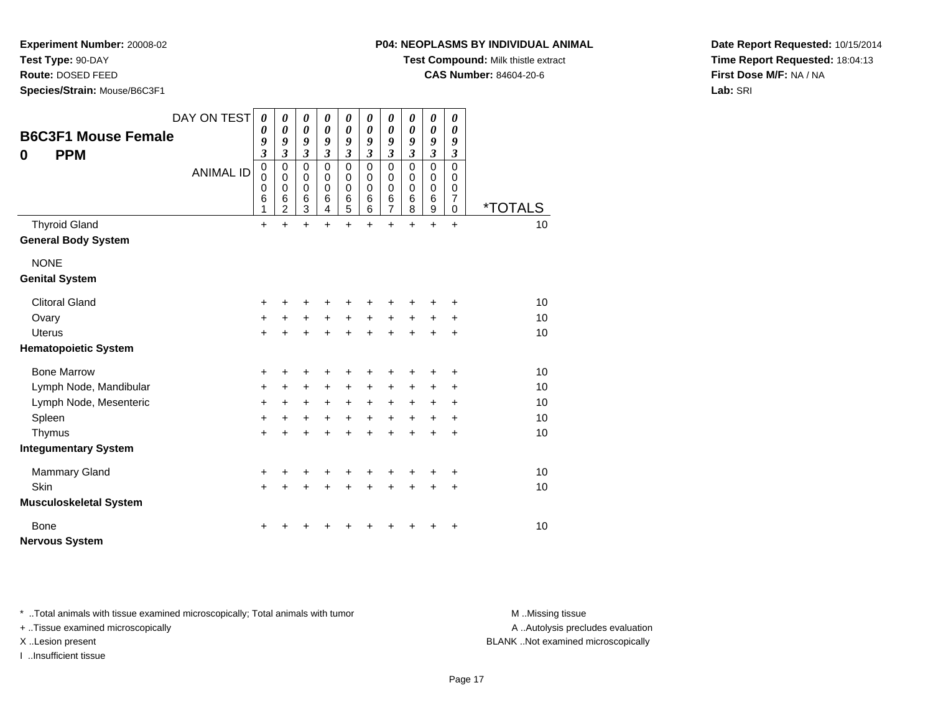**Test Type:** 90-DAY

**Route:** DOSED FEED

**Species/Strain:** Mouse/B6C3F1

**Test Compound:** Milk thistle extract

**CAS Number:** 84604-20-6

**Date Report Requested:** 10/15/2014**Time Report Requested:** 18:04:13**First Dose M/F:** NA / NA**Lab:** SRI

| <b>PPM</b><br>$\bf{0}$        | <b>B6C3F1 Mouse Female</b> | DAY ON TEST<br><b>ANIMAL ID</b> | $\boldsymbol{\theta}$<br>$\boldsymbol{\theta}$<br>9<br>$\boldsymbol{\mathfrak{z}}$<br>$\pmb{0}$<br>0<br>$\mathbf 0$<br>$6\phantom{1}6$<br>1 | 0<br>$\boldsymbol{\theta}$<br>9<br>3<br>$\mathbf 0$<br>0<br>$\mathbf 0$<br>$6\phantom{1}6$<br>$\overline{2}$ | 0<br>$\boldsymbol{\theta}$<br>9<br>$\overline{\mathbf{3}}$<br>$\mathbf 0$<br>$\mathbf 0$<br>$\mathbf 0$<br>$6\phantom{1}6$<br>3 | 0<br>$\boldsymbol{\theta}$<br>9<br>$\overline{\mathbf{3}}$<br>0<br>0<br>$\mathbf 0$<br>6<br>4 | 0<br>$\boldsymbol{\theta}$<br>9<br>3<br>0<br>0<br>$\mathbf 0$<br>6<br>5 | 0<br>$\boldsymbol{\theta}$<br>9<br>3<br>$\mathbf 0$<br>0<br>$\mathbf 0$<br>6<br>6 | 0<br>0<br>9<br>$\overline{\mathbf{3}}$<br>$\mathbf 0$<br>$\mathbf 0$<br>$\mathbf 0$<br>6<br>$\overline{7}$ | 0<br>$\boldsymbol{\theta}$<br>9<br>$\mathfrak{z}$<br>$\mathbf 0$<br>0<br>$\mathbf 0$<br>6<br>8 | 0<br>$\boldsymbol{\theta}$<br>9<br>$\mathfrak{z}$<br>$\mathbf 0$<br>$\mathbf 0$<br>$\mathbf 0$<br>6<br>9 | 0<br>$\boldsymbol{\theta}$<br>9<br>$\mathfrak{z}$<br>$\mathbf 0$<br>0<br>0<br>$\overline{7}$<br>$\mathbf 0$ | <i><b>*TOTALS</b></i> |    |
|-------------------------------|----------------------------|---------------------------------|---------------------------------------------------------------------------------------------------------------------------------------------|--------------------------------------------------------------------------------------------------------------|---------------------------------------------------------------------------------------------------------------------------------|-----------------------------------------------------------------------------------------------|-------------------------------------------------------------------------|-----------------------------------------------------------------------------------|------------------------------------------------------------------------------------------------------------|------------------------------------------------------------------------------------------------|----------------------------------------------------------------------------------------------------------|-------------------------------------------------------------------------------------------------------------|-----------------------|----|
| <b>Thyroid Gland</b>          |                            |                                 | $\ddot{}$                                                                                                                                   | +                                                                                                            | +                                                                                                                               | $\ddot{}$                                                                                     | $\ddot{}$                                                               | $\ddot{}$                                                                         | $\ddot{}$                                                                                                  | $\ddot{}$                                                                                      | $\ddot{}$                                                                                                | $\ddot{}$                                                                                                   |                       | 10 |
| <b>General Body System</b>    |                            |                                 |                                                                                                                                             |                                                                                                              |                                                                                                                                 |                                                                                               |                                                                         |                                                                                   |                                                                                                            |                                                                                                |                                                                                                          |                                                                                                             |                       |    |
| <b>NONE</b>                   |                            |                                 |                                                                                                                                             |                                                                                                              |                                                                                                                                 |                                                                                               |                                                                         |                                                                                   |                                                                                                            |                                                                                                |                                                                                                          |                                                                                                             |                       |    |
| <b>Genital System</b>         |                            |                                 |                                                                                                                                             |                                                                                                              |                                                                                                                                 |                                                                                               |                                                                         |                                                                                   |                                                                                                            |                                                                                                |                                                                                                          |                                                                                                             |                       |    |
| <b>Clitoral Gland</b>         |                            |                                 | $\ddot{}$                                                                                                                                   | +                                                                                                            | ٠                                                                                                                               | ٠                                                                                             | +                                                                       |                                                                                   |                                                                                                            |                                                                                                |                                                                                                          | ٠                                                                                                           |                       | 10 |
| Ovary                         |                            |                                 | $\ddot{}$                                                                                                                                   | $\ddot{}$                                                                                                    | $\ddot{}$                                                                                                                       | $\ddot{}$                                                                                     | $+$                                                                     | $\ddot{}$                                                                         | $+$                                                                                                        | $\ddot{}$                                                                                      | $+$                                                                                                      | $\ddot{}$                                                                                                   |                       | 10 |
| <b>Uterus</b>                 |                            |                                 | $\ddot{}$                                                                                                                                   | $\ddot{}$                                                                                                    | $\ddot{}$                                                                                                                       | $\ddot{}$                                                                                     | $\ddot{}$                                                               | $\ddot{}$                                                                         | $\ddot{}$                                                                                                  | $\ddot{}$                                                                                      | $\ddot{}$                                                                                                | +                                                                                                           |                       | 10 |
| <b>Hematopoietic System</b>   |                            |                                 |                                                                                                                                             |                                                                                                              |                                                                                                                                 |                                                                                               |                                                                         |                                                                                   |                                                                                                            |                                                                                                |                                                                                                          |                                                                                                             |                       |    |
| <b>Bone Marrow</b>            |                            |                                 | $\ddot{}$                                                                                                                                   | ÷                                                                                                            | ÷                                                                                                                               | +                                                                                             | ٠                                                                       | +                                                                                 | +                                                                                                          | ÷                                                                                              | +                                                                                                        | ÷                                                                                                           |                       | 10 |
|                               | Lymph Node, Mandibular     |                                 | $\ddot{}$                                                                                                                                   | $\ddot{}$                                                                                                    | $\ddot{}$                                                                                                                       | +                                                                                             | +                                                                       | +                                                                                 | +                                                                                                          | +                                                                                              | +                                                                                                        | +                                                                                                           |                       | 10 |
|                               | Lymph Node, Mesenteric     |                                 | +                                                                                                                                           | $\ddot{}$                                                                                                    | +                                                                                                                               | $\ddot{}$                                                                                     | $\ddot{}$                                                               | $\ddot{}$                                                                         | $\ddot{}$                                                                                                  | $\ddot{}$                                                                                      | +                                                                                                        | +                                                                                                           |                       | 10 |
| Spleen                        |                            |                                 | $\ddot{}$                                                                                                                                   | $\ddot{}$                                                                                                    | $\ddot{}$                                                                                                                       | $\ddot{}$                                                                                     | $+$                                                                     | $\ddot{}$                                                                         | $\ddot{}$                                                                                                  | $\ddot{}$                                                                                      | $\ddot{}$                                                                                                | +                                                                                                           |                       | 10 |
| Thymus                        |                            |                                 | $\ddot{}$                                                                                                                                   | $\ddot{}$                                                                                                    | $\ddot{}$                                                                                                                       | $\ddot{}$                                                                                     | $\ddot{}$                                                               | $\ddot{}$                                                                         | $\ddot{}$                                                                                                  | $\ddot{}$                                                                                      | $\ddot{}$                                                                                                | +                                                                                                           |                       | 10 |
| <b>Integumentary System</b>   |                            |                                 |                                                                                                                                             |                                                                                                              |                                                                                                                                 |                                                                                               |                                                                         |                                                                                   |                                                                                                            |                                                                                                |                                                                                                          |                                                                                                             |                       |    |
| <b>Mammary Gland</b>          |                            |                                 | +                                                                                                                                           |                                                                                                              | +                                                                                                                               |                                                                                               |                                                                         |                                                                                   |                                                                                                            |                                                                                                |                                                                                                          | +                                                                                                           |                       | 10 |
| Skin                          |                            |                                 | $+$                                                                                                                                         | $\ddot{}$                                                                                                    | $\ddot{}$                                                                                                                       | ÷                                                                                             | $\ddot{}$                                                               | ÷                                                                                 | $\ddot{}$                                                                                                  | $\ddot{}$                                                                                      | $\ddot{}$                                                                                                | $\ddot{}$                                                                                                   |                       | 10 |
| <b>Musculoskeletal System</b> |                            |                                 |                                                                                                                                             |                                                                                                              |                                                                                                                                 |                                                                                               |                                                                         |                                                                                   |                                                                                                            |                                                                                                |                                                                                                          |                                                                                                             |                       |    |
| <b>Bone</b>                   |                            |                                 | ٠                                                                                                                                           |                                                                                                              |                                                                                                                                 |                                                                                               |                                                                         |                                                                                   |                                                                                                            |                                                                                                |                                                                                                          | +                                                                                                           |                       | 10 |
| <b>Nervous System</b>         |                            |                                 |                                                                                                                                             |                                                                                                              |                                                                                                                                 |                                                                                               |                                                                         |                                                                                   |                                                                                                            |                                                                                                |                                                                                                          |                                                                                                             |                       |    |

\* ..Total animals with tissue examined microscopically; Total animals with tumor **M** . Missing tissue M ..Missing tissue

+ ..Tissue examined microscopically

I ..Insufficient tissue

A ..Autolysis precludes evaluation

X ..Lesion present BLANK ..Not examined microscopically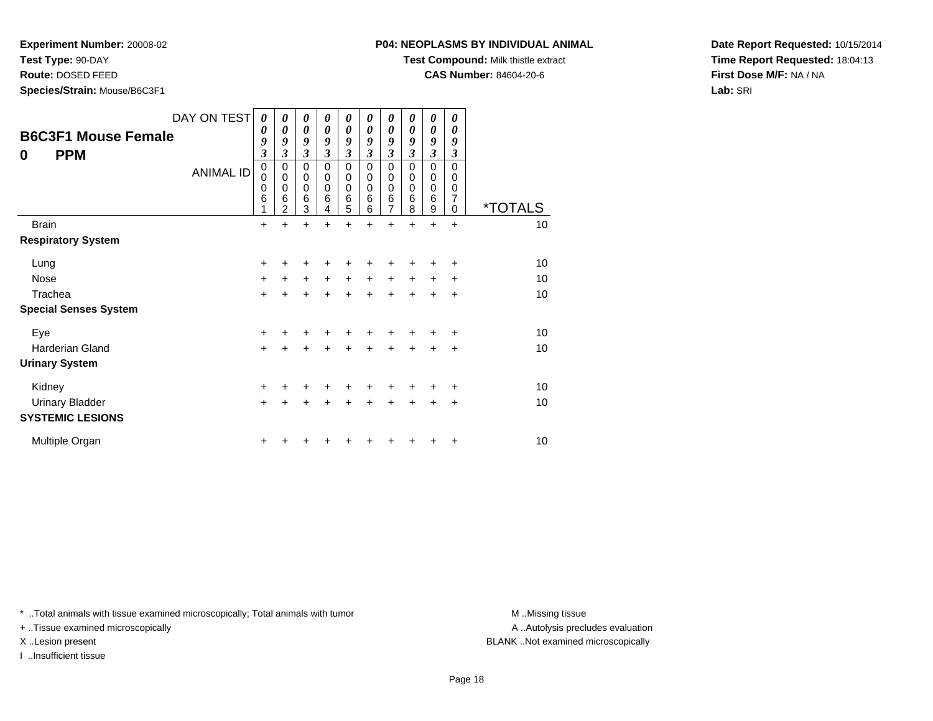**Test Type:** 90-DAY

**Route:** DOSED FEED

**Species/Strain:** Mouse/B6C3F1

**Test Compound:** Milk thistle extract

**CAS Number:** 84604-20-6

**Date Report Requested:** 10/15/2014**Time Report Requested:** 18:04:13**First Dose M/F:** NA / NA**Lab:** SRI

| <b>B6C3F1 Mouse Female</b><br><b>PPM</b><br>0 | DAY ON TEST<br><b>ANIMAL ID</b> | 0<br>0<br>9<br>$\boldsymbol{\beta}$<br>$\mathbf 0$<br>0<br>$\mathbf 0$<br>6<br>1 | 0<br>0<br>9<br>3<br>0<br>$\mathbf 0$<br>0<br>6<br>$\overline{2}$ | 0<br>0<br>9<br>3<br>0<br>0<br>0<br>6<br>3 | 0<br>0<br>9<br>3<br>0<br>$\mathbf 0$<br>0<br>6<br>4 | 0<br>0<br>9<br>3<br>$\mathbf 0$<br>$\mathbf 0$<br>$\mathbf 0$<br>6<br>5 | 0<br>0<br>$\boldsymbol{g}$<br>$\boldsymbol{\beta}$<br>0<br>$\mathbf 0$<br>$\Omega$<br>6<br>6 | 0<br>0<br>9<br>$\boldsymbol{\beta}$<br>$\mathbf 0$<br>0<br>0<br>6<br>7 | 0<br>0<br>9<br>$\mathfrak{z}$<br>$\pmb{0}$<br>$\mathbf 0$<br>$\mathbf 0$<br>6<br>8 | 0<br>0<br>9<br>3<br>0<br>$\mathbf 0$<br>0<br>6<br>9 | 0<br>0<br>9<br>3<br>$\Omega$<br>0<br>0<br>$\overline{7}$<br>$\Omega$ | <i><b>*TOTALS</b></i> |
|-----------------------------------------------|---------------------------------|----------------------------------------------------------------------------------|------------------------------------------------------------------|-------------------------------------------|-----------------------------------------------------|-------------------------------------------------------------------------|----------------------------------------------------------------------------------------------|------------------------------------------------------------------------|------------------------------------------------------------------------------------|-----------------------------------------------------|----------------------------------------------------------------------|-----------------------|
| <b>Brain</b>                                  |                                 | +                                                                                | $\ddot{}$                                                        | $\ddot{}$                                 | $\ddot{}$                                           | $\ddot{}$                                                               | $\ddot{}$                                                                                    | $\ddot{}$                                                              | $\ddot{}$                                                                          | $\ddot{}$                                           | $\ddot{}$                                                            | 10                    |
| <b>Respiratory System</b>                     |                                 |                                                                                  |                                                                  |                                           |                                                     |                                                                         |                                                                                              |                                                                        |                                                                                    |                                                     |                                                                      |                       |
| Lung                                          |                                 | +                                                                                |                                                                  |                                           |                                                     |                                                                         |                                                                                              |                                                                        |                                                                                    | +                                                   | ÷                                                                    | 10                    |
| <b>Nose</b>                                   |                                 | $+$                                                                              | +                                                                | $+$                                       | $\ddot{}$                                           | $+$                                                                     | $+$                                                                                          | $+$                                                                    | $+$                                                                                | $+$                                                 | ÷                                                                    | 10                    |
| Trachea                                       |                                 | $\ddot{}$                                                                        |                                                                  | +                                         | ÷                                                   | $\div$                                                                  | $\ddot{}$                                                                                    | $\ddot{}$                                                              | $\ddot{}$                                                                          | +                                                   | $\ddot{}$                                                            | 10                    |
| <b>Special Senses System</b>                  |                                 |                                                                                  |                                                                  |                                           |                                                     |                                                                         |                                                                                              |                                                                        |                                                                                    |                                                     |                                                                      |                       |
| Eye                                           |                                 | $\ddot{}$                                                                        |                                                                  |                                           |                                                     |                                                                         |                                                                                              |                                                                        |                                                                                    | +                                                   | ÷                                                                    | 10                    |
| <b>Harderian Gland</b>                        |                                 | $\ddot{}$                                                                        |                                                                  |                                           | ÷                                                   | $\div$                                                                  | ÷                                                                                            | $\ddot{}$                                                              | $\ddot{}$                                                                          | +                                                   | +                                                                    | 10                    |
| <b>Urinary System</b>                         |                                 |                                                                                  |                                                                  |                                           |                                                     |                                                                         |                                                                                              |                                                                        |                                                                                    |                                                     |                                                                      |                       |
| Kidney                                        |                                 | $\ddot{}$                                                                        |                                                                  | +                                         | ٠                                                   | ٠                                                                       |                                                                                              |                                                                        |                                                                                    | +                                                   | ÷                                                                    | 10                    |
| <b>Urinary Bladder</b>                        |                                 | $+$                                                                              | $\ddot{}$                                                        | $\ddot{}$                                 | $\div$                                              | $\ddot{}$                                                               | $\ddot{}$                                                                                    | $\ddot{}$                                                              | $+$                                                                                | +                                                   | $\ddot{}$                                                            | 10                    |
| <b>SYSTEMIC LESIONS</b>                       |                                 |                                                                                  |                                                                  |                                           |                                                     |                                                                         |                                                                                              |                                                                        |                                                                                    |                                                     |                                                                      |                       |
| Multiple Organ                                |                                 | +                                                                                |                                                                  |                                           |                                                     |                                                                         |                                                                                              |                                                                        |                                                                                    | ٠                                                   | +                                                                    | 10                    |

\* ..Total animals with tissue examined microscopically; Total animals with tumor **M** . Missing tissue M ..Missing tissue

+ ..Tissue examined microscopically

I ..Insufficient tissue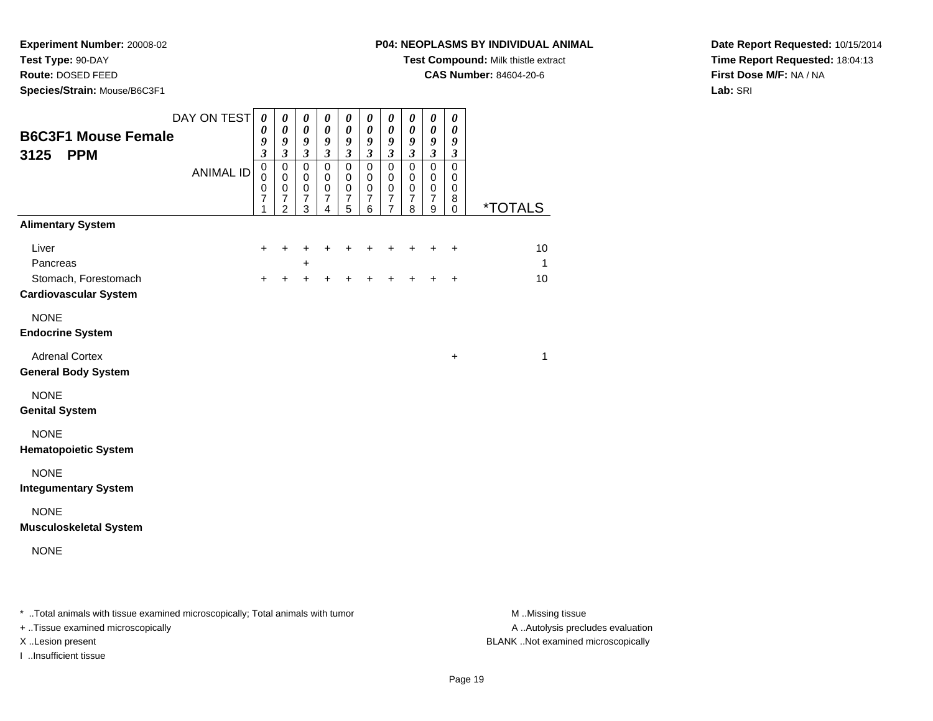**Test Type:** 90-DAY

**Route:** DOSED FEED

**Species/Strain:** Mouse/B6C3F1

**Test Compound:** Milk thistle extract

**CAS Number:** 84604-20-6

**Date Report Requested:** 10/15/2014**Time Report Requested:** 18:04:13**First Dose M/F:** NA / NA**Lab:** SRI

| <b>B6C3F1 Mouse Female</b><br>3125<br><b>PPM</b>     | DAY ON TEST<br><b>ANIMAL ID</b> | $\boldsymbol{\theta}$<br>0<br>9<br>$\mathfrak{z}$<br>$\pmb{0}$<br>0<br>0<br>7 | $\boldsymbol{\theta}$<br>0<br>9<br>$\boldsymbol{\beta}$<br>$\pmb{0}$<br>0<br>$\pmb{0}$<br>$\boldsymbol{7}$ | $\boldsymbol{\theta}$<br>0<br>9<br>$\mathfrak{z}$<br>$\mathbf 0$<br>0<br>$\pmb{0}$<br>$\overline{7}$ | $\boldsymbol{\theta}$<br>0<br>9<br>$\boldsymbol{\beta}$<br>$\mathsf 0$<br>0<br>$\pmb{0}$<br>$\boldsymbol{7}$ | $\boldsymbol{\theta}$<br>$\boldsymbol{\theta}$<br>9<br>$\boldsymbol{\beta}$<br>$\pmb{0}$<br>0<br>$\mathbf 0$<br>$\overline{7}$ | $\boldsymbol{\theta}$<br>0<br>9<br>$\boldsymbol{\beta}$<br>$\mathsf 0$<br>0<br>$\mathbf 0$<br>$\overline{7}$ | $\boldsymbol{\theta}$<br>$\boldsymbol{\theta}$<br>9<br>$\boldsymbol{\beta}$<br>$\mathsf 0$<br>0<br>$\mathbf 0$<br>$\overline{7}$ | 0<br>0<br>9<br>$\boldsymbol{\beta}$<br>$\pmb{0}$<br>0<br>$\pmb{0}$<br>$\overline{7}$ | $\boldsymbol{\theta}$<br>$\boldsymbol{\theta}$<br>$\boldsymbol{g}$<br>$\mathfrak{z}$<br>$\pmb{0}$<br>$\mathbf 0$<br>$\pmb{0}$<br>$\boldsymbol{7}$ | 0<br>$\boldsymbol{\theta}$<br>9<br>$\boldsymbol{\beta}$<br>$\pmb{0}$<br>0<br>$\pmb{0}$<br>8 |                       |
|------------------------------------------------------|---------------------------------|-------------------------------------------------------------------------------|------------------------------------------------------------------------------------------------------------|------------------------------------------------------------------------------------------------------|--------------------------------------------------------------------------------------------------------------|--------------------------------------------------------------------------------------------------------------------------------|--------------------------------------------------------------------------------------------------------------|----------------------------------------------------------------------------------------------------------------------------------|--------------------------------------------------------------------------------------|---------------------------------------------------------------------------------------------------------------------------------------------------|---------------------------------------------------------------------------------------------|-----------------------|
|                                                      |                                 | 1                                                                             | $\overline{2}$                                                                                             | 3                                                                                                    | 4                                                                                                            | 5                                                                                                                              | 6                                                                                                            | $\overline{7}$                                                                                                                   | 8                                                                                    | 9                                                                                                                                                 | $\mathbf 0$                                                                                 | <i><b>*TOTALS</b></i> |
| <b>Alimentary System</b>                             |                                 |                                                                               |                                                                                                            |                                                                                                      |                                                                                                              |                                                                                                                                |                                                                                                              |                                                                                                                                  |                                                                                      |                                                                                                                                                   |                                                                                             |                       |
| Liver                                                |                                 | $\ddot{}$                                                                     | ٠                                                                                                          |                                                                                                      | +                                                                                                            | ٠                                                                                                                              | +                                                                                                            | +                                                                                                                                | +                                                                                    | $\ddot{}$                                                                                                                                         | $\ddot{}$                                                                                   | 10                    |
| Pancreas                                             |                                 |                                                                               |                                                                                                            | +                                                                                                    |                                                                                                              |                                                                                                                                |                                                                                                              |                                                                                                                                  |                                                                                      |                                                                                                                                                   |                                                                                             | $\mathbf{1}$          |
| Stomach, Forestomach<br><b>Cardiovascular System</b> |                                 | $\ddot{}$                                                                     | +                                                                                                          | $\div$                                                                                               | +                                                                                                            | +                                                                                                                              | +                                                                                                            | +                                                                                                                                | +                                                                                    | $\ddot{}$                                                                                                                                         | $\ddot{}$                                                                                   | 10                    |
| <b>NONE</b>                                          |                                 |                                                                               |                                                                                                            |                                                                                                      |                                                                                                              |                                                                                                                                |                                                                                                              |                                                                                                                                  |                                                                                      |                                                                                                                                                   |                                                                                             |                       |
| <b>Endocrine System</b>                              |                                 |                                                                               |                                                                                                            |                                                                                                      |                                                                                                              |                                                                                                                                |                                                                                                              |                                                                                                                                  |                                                                                      |                                                                                                                                                   |                                                                                             |                       |
| <b>Adrenal Cortex</b><br><b>General Body System</b>  |                                 |                                                                               |                                                                                                            |                                                                                                      |                                                                                                              |                                                                                                                                |                                                                                                              |                                                                                                                                  |                                                                                      |                                                                                                                                                   | $\ddot{}$                                                                                   | 1                     |
| <b>NONE</b><br><b>Genital System</b>                 |                                 |                                                                               |                                                                                                            |                                                                                                      |                                                                                                              |                                                                                                                                |                                                                                                              |                                                                                                                                  |                                                                                      |                                                                                                                                                   |                                                                                             |                       |
| <b>NONE</b><br><b>Hematopoietic System</b>           |                                 |                                                                               |                                                                                                            |                                                                                                      |                                                                                                              |                                                                                                                                |                                                                                                              |                                                                                                                                  |                                                                                      |                                                                                                                                                   |                                                                                             |                       |
| <b>NONE</b><br><b>Integumentary System</b>           |                                 |                                                                               |                                                                                                            |                                                                                                      |                                                                                                              |                                                                                                                                |                                                                                                              |                                                                                                                                  |                                                                                      |                                                                                                                                                   |                                                                                             |                       |
| <b>NONE</b><br><b>Musculoskeletal System</b>         |                                 |                                                                               |                                                                                                            |                                                                                                      |                                                                                                              |                                                                                                                                |                                                                                                              |                                                                                                                                  |                                                                                      |                                                                                                                                                   |                                                                                             |                       |
| <b>NONE</b>                                          |                                 |                                                                               |                                                                                                            |                                                                                                      |                                                                                                              |                                                                                                                                |                                                                                                              |                                                                                                                                  |                                                                                      |                                                                                                                                                   |                                                                                             |                       |

\* ..Total animals with tissue examined microscopically; Total animals with tumor **M** . Missing tissue M ..Missing tissue

+ ..Tissue examined microscopically

I ..Insufficient tissue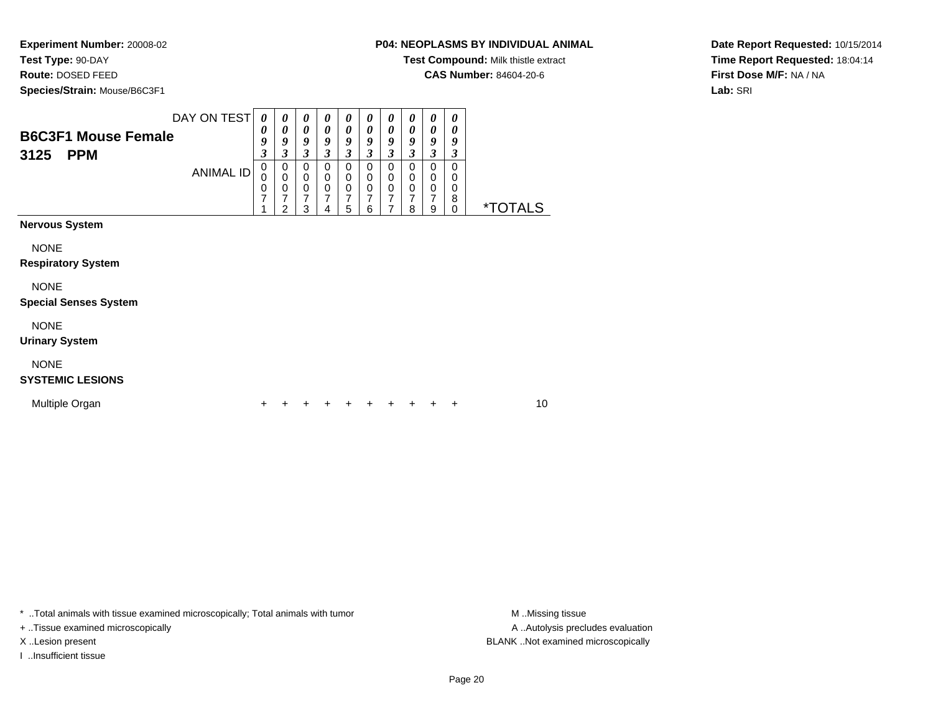**Test Type:** 90-DAY

**Route:** DOSED FEED

**Species/Strain:** Mouse/B6C3F1

**Test Compound:** Milk thistle extract

**CAS Number:** 84604-20-6

**Date Report Requested:** 10/15/2014**Time Report Requested:** 18:04:14**First Dose M/F:** NA / NA**Lab:** SRI

|                              | DAY ON TEST | 0                | 0                          | 0                          | 0                          | 0                          | 0                        | 0                          | 0                | $\boldsymbol{\theta}$ | 0             |                       |
|------------------------------|-------------|------------------|----------------------------|----------------------------|----------------------------|----------------------------|--------------------------|----------------------------|------------------|-----------------------|---------------|-----------------------|
| <b>B6C3F1 Mouse Female</b>   |             | 0<br>9           | 0<br>9                     | 0<br>9                     | 0<br>9                     | $\boldsymbol{\theta}$<br>9 | 0<br>9                   | $\boldsymbol{\theta}$<br>9 | 0<br>9           | 0<br>9                | 0<br>9        |                       |
| <b>PPM</b><br>3125           |             | 3                | 3                          | 3                          | 3                          | $\mathfrak{z}$             | 3                        | $\mathfrak{z}$             | 3                | $\mathfrak{z}$        | 3             |                       |
|                              | ANIMAL ID   | $\mathbf 0$<br>0 | $\mathbf 0$<br>$\mathbf 0$ | $\mathbf 0$<br>$\mathbf 0$ | $\mathbf 0$<br>$\mathbf 0$ | 0<br>$\mathbf 0$           | $\pmb{0}$<br>$\mathbf 0$ | $\mathbf 0$<br>$\mathbf 0$ | $\mathbf 0$<br>0 | $\mathbf 0$<br>0      | $\Omega$<br>0 |                       |
|                              |             | 0                | $\mathbf 0$                | $\mathbf 0$                | $\mathbf 0$                | $\mathbf 0$                | $\mathbf 0$              | $\pmb{0}$                  | $\mathbf 0$      | $\pmb{0}$             | 0             |                       |
|                              |             | $\overline{7}$   | 7<br>2                     | 7<br>3                     | $\overline{7}$<br>4        | $\overline{7}$<br>5        | 7<br>6                   | 7<br>$\overline{7}$        | 7<br>8           | 7<br>$\mathsf g$      | 8<br>$\Omega$ | <i><b>*TOTALS</b></i> |
| <b>Nervous System</b>        |             |                  |                            |                            |                            |                            |                          |                            |                  |                       |               |                       |
| <b>NONE</b>                  |             |                  |                            |                            |                            |                            |                          |                            |                  |                       |               |                       |
| <b>Respiratory System</b>    |             |                  |                            |                            |                            |                            |                          |                            |                  |                       |               |                       |
| <b>NONE</b>                  |             |                  |                            |                            |                            |                            |                          |                            |                  |                       |               |                       |
| <b>Special Senses System</b> |             |                  |                            |                            |                            |                            |                          |                            |                  |                       |               |                       |
| <b>NONE</b>                  |             |                  |                            |                            |                            |                            |                          |                            |                  |                       |               |                       |
| <b>Urinary System</b>        |             |                  |                            |                            |                            |                            |                          |                            |                  |                       |               |                       |
| <b>NONE</b>                  |             |                  |                            |                            |                            |                            |                          |                            |                  |                       |               |                       |
| <b>SYSTEMIC LESIONS</b>      |             |                  |                            |                            |                            |                            |                          |                            |                  |                       |               |                       |
| Multiple Organ               |             | ÷                |                            |                            | ÷                          | ÷                          | ٠                        | ٠                          |                  |                       | ÷             | 10                    |

\* ..Total animals with tissue examined microscopically; Total animals with tumor **M** . Missing tissue M ..Missing tissue

+ ..Tissue examined microscopically

I ..Insufficient tissue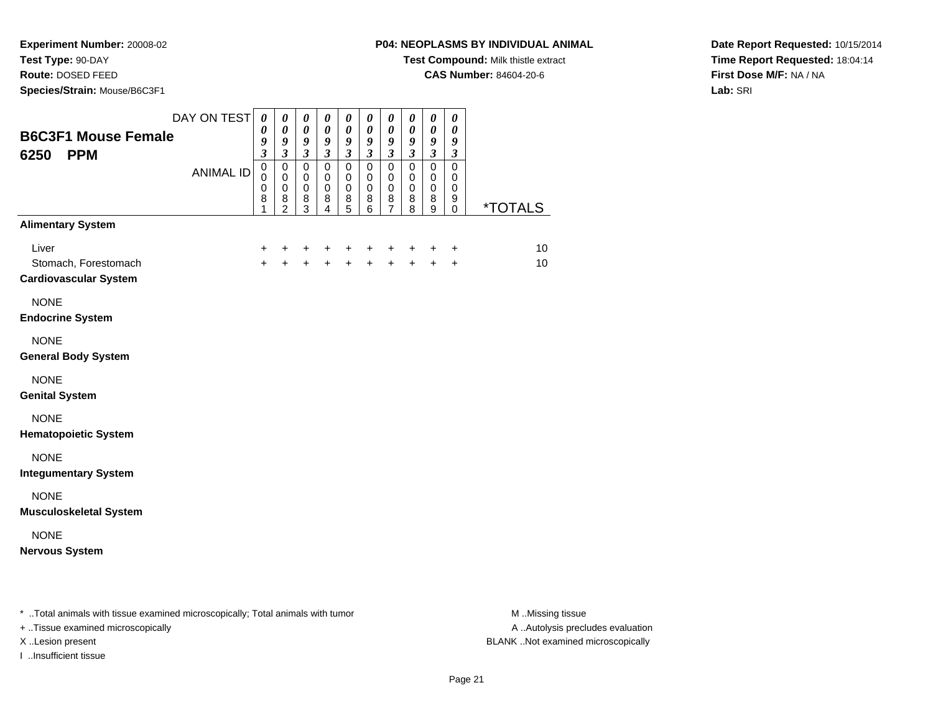**Test Type:** 90-DAY

**Route:** DOSED FEED

**Species/Strain:** Mouse/B6C3F1

# **P04: NEOPLASMS BY INDIVIDUAL ANIMAL**

**Test Compound:** Milk thistle extract

**CAS Number:** 84604-20-6

**Date Report Requested:** 10/15/2014**Time Report Requested:** 18:04:14**First Dose M/F:** NA / NA**Lab:** SRI

| <b>B6C3F1 Mouse Female</b><br><b>PPM</b><br>6250                                 | DAY ON TEST      | $\boldsymbol{\theta}$<br>0<br>9<br>$\boldsymbol{\beta}$ | 0<br>$\boldsymbol{\theta}$<br>9<br>$\mathfrak{z}$                | $\boldsymbol{\theta}$<br>$\boldsymbol{\theta}$<br>9<br>$\mathfrak{z}$ | $\boldsymbol{\theta}$<br>$\boldsymbol{\theta}$<br>9<br>$\mathfrak{z}$ | $\pmb{\theta}$<br>$\pmb{\theta}$<br>9<br>$\mathfrak{z}$          | $\boldsymbol{\theta}$<br>$\boldsymbol{\theta}$<br>9<br>$\mathfrak{z}$ | $\pmb{\theta}$<br>$\pmb{\theta}$<br>9<br>$\boldsymbol{\mathfrak{z}}$             | 0<br>$\pmb{\theta}$<br>9<br>$\boldsymbol{\mathfrak{z}}$ | $\pmb{\theta}$<br>$\pmb{\theta}$<br>9<br>$\mathfrak{z}$ | $\boldsymbol{\theta}$<br>$\boldsymbol{\theta}$<br>9<br>$\boldsymbol{\beta}$ |                       |
|----------------------------------------------------------------------------------|------------------|---------------------------------------------------------|------------------------------------------------------------------|-----------------------------------------------------------------------|-----------------------------------------------------------------------|------------------------------------------------------------------|-----------------------------------------------------------------------|----------------------------------------------------------------------------------|---------------------------------------------------------|---------------------------------------------------------|-----------------------------------------------------------------------------|-----------------------|
|                                                                                  | <b>ANIMAL ID</b> | $\mathbf 0$<br>$\mathbf 0$<br>$\mathbf 0$<br>8<br>1     | $\mathbf 0$<br>$\mathbf 0$<br>$\mathbf 0$<br>8<br>$\overline{c}$ | $\mathbf 0$<br>$\mathbf 0$<br>$\mathbf 0$<br>8<br>3                   | $\Omega$<br>0<br>$\mathbf 0$<br>8<br>$\overline{4}$                   | $\mathbf 0$<br>$\mathbf 0$<br>$\mathbf 0$<br>8<br>$\overline{5}$ | $\mathbf 0$<br>$\mathbf 0$<br>$\mathbf 0$<br>8<br>6                   | $\mathbf 0$<br>$\mathbf 0$<br>$\pmb{0}$<br>$\begin{array}{c} 8 \\ 7 \end{array}$ | $\mathbf 0$<br>0<br>$\mathbf 0$<br>8<br>8               | $\mathbf 0$<br>$\mathbf 0$<br>$\pmb{0}$<br>8<br>9       | $\mathbf 0$<br>0<br>0<br>9<br>0                                             | <i><b>*TOTALS</b></i> |
| <b>Alimentary System</b>                                                         |                  |                                                         |                                                                  |                                                                       |                                                                       |                                                                  |                                                                       |                                                                                  |                                                         |                                                         |                                                                             |                       |
| Liver<br>Stomach, Forestomach<br><b>Cardiovascular System</b>                    |                  | +<br>$\ddot{}$                                          | $\ddot{}$<br>$\ddot{}$                                           | $\ddot{}$<br>$+$                                                      | $\ddot{}$<br>$+$                                                      | +<br>$+$                                                         | +<br>$\ddot{}$                                                        | $\ddot{}$<br>$+$                                                                 | +<br>$\ddot{}$                                          | $\pm$<br>$+$                                            | $\ddot{}$<br>$\ddot{}$                                                      | 10<br>10              |
| <b>NONE</b><br><b>Endocrine System</b>                                           |                  |                                                         |                                                                  |                                                                       |                                                                       |                                                                  |                                                                       |                                                                                  |                                                         |                                                         |                                                                             |                       |
| <b>NONE</b><br><b>General Body System</b>                                        |                  |                                                         |                                                                  |                                                                       |                                                                       |                                                                  |                                                                       |                                                                                  |                                                         |                                                         |                                                                             |                       |
| <b>NONE</b><br><b>Genital System</b>                                             |                  |                                                         |                                                                  |                                                                       |                                                                       |                                                                  |                                                                       |                                                                                  |                                                         |                                                         |                                                                             |                       |
| <b>NONE</b><br><b>Hematopoietic System</b>                                       |                  |                                                         |                                                                  |                                                                       |                                                                       |                                                                  |                                                                       |                                                                                  |                                                         |                                                         |                                                                             |                       |
| <b>NONE</b><br><b>Integumentary System</b>                                       |                  |                                                         |                                                                  |                                                                       |                                                                       |                                                                  |                                                                       |                                                                                  |                                                         |                                                         |                                                                             |                       |
| <b>NONE</b><br><b>Musculoskeletal System</b>                                     |                  |                                                         |                                                                  |                                                                       |                                                                       |                                                                  |                                                                       |                                                                                  |                                                         |                                                         |                                                                             |                       |
| <b>NONE</b><br><b>Nervous System</b>                                             |                  |                                                         |                                                                  |                                                                       |                                                                       |                                                                  |                                                                       |                                                                                  |                                                         |                                                         |                                                                             |                       |
| * Total opimals with tionus overningd misrosoppisally: Total opimals with typess |                  |                                                         |                                                                  |                                                                       |                                                                       |                                                                  |                                                                       |                                                                                  |                                                         |                                                         |                                                                             | $M$ $Mication$        |

..Total animals with tissue examined microscopically; Total animals with tumor M ..Missing tissue M ..Missing tissue

+ ..Tissue examined microscopically

I ..Insufficient tissue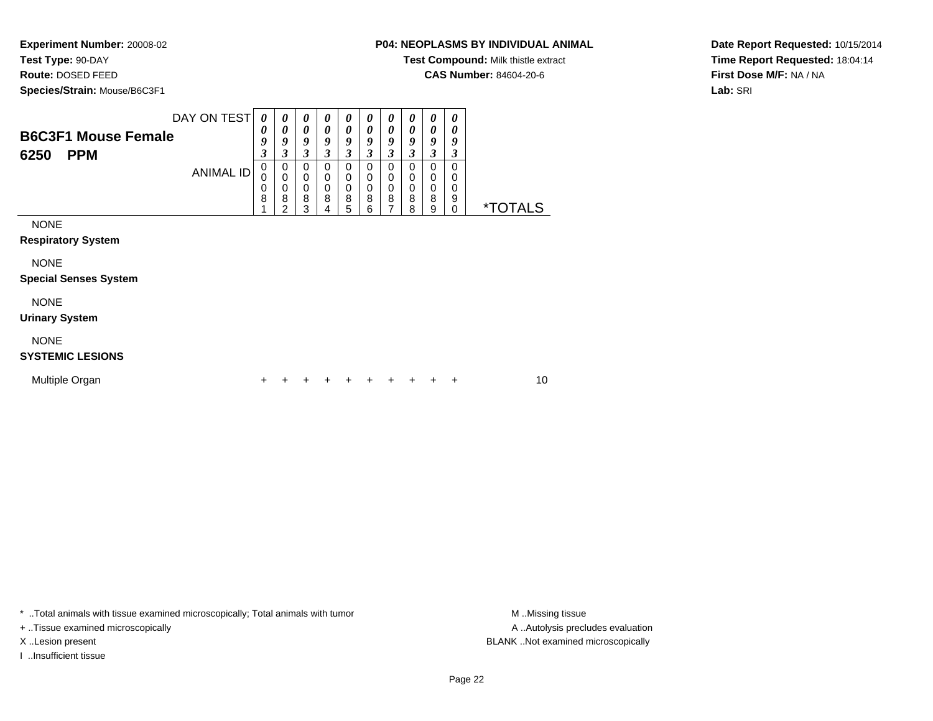**Test Type:** 90-DAY

**Route:** DOSED FEED

**Species/Strain:** Mouse/B6C3F1

**Test Compound:** Milk thistle extract

**CAS Number:** 84604-20-6

**Date Report Requested:** 10/15/2014**Time Report Requested:** 18:04:14**First Dose M/F:** NA / NA**Lab:** SRI

| <b>B6C3F1 Mouse Female</b><br>6250<br><b>PPM</b>                                        | DAY ON TEST<br><b>ANIMAL ID</b> | 0<br>0<br>9<br>$\mathfrak{z}$<br>0<br>0<br>0<br>8 | 0<br>0<br>9<br>3<br>0<br>$\mathbf 0$<br>$\boldsymbol{0}$<br>8<br>$\mathfrak{p}$ | 0<br>$\boldsymbol{\theta}$<br>9<br>3<br>$\mathbf 0$<br>0<br>$\Omega$<br>8<br>3 | 0<br>$\boldsymbol{\theta}$<br>9<br>$\mathfrak{z}$<br>0<br>0<br>$\mathbf 0$<br>8<br>4 | 0<br>0<br>9<br>3<br>0<br>$\mathbf 0$<br>$\mathbf 0$<br>8<br>5 | 0<br>$\boldsymbol{\theta}$<br>9<br>3<br>0<br>$\mathbf 0$<br>$\mathbf 0$<br>8<br>6 | 0<br>$\boldsymbol{\theta}$<br>9<br>3<br>0<br>0<br>$\mathbf 0$<br>8<br>$\overline{7}$ | 0<br>0<br>9<br>3<br>0<br>0<br>$\mathbf 0$<br>8<br>8 | 0<br>0<br>9<br>3<br>0<br>$\mathbf 0$<br>$\mathbf 0$<br>8<br>9 | 0<br>0<br>9<br>3<br>0<br>0<br>$\Omega$<br>9<br>0 | <i><b>*TOTALS</b></i> |
|-----------------------------------------------------------------------------------------|---------------------------------|---------------------------------------------------|---------------------------------------------------------------------------------|--------------------------------------------------------------------------------|--------------------------------------------------------------------------------------|---------------------------------------------------------------|-----------------------------------------------------------------------------------|--------------------------------------------------------------------------------------|-----------------------------------------------------|---------------------------------------------------------------|--------------------------------------------------|-----------------------|
| <b>NONE</b><br><b>Respiratory System</b><br><b>NONE</b><br><b>Special Senses System</b> |                                 |                                                   |                                                                                 |                                                                                |                                                                                      |                                                               |                                                                                   |                                                                                      |                                                     |                                                               |                                                  |                       |
| <b>NONE</b><br><b>Urinary System</b><br><b>NONE</b><br><b>SYSTEMIC LESIONS</b>          |                                 |                                                   |                                                                                 |                                                                                |                                                                                      |                                                               |                                                                                   |                                                                                      |                                                     |                                                               |                                                  |                       |
| Multiple Organ                                                                          |                                 |                                                   |                                                                                 |                                                                                |                                                                                      |                                                               |                                                                                   | +                                                                                    |                                                     | +                                                             | +                                                | 10                    |

\* ..Total animals with tissue examined microscopically; Total animals with tumor **M** . Missing tissue M ..Missing tissue

+ ..Tissue examined microscopically

I ..Insufficient tissue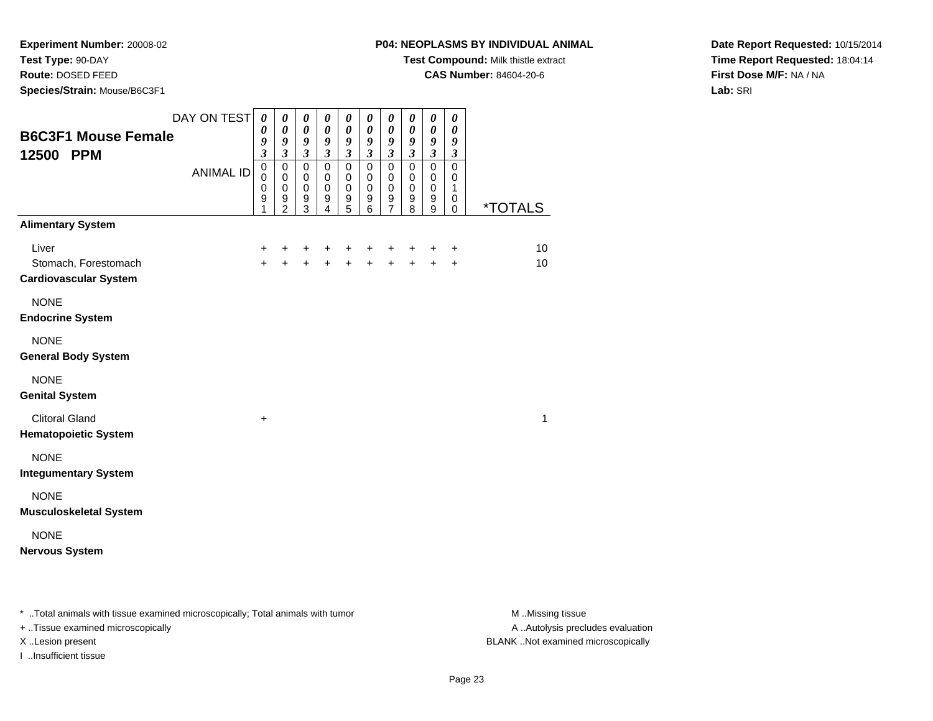**Test Type:** 90-DAY

**Route:** DOSED FEED

**Species/Strain:** Mouse/B6C3F1

**Test Compound:** Milk thistle extract

**CAS Number:** 84604-20-6

**Date Report Requested:** 10/15/2014**Time Report Requested:** 18:04:14**First Dose M/F:** NA / NA**Lab:** SRI

| <b>B6C3F1 Mouse Female</b>                                    | DAY ON TEST      | $\boldsymbol{\theta}$<br>0<br>9                                  | $\boldsymbol{\theta}$<br>$\boldsymbol{\theta}$<br>9                                               | 0<br>$\pmb{\theta}$<br>9                                                               | $\boldsymbol{\theta}$<br>$\boldsymbol{\theta}$<br>$\boldsymbol{g}$             | 0<br>0<br>9                                                                                 | $\boldsymbol{\theta}$<br>$\boldsymbol{\theta}$<br>$\boldsymbol{g}$ | 0<br>$\boldsymbol{\theta}$<br>$\boldsymbol{g}$                                      | $\boldsymbol{\theta}$<br>$\pmb{\theta}$<br>$\pmb{9}$                                          | $\boldsymbol{\theta}$<br>$\boldsymbol{\theta}$<br>9                                           | 0<br>$\pmb{\theta}$<br>9                                                        |                       |
|---------------------------------------------------------------|------------------|------------------------------------------------------------------|---------------------------------------------------------------------------------------------------|----------------------------------------------------------------------------------------|--------------------------------------------------------------------------------|---------------------------------------------------------------------------------------------|--------------------------------------------------------------------|-------------------------------------------------------------------------------------|-----------------------------------------------------------------------------------------------|-----------------------------------------------------------------------------------------------|---------------------------------------------------------------------------------|-----------------------|
| 12500 PPM                                                     | <b>ANIMAL ID</b> | $\overline{\mathbf{3}}$<br>$\,0\,$<br>$\mathbf 0$<br>0<br>9<br>1 | $\mathfrak{z}$<br>$\mathbf 0$<br>$\mathbf 0$<br>$\mathbf 0$<br>$\boldsymbol{9}$<br>$\overline{2}$ | $\overline{\mathbf{3}}$<br>$\mathbf 0$<br>$\mathbf 0$<br>$\pmb{0}$<br>$\mathsf g$<br>3 | $\overline{\mathbf{3}}$<br>$\mathbf 0$<br>$\mathbf 0$<br>$\mathbf 0$<br>9<br>4 | $\overline{\mathbf{3}}$<br>$\pmb{0}$<br>$\mathbf 0$<br>$\mathbf 0$<br>$\boldsymbol{9}$<br>5 | $\mathfrak{z}$<br>$\mathbf 0$<br>0<br>$\mathbf 0$<br>9<br>6        | $\mathfrak{z}$<br>$\pmb{0}$<br>0<br>$\pmb{0}$<br>$\boldsymbol{9}$<br>$\overline{7}$ | $\overline{\mathbf{3}}$<br>$\mathbf 0$<br>$\mathbf 0$<br>$\mathbf 0$<br>$\boldsymbol{9}$<br>8 | $\overline{\mathbf{3}}$<br>$\mathbf 0$<br>$\mathbf 0$<br>$\mathbf 0$<br>$\boldsymbol{9}$<br>9 | $\overline{\mathbf{3}}$<br>$\mathbf 0$<br>$\mathbf 0$<br>$\mathbf{1}$<br>0<br>0 | <i><b>*TOTALS</b></i> |
| <b>Alimentary System</b>                                      |                  |                                                                  |                                                                                                   |                                                                                        |                                                                                |                                                                                             |                                                                    |                                                                                     |                                                                                               |                                                                                               |                                                                                 |                       |
| Liver<br>Stomach, Forestomach<br><b>Cardiovascular System</b> |                  | +<br>$\ddot{+}$                                                  | +<br>$\ddot{}$                                                                                    | +<br>$+$                                                                               | +<br>$+$                                                                       | +<br>$\ddot{+}$                                                                             | +<br>$+$                                                           | +<br>$+$                                                                            | +<br>$+$                                                                                      | +<br>$+$                                                                                      | +<br>$\ddot{}$                                                                  | 10<br>10              |
| <b>NONE</b><br><b>Endocrine System</b>                        |                  |                                                                  |                                                                                                   |                                                                                        |                                                                                |                                                                                             |                                                                    |                                                                                     |                                                                                               |                                                                                               |                                                                                 |                       |
| <b>NONE</b><br><b>General Body System</b>                     |                  |                                                                  |                                                                                                   |                                                                                        |                                                                                |                                                                                             |                                                                    |                                                                                     |                                                                                               |                                                                                               |                                                                                 |                       |
| <b>NONE</b><br><b>Genital System</b>                          |                  |                                                                  |                                                                                                   |                                                                                        |                                                                                |                                                                                             |                                                                    |                                                                                     |                                                                                               |                                                                                               |                                                                                 |                       |
| <b>Clitoral Gland</b><br><b>Hematopoietic System</b>          |                  | +                                                                |                                                                                                   |                                                                                        |                                                                                |                                                                                             |                                                                    |                                                                                     |                                                                                               |                                                                                               |                                                                                 | 1                     |
| <b>NONE</b><br><b>Integumentary System</b>                    |                  |                                                                  |                                                                                                   |                                                                                        |                                                                                |                                                                                             |                                                                    |                                                                                     |                                                                                               |                                                                                               |                                                                                 |                       |
| <b>NONE</b><br><b>Musculoskeletal System</b>                  |                  |                                                                  |                                                                                                   |                                                                                        |                                                                                |                                                                                             |                                                                    |                                                                                     |                                                                                               |                                                                                               |                                                                                 |                       |
| <b>NONE</b><br><b>Nervous System</b>                          |                  |                                                                  |                                                                                                   |                                                                                        |                                                                                |                                                                                             |                                                                    |                                                                                     |                                                                                               |                                                                                               |                                                                                 |                       |
|                                                               |                  |                                                                  |                                                                                                   |                                                                                        |                                                                                |                                                                                             |                                                                    |                                                                                     |                                                                                               |                                                                                               |                                                                                 |                       |

\* ..Total animals with tissue examined microscopically; Total animals with tumor **M** . Missing tissue M ..Missing tissue

+ ..Tissue examined microscopically

I ..Insufficient tissue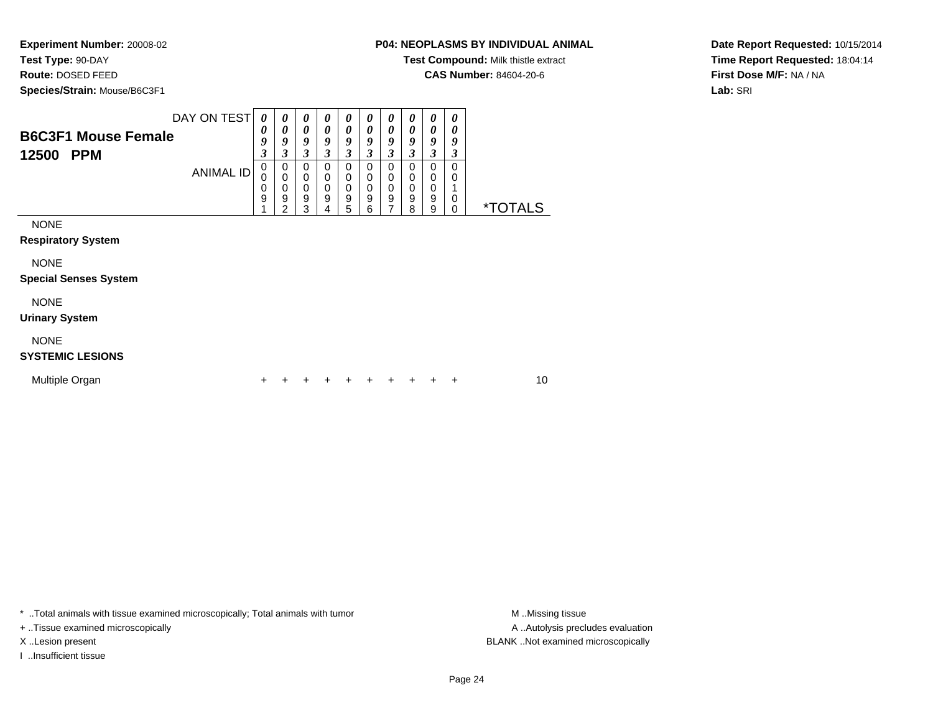**Test Type:** 90-DAY

**Route:** DOSED FEED

**Species/Strain:** Mouse/B6C3F1

# **P04: NEOPLASMS BY INDIVIDUAL ANIMAL**

**Test Compound:** Milk thistle extract

**CAS Number:** 84604-20-6

**Date Report Requested:** 10/15/2014**Time Report Requested:** 18:04:14**First Dose M/F:** NA / NA**Lab:** SRI

| <b>B6C3F1 Mouse Female</b><br>12500<br><b>PPM</b>                                       | DAY ON TEST<br><b>ANIMAL ID</b> | $\theta$<br>0<br>9<br>3<br>0<br>$\Omega$<br>0<br>9 | 0<br>0<br>9<br>3<br>$\mathbf 0$<br>$\mathbf 0$<br>0<br>9 | 0<br>$\boldsymbol{\theta}$<br>9<br>3<br>$\Omega$<br>$\mathbf 0$<br>$\mathbf 0$<br>9 | 0<br>0<br>9<br>3<br>$\mathbf 0$<br>0<br>0<br>$\boldsymbol{9}$ | 0<br>0<br>9<br>$\mathfrak{z}$<br>$\mathbf 0$<br>0<br>0<br>$\boldsymbol{9}$ | 0<br>0<br>9<br>3<br>$\mathbf 0$<br>$\mathbf 0$<br>0<br>9 | 0<br>$\boldsymbol{\theta}$<br>9<br>$\mathfrak{z}$<br>$\mathbf 0$<br>$\mathbf 0$<br>0<br>9 | 0<br>0<br>9<br>$\boldsymbol{\beta}$<br>0<br>0<br>0<br>$\mathsf g$ | 0<br>0<br>9<br>$\mathfrak{z}$<br>$\mathbf 0$<br>0<br>0<br>$\mathsf g$ | 0<br>0<br>9<br>3<br>0<br>0<br>0 | <i><b>*TOTALS</b></i> |
|-----------------------------------------------------------------------------------------|---------------------------------|----------------------------------------------------|----------------------------------------------------------|-------------------------------------------------------------------------------------|---------------------------------------------------------------|----------------------------------------------------------------------------|----------------------------------------------------------|-------------------------------------------------------------------------------------------|-------------------------------------------------------------------|-----------------------------------------------------------------------|---------------------------------|-----------------------|
| <b>NONE</b><br><b>Respiratory System</b><br><b>NONE</b><br><b>Special Senses System</b> |                                 |                                                    | $\overline{2}$                                           | 3                                                                                   | 4                                                             | 5                                                                          | 6                                                        | 7                                                                                         | 8                                                                 | 9                                                                     | 0                               |                       |
| <b>NONE</b><br><b>Urinary System</b>                                                    |                                 |                                                    |                                                          |                                                                                     |                                                               |                                                                            |                                                          |                                                                                           |                                                                   |                                                                       |                                 |                       |
| <b>NONE</b><br><b>SYSTEMIC LESIONS</b><br>Multiple Organ                                |                                 |                                                    |                                                          |                                                                                     |                                                               |                                                                            |                                                          |                                                                                           |                                                                   |                                                                       | ٠                               | 10                    |

\* ..Total animals with tissue examined microscopically; Total animals with tumor **M** . Missing tissue M ..Missing tissue

+ ..Tissue examined microscopically

I ..Insufficient tissue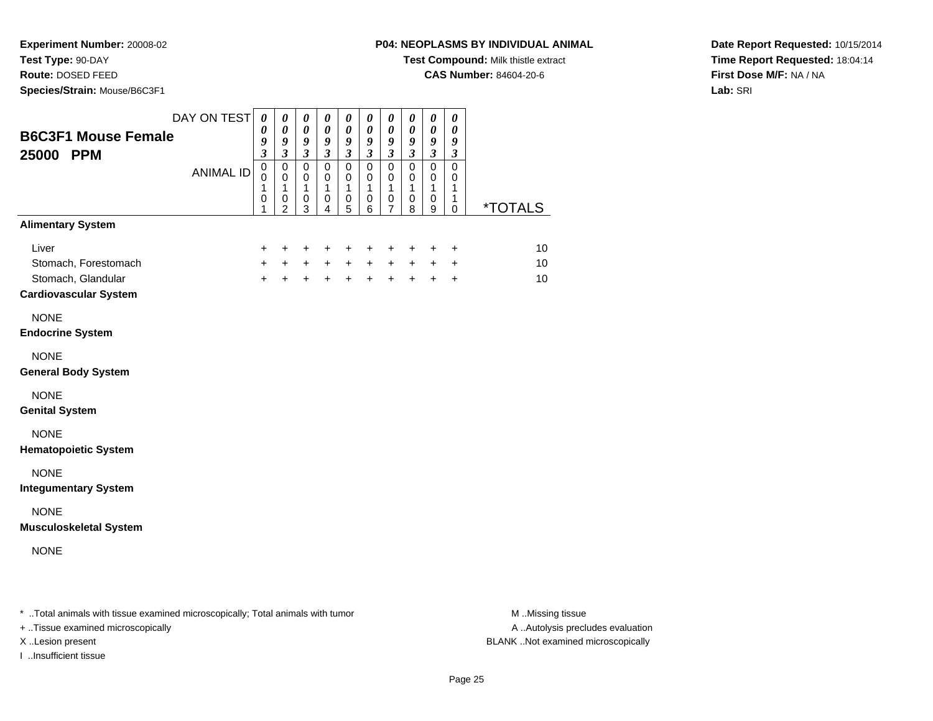**Test Type:** 90-DAY

**Route:** DOSED FEED

**Species/Strain:** Mouse/B6C3F1

**Test Compound:** Milk thistle extract

**CAS Number:** 84604-20-6

**Date Report Requested:** 10/15/2014**Time Report Requested:** 18:04:14**First Dose M/F:** NA / NA**Lab:** SRI

| <b>B6C3F1 Mouse Female</b><br>25000 PPM<br><b>Alimentary System</b> | DAY ON TEST<br><b>ANIMAL ID</b> | 0<br>$\boldsymbol{\theta}$<br>9<br>$\boldsymbol{\mathfrak{z}}$<br>$\pmb{0}$<br>$\mathbf 0$<br>1<br>$\mathbf 0$<br>1 | 0<br>0<br>9<br>$\mathfrak{z}$<br>$\mathbf 0$<br>$\pmb{0}$<br>$\mathbf{1}$<br>$\,0\,$<br>$\overline{2}$ | 0<br>$\boldsymbol{\theta}$<br>$\boldsymbol{g}$<br>$\mathfrak{z}$<br>$\mathsf 0$<br>0<br>$\mathbf{1}$<br>$\mathbf 0$<br>3 | 0<br>$\boldsymbol{\theta}$<br>$\boldsymbol{9}$<br>$\mathfrak{z}$<br>$\overline{0}$<br>$\mathbf 0$<br>$\mathbf{1}$<br>0<br>4 | 0<br>$\boldsymbol{\theta}$<br>$\boldsymbol{g}$<br>$\mathfrak{z}$<br>$\mathsf 0$<br>$\pmb{0}$<br>$\mathbf{1}$<br>$\pmb{0}$<br>5 | 0<br>$\boldsymbol{\theta}$<br>$\boldsymbol{g}$<br>$\mathfrak{z}$<br>$\pmb{0}$<br>$\pmb{0}$<br>$\mathbf{1}$<br>$\,0\,$<br>6 | 0<br>$\boldsymbol{\theta}$<br>$\boldsymbol{g}$<br>$\mathfrak{z}$<br>$\mathbf 0$<br>0<br>$\mathbf{1}$<br>$\pmb{0}$<br>$\overline{7}$ | 0<br>0<br>$\boldsymbol{g}$<br>$\mathfrak{z}$<br>$\pmb{0}$<br>0<br>$\mathbf{1}$<br>$\,0\,$<br>8 | 0<br>$\pmb{\theta}$<br>$\pmb{9}$<br>$\mathfrak{z}$<br>$\mathbf 0$<br>$\pmb{0}$<br>$\mathbf{1}$<br>$\,0\,$<br>9 | 0<br>0<br>9<br>$\mathfrak{z}$<br>$\mathbf 0$<br>0<br>$\mathbf{1}$<br>1<br>0 | <i><b>*TOTALS</b></i> |
|---------------------------------------------------------------------|---------------------------------|---------------------------------------------------------------------------------------------------------------------|--------------------------------------------------------------------------------------------------------|--------------------------------------------------------------------------------------------------------------------------|-----------------------------------------------------------------------------------------------------------------------------|--------------------------------------------------------------------------------------------------------------------------------|----------------------------------------------------------------------------------------------------------------------------|-------------------------------------------------------------------------------------------------------------------------------------|------------------------------------------------------------------------------------------------|----------------------------------------------------------------------------------------------------------------|-----------------------------------------------------------------------------|-----------------------|
|                                                                     |                                 |                                                                                                                     |                                                                                                        |                                                                                                                          |                                                                                                                             |                                                                                                                                |                                                                                                                            |                                                                                                                                     |                                                                                                |                                                                                                                |                                                                             |                       |
| Liver<br>Stomach, Forestomach                                       |                                 | +<br>$+$                                                                                                            | $\ddot{}$<br>$+$                                                                                       | $\ddot{}$<br>$+$                                                                                                         | $\ddot{}$<br>$+$                                                                                                            | $\ddot{}$<br>$+$                                                                                                               | +<br>$+$                                                                                                                   | +<br>$+$                                                                                                                            | +<br>$+$                                                                                       | +<br>$+$                                                                                                       | $\ddot{}$<br>$\ddot{}$                                                      | 10<br>10              |
| Stomach, Glandular                                                  |                                 | $\ddot{+}$                                                                                                          | $+$                                                                                                    | $+$                                                                                                                      | $+$                                                                                                                         | $+$                                                                                                                            | $+$                                                                                                                        | $+$                                                                                                                                 | $+$                                                                                            | $+$                                                                                                            | $+$                                                                         | 10                    |
| <b>Cardiovascular System</b>                                        |                                 |                                                                                                                     |                                                                                                        |                                                                                                                          |                                                                                                                             |                                                                                                                                |                                                                                                                            |                                                                                                                                     |                                                                                                |                                                                                                                |                                                                             |                       |
| <b>NONE</b>                                                         |                                 |                                                                                                                     |                                                                                                        |                                                                                                                          |                                                                                                                             |                                                                                                                                |                                                                                                                            |                                                                                                                                     |                                                                                                |                                                                                                                |                                                                             |                       |
| <b>Endocrine System</b>                                             |                                 |                                                                                                                     |                                                                                                        |                                                                                                                          |                                                                                                                             |                                                                                                                                |                                                                                                                            |                                                                                                                                     |                                                                                                |                                                                                                                |                                                                             |                       |
| <b>NONE</b><br><b>General Body System</b>                           |                                 |                                                                                                                     |                                                                                                        |                                                                                                                          |                                                                                                                             |                                                                                                                                |                                                                                                                            |                                                                                                                                     |                                                                                                |                                                                                                                |                                                                             |                       |
| <b>NONE</b><br><b>Genital System</b>                                |                                 |                                                                                                                     |                                                                                                        |                                                                                                                          |                                                                                                                             |                                                                                                                                |                                                                                                                            |                                                                                                                                     |                                                                                                |                                                                                                                |                                                                             |                       |
| <b>NONE</b><br><b>Hematopoietic System</b>                          |                                 |                                                                                                                     |                                                                                                        |                                                                                                                          |                                                                                                                             |                                                                                                                                |                                                                                                                            |                                                                                                                                     |                                                                                                |                                                                                                                |                                                                             |                       |
| <b>NONE</b><br><b>Integumentary System</b>                          |                                 |                                                                                                                     |                                                                                                        |                                                                                                                          |                                                                                                                             |                                                                                                                                |                                                                                                                            |                                                                                                                                     |                                                                                                |                                                                                                                |                                                                             |                       |
| <b>NONE</b><br><b>Musculoskeletal System</b>                        |                                 |                                                                                                                     |                                                                                                        |                                                                                                                          |                                                                                                                             |                                                                                                                                |                                                                                                                            |                                                                                                                                     |                                                                                                |                                                                                                                |                                                                             |                       |
| <b>NONE</b>                                                         |                                 |                                                                                                                     |                                                                                                        |                                                                                                                          |                                                                                                                             |                                                                                                                                |                                                                                                                            |                                                                                                                                     |                                                                                                |                                                                                                                |                                                                             |                       |
|                                                                     |                                 |                                                                                                                     |                                                                                                        |                                                                                                                          |                                                                                                                             |                                                                                                                                |                                                                                                                            |                                                                                                                                     |                                                                                                |                                                                                                                |                                                                             |                       |

\* ..Total animals with tissue examined microscopically; Total animals with tumor **M** . Missing tissue M ..Missing tissue

+ ..Tissue examined microscopically

I ..Insufficient tissue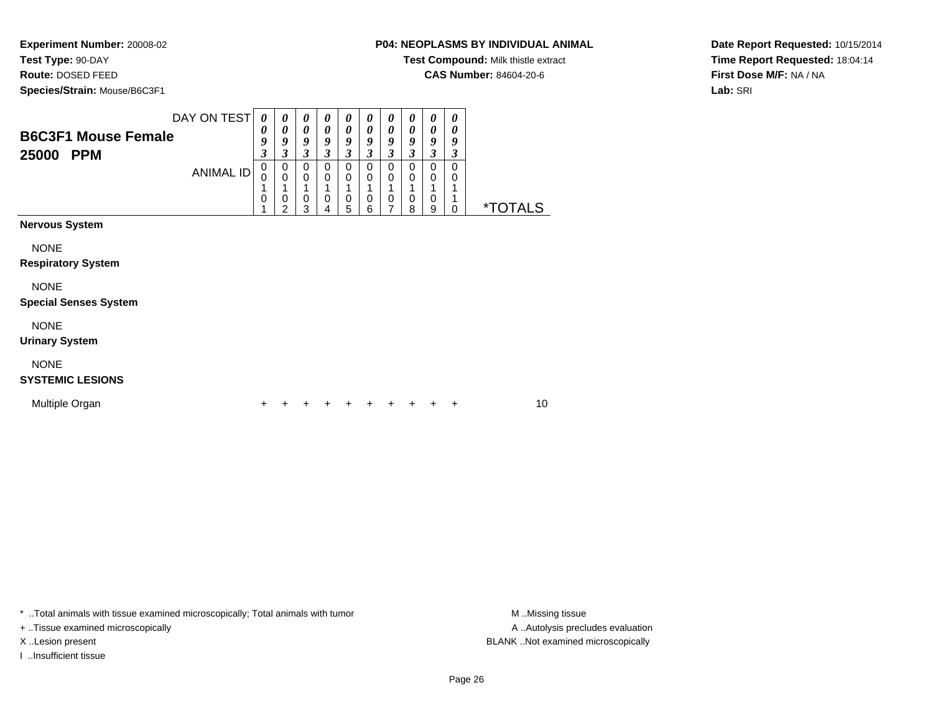**Test Type:** 90-DAY**Route:** DOSED FEED

**Species/Strain:** Mouse/B6C3F1

**P04: NEOPLASMS BY INDIVIDUAL ANIMAL**

**Test Compound:** Milk thistle extract

**CAS Number:** 84604-20-6

**Date Report Requested:** 10/15/2014**Time Report Requested:** 18:04:14**First Dose M/F:** NA / NA**Lab:** SRI

| <b>B6C3F1 Mouse Female</b><br>25000 PPM     | DAY ON TEST<br><b>ANIMAL ID</b> | 0<br>0<br>9<br>3<br>$\mathbf 0$<br>0<br>1<br>0<br>1 | 0<br>0<br>9<br>3<br>0<br>$\mathbf 0$<br>0<br>$\mathcal{P}$ | 0<br>$\boldsymbol{\theta}$<br>9<br>3<br>0<br>$\mathbf 0$<br>1<br>0<br>3 | 0<br>0<br>9<br>3<br>0<br>0<br>0<br>4 | 0<br>0<br>9<br>3<br>$\Omega$<br>0<br>$\pmb{0}$<br>5 | 0<br>$\boldsymbol{\theta}$<br>9<br>3<br>$\Omega$<br>$\mathbf 0$<br>$\mathbf 0$<br>6 | 0<br>0<br>9<br>3<br>$\Omega$<br>0<br>1<br>0<br>7 | 0<br>$\boldsymbol{\theta}$<br>9<br>3<br>$\Omega$<br>0<br>1<br>$\mathbf 0$<br>8 | $\boldsymbol{\theta}$<br>0<br>9<br>3<br>$\Omega$<br>$\mathbf 0$<br>1<br>0<br>9 | 0<br>$\boldsymbol{\theta}$<br>9<br>3<br>$\Omega$<br>0<br>1<br>1<br>$\mathbf 0$ | <i><b>*TOTALS</b></i> |    |
|---------------------------------------------|---------------------------------|-----------------------------------------------------|------------------------------------------------------------|-------------------------------------------------------------------------|--------------------------------------|-----------------------------------------------------|-------------------------------------------------------------------------------------|--------------------------------------------------|--------------------------------------------------------------------------------|--------------------------------------------------------------------------------|--------------------------------------------------------------------------------|-----------------------|----|
| <b>Nervous System</b>                       |                                 |                                                     |                                                            |                                                                         |                                      |                                                     |                                                                                     |                                                  |                                                                                |                                                                                |                                                                                |                       |    |
| <b>NONE</b><br><b>Respiratory System</b>    |                                 |                                                     |                                                            |                                                                         |                                      |                                                     |                                                                                     |                                                  |                                                                                |                                                                                |                                                                                |                       |    |
| <b>NONE</b><br><b>Special Senses System</b> |                                 |                                                     |                                                            |                                                                         |                                      |                                                     |                                                                                     |                                                  |                                                                                |                                                                                |                                                                                |                       |    |
| <b>NONE</b><br><b>Urinary System</b>        |                                 |                                                     |                                                            |                                                                         |                                      |                                                     |                                                                                     |                                                  |                                                                                |                                                                                |                                                                                |                       |    |
| <b>NONE</b><br><b>SYSTEMIC LESIONS</b>      |                                 |                                                     |                                                            |                                                                         |                                      |                                                     |                                                                                     |                                                  |                                                                                |                                                                                |                                                                                |                       |    |
| Multiple Organ                              |                                 |                                                     |                                                            |                                                                         |                                      |                                                     |                                                                                     |                                                  | ÷                                                                              | ÷                                                                              | ÷                                                                              |                       | 10 |

\* ..Total animals with tissue examined microscopically; Total animals with tumor **M** . Missing tissue M ..Missing tissue

+ ..Tissue examined microscopically

I ..Insufficient tissue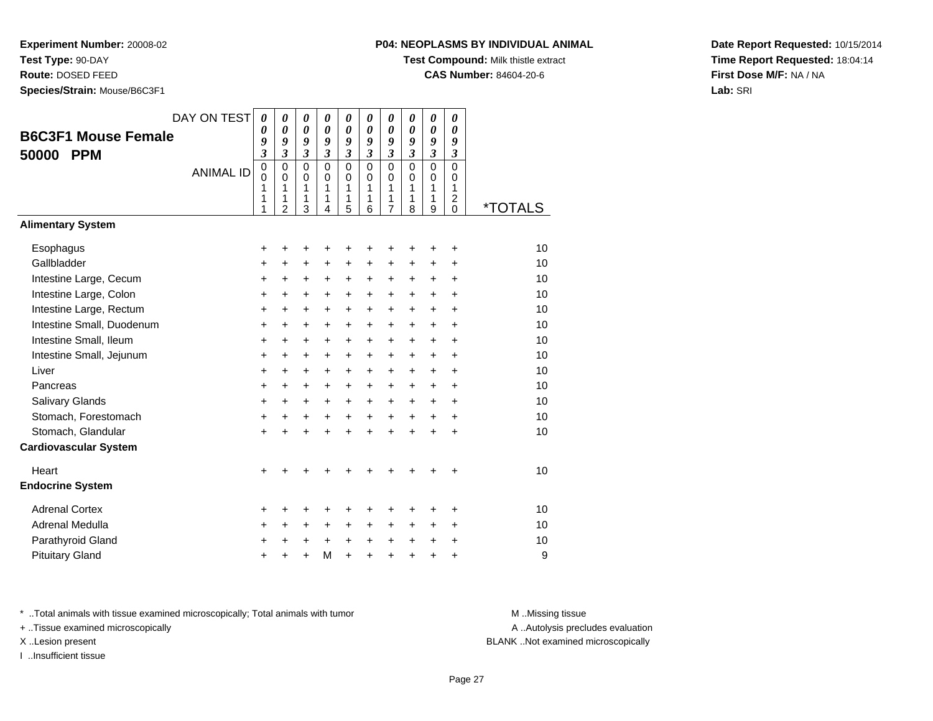**Test Type:** 90-DAY

**Route:** DOSED FEED

**Species/Strain:** Mouse/B6C3F1

**Test Compound:** Milk thistle extract

**CAS Number:** 84604-20-6

**Date Report Requested:** 10/15/2014**Time Report Requested:** 18:04:14**First Dose M/F:** NA / NA**Lab:** SRI

| <b>B6C3F1 Mouse Female</b><br>50000<br><b>PPM</b><br><b>Alimentary System</b> | DAY ON TEST<br><b>ANIMAL ID</b> | 0<br>0<br>9<br>$\mathfrak{z}$<br>$\pmb{0}$<br>$\mathbf 0$<br>1<br>1<br>1 | 0<br>$\boldsymbol{\theta}$<br>9<br>$\overline{\mathbf{3}}$<br>$\mathbf 0$<br>$\mathbf 0$<br>1<br>1<br>2 | 0<br>$\boldsymbol{\theta}$<br>9<br>$\mathfrak{z}$<br>$\mathbf 0$<br>$\mathbf 0$<br>1<br>1<br>3 | $\boldsymbol{\theta}$<br>$\boldsymbol{\theta}$<br>9<br>$\mathfrak{z}$<br>$\mathbf 0$<br>$\mathbf 0$<br>1<br>1<br>4 | 0<br>$\boldsymbol{\theta}$<br>9<br>$\overline{\mathbf{3}}$<br>$\mathbf 0$<br>$\mathbf 0$<br>1<br>1<br>5 | 0<br>$\boldsymbol{\theta}$<br>9<br>$\overline{\mathbf{3}}$<br>$\mathbf 0$<br>$\mathbf 0$<br>1<br>1<br>6 | 0<br>$\boldsymbol{\theta}$<br>$\boldsymbol{9}$<br>$\overline{\mathbf{3}}$<br>$\mathbf 0$<br>$\mathbf 0$<br>1<br>1<br>$\overline{7}$ | 0<br>$\boldsymbol{\theta}$<br>9<br>$\overline{\mathbf{3}}$<br>$\mathbf 0$<br>$\mathbf 0$<br>1<br>1<br>8 | 0<br>$\boldsymbol{\theta}$<br>9<br>$\overline{\mathbf{3}}$<br>$\overline{0}$<br>$\mathbf 0$<br>1<br>1<br>9 | 0<br>$\boldsymbol{\theta}$<br>9<br>$\mathfrak{z}$<br>$\mathbf 0$<br>$\mathbf 0$<br>1<br>2<br>$\Omega$ | <i><b>*TOTALS</b></i> |
|-------------------------------------------------------------------------------|---------------------------------|--------------------------------------------------------------------------|---------------------------------------------------------------------------------------------------------|------------------------------------------------------------------------------------------------|--------------------------------------------------------------------------------------------------------------------|---------------------------------------------------------------------------------------------------------|---------------------------------------------------------------------------------------------------------|-------------------------------------------------------------------------------------------------------------------------------------|---------------------------------------------------------------------------------------------------------|------------------------------------------------------------------------------------------------------------|-------------------------------------------------------------------------------------------------------|-----------------------|
|                                                                               |                                 |                                                                          |                                                                                                         |                                                                                                |                                                                                                                    |                                                                                                         |                                                                                                         |                                                                                                                                     |                                                                                                         |                                                                                                            |                                                                                                       |                       |
| Esophagus                                                                     |                                 | $\pm$                                                                    | +                                                                                                       | +                                                                                              | ٠                                                                                                                  | ٠                                                                                                       | ٠                                                                                                       | ٠                                                                                                                                   |                                                                                                         | +                                                                                                          | $\ddot{}$                                                                                             | 10                    |
| Gallbladder                                                                   |                                 | +                                                                        | $\ddot{}$                                                                                               | +                                                                                              | $\ddot{}$                                                                                                          | $\ddot{}$                                                                                               | +                                                                                                       | $\ddot{}$                                                                                                                           | $\ddot{}$                                                                                               | $\ddot{}$                                                                                                  | $\ddot{}$                                                                                             | 10                    |
| Intestine Large, Cecum                                                        |                                 | $\ddot{}$                                                                | $\ddot{}$                                                                                               | $\ddot{}$                                                                                      | $\ddot{}$                                                                                                          | $+$                                                                                                     | $\ddot{}$                                                                                               | $\ddot{}$                                                                                                                           | $\ddot{}$                                                                                               | $+$                                                                                                        | $\ddot{}$                                                                                             | 10<br>10              |
| Intestine Large, Colon<br>Intestine Large, Rectum                             |                                 | $\ddot{}$<br>$\ddot{}$                                                   | $\ddot{}$<br>+                                                                                          | $\ddot{}$<br>+                                                                                 | $\ddot{}$<br>+                                                                                                     | $\ddot{}$<br>$\ddot{}$                                                                                  | $\ddot{}$<br>$\ddot{}$                                                                                  | $\ddot{}$<br>+                                                                                                                      | $\ddot{}$<br>$\ddot{}$                                                                                  | $\ddot{}$<br>$\ddot{}$                                                                                     | $\ddot{}$<br>$\ddot{}$                                                                                | 10                    |
| Intestine Small, Duodenum                                                     |                                 | $\ddot{}$                                                                | $\ddot{}$                                                                                               | $\ddot{}$                                                                                      | $\ddot{}$                                                                                                          | $+$                                                                                                     | $\ddot{}$                                                                                               | $\ddot{}$                                                                                                                           | $+$                                                                                                     | $+$                                                                                                        | $\ddot{}$                                                                                             | 10                    |
| Intestine Small, Ileum                                                        |                                 | $\ddot{}$                                                                | +                                                                                                       | +                                                                                              | $\ddot{}$                                                                                                          | $+$                                                                                                     | $\ddot{}$                                                                                               | $\ddot{}$                                                                                                                           | $\ddot{}$                                                                                               | $+$                                                                                                        | $\ddot{}$                                                                                             | 10                    |
| Intestine Small, Jejunum                                                      |                                 | $\ddot{}$                                                                | $\ddot{}$                                                                                               | $\ddot{}$                                                                                      | $\ddot{}$                                                                                                          | $\ddot{}$                                                                                               | $\ddot{}$                                                                                               | $\ddot{}$                                                                                                                           | $\ddot{}$                                                                                               | $\ddot{}$                                                                                                  | $\ddot{}$                                                                                             | 10                    |
| Liver                                                                         |                                 | $\ddot{}$                                                                | +                                                                                                       | +                                                                                              | $\ddot{}$                                                                                                          | $\ddot{}$                                                                                               | +                                                                                                       | +                                                                                                                                   | $\ddot{}$                                                                                               | $\ddot{}$                                                                                                  | $\ddot{}$                                                                                             | 10                    |
| Pancreas                                                                      |                                 | $\ddot{}$                                                                | $\ddot{}$                                                                                               | $\ddot{}$                                                                                      | $\ddot{}$                                                                                                          | $\ddot{}$                                                                                               | $\ddot{}$                                                                                               | $\ddot{}$                                                                                                                           | $\ddot{}$                                                                                               | $\ddot{}$                                                                                                  | $\ddot{}$                                                                                             | 10                    |
| Salivary Glands                                                               |                                 | $\ddot{}$                                                                | $\ddot{}$                                                                                               | $\ddot{}$                                                                                      | $+$                                                                                                                | $+$                                                                                                     | $+$                                                                                                     | $\ddot{}$                                                                                                                           | $+$                                                                                                     | $+$                                                                                                        | $\ddot{}$                                                                                             | 10                    |
| Stomach, Forestomach                                                          |                                 | $\ddot{}$                                                                | $\ddot{}$                                                                                               | $\ddot{}$                                                                                      | $\ddot{}$                                                                                                          | $+$                                                                                                     | $+$                                                                                                     | $\ddot{}$                                                                                                                           | $+$                                                                                                     | $+$                                                                                                        | $\ddot{}$                                                                                             | 10                    |
| Stomach, Glandular                                                            |                                 | $\ddot{}$                                                                | $\ddot{}$                                                                                               | $\ddot{}$                                                                                      | $\ddot{}$                                                                                                          | $\ddot{}$                                                                                               | $\ddot{}$                                                                                               | $\ddot{}$                                                                                                                           |                                                                                                         | $\ddot{}$                                                                                                  | $\ddot{}$                                                                                             | 10                    |
| <b>Cardiovascular System</b>                                                  |                                 |                                                                          |                                                                                                         |                                                                                                |                                                                                                                    |                                                                                                         |                                                                                                         |                                                                                                                                     |                                                                                                         |                                                                                                            |                                                                                                       |                       |
| Heart                                                                         |                                 | $\pm$                                                                    |                                                                                                         | +                                                                                              |                                                                                                                    |                                                                                                         |                                                                                                         |                                                                                                                                     |                                                                                                         |                                                                                                            | +                                                                                                     | 10                    |
| <b>Endocrine System</b>                                                       |                                 |                                                                          |                                                                                                         |                                                                                                |                                                                                                                    |                                                                                                         |                                                                                                         |                                                                                                                                     |                                                                                                         |                                                                                                            |                                                                                                       |                       |
| <b>Adrenal Cortex</b>                                                         |                                 | +                                                                        | ٠                                                                                                       | ٠                                                                                              | ٠                                                                                                                  | ٠                                                                                                       | +                                                                                                       | +                                                                                                                                   | ٠                                                                                                       | +                                                                                                          | ٠                                                                                                     | 10                    |
| Adrenal Medulla                                                               |                                 | +                                                                        | $\ddot{}$                                                                                               | +                                                                                              | $\ddot{}$                                                                                                          | $\ddot{}$                                                                                               | +                                                                                                       | +                                                                                                                                   | $\ddot{}$                                                                                               | $\ddot{}$                                                                                                  | $\ddot{}$                                                                                             | 10                    |
| Parathyroid Gland                                                             |                                 | $\pm$                                                                    | +                                                                                                       | $\ddot{}$                                                                                      | $+$                                                                                                                | $+$                                                                                                     | $+$                                                                                                     | $\ddot{}$                                                                                                                           | $+$                                                                                                     | $+$                                                                                                        | $\ddot{}$                                                                                             | 10                    |
| <b>Pituitary Gland</b>                                                        |                                 | $\div$                                                                   | +                                                                                                       | $\ddot{}$                                                                                      | M                                                                                                                  | $\ddot{}$                                                                                               | +                                                                                                       | $\ddot{}$                                                                                                                           | ÷.                                                                                                      | ÷                                                                                                          | +                                                                                                     | 9                     |

\* ..Total animals with tissue examined microscopically; Total animals with tumor **M** . Missing tissue M ..Missing tissue

+ ..Tissue examined microscopically

I ..Insufficient tissue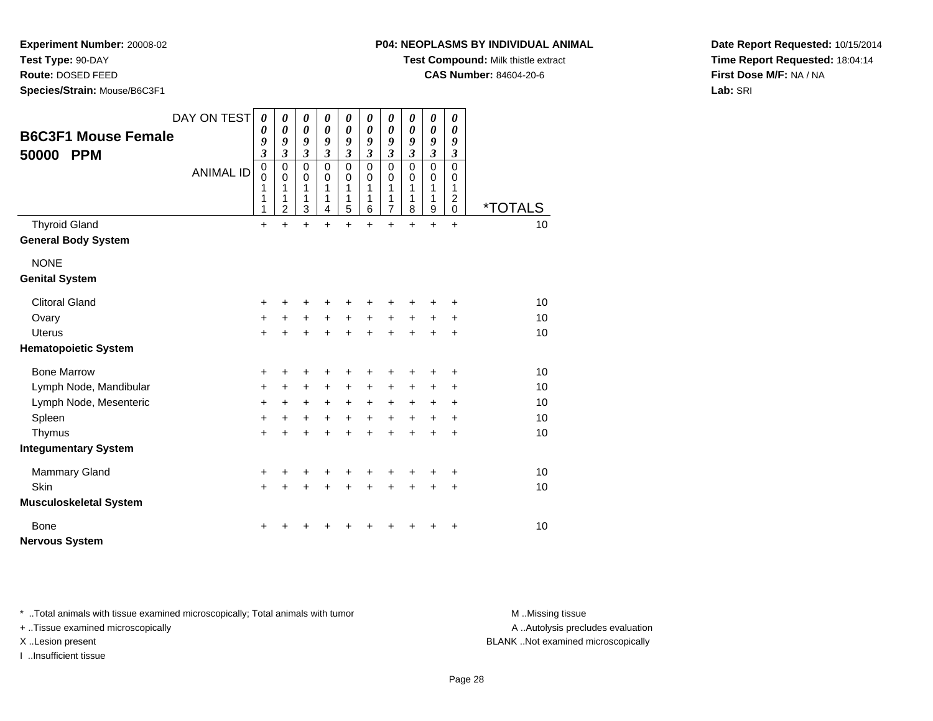**Test Type:** 90-DAY

**Route:** DOSED FEED

**Species/Strain:** Mouse/B6C3F1

## **P04: NEOPLASMS BY INDIVIDUAL ANIMAL**

**Test Compound:** Milk thistle extract

**CAS Number:** 84604-20-6

**Date Report Requested:** 10/15/2014**Time Report Requested:** 18:04:14**First Dose M/F:** NA / NA**Lab:** SRI

| <b>B6C3F1 Mouse Female</b><br><b>PPM</b><br>50000 | DAY ON TEST<br><b>ANIMAL ID</b> | $\boldsymbol{\theta}$<br>$\boldsymbol{\theta}$<br>9<br>$\mathfrak{z}$<br>$\mathbf 0$<br>$\mathbf 0$<br>1<br>1<br>1 | 0<br>$\boldsymbol{\theta}$<br>9<br>$\mathfrak{z}$<br>$\mathbf 0$<br>$\mathbf 0$<br>1<br>1<br>$\overline{2}$ | 0<br>$\boldsymbol{\theta}$<br>9<br>$\mathfrak{z}$<br>$\Omega$<br>$\pmb{0}$<br>1<br>1<br>3 | 0<br>$\boldsymbol{\theta}$<br>9<br>$\overline{3}$<br>$\Omega$<br>$\pmb{0}$<br>1<br>1<br>4 | 0<br>$\boldsymbol{\theta}$<br>9<br>$\mathfrak{z}$<br>$\mathbf 0$<br>$\mathbf 0$<br>1<br>1<br>5 | 0<br>$\boldsymbol{\theta}$<br>9<br>$\mathfrak{z}$<br>$\Omega$<br>$\mathbf 0$<br>1<br>1<br>6 | $\boldsymbol{\theta}$<br>$\boldsymbol{\theta}$<br>9<br>$\mathfrak{z}$<br>$\mathbf 0$<br>$\pmb{0}$<br>1<br>1<br>$\overline{7}$ | 0<br>0<br>9<br>$\mathfrak{z}$<br>$\mathbf 0$<br>$\mathbf 0$<br>1<br>1<br>8 | 0<br>$\pmb{\theta}$<br>9<br>$\overline{\mathbf{3}}$<br>$\mathbf 0$<br>$\mathbf 0$<br>1<br>1<br>9 | 0<br>0<br>9<br>$\mathfrak{z}$<br>$\mathbf 0$<br>0<br>1<br>$\overline{c}$<br>$\mathbf 0$ | <i><b>*TOTALS</b></i> |
|---------------------------------------------------|---------------------------------|--------------------------------------------------------------------------------------------------------------------|-------------------------------------------------------------------------------------------------------------|-------------------------------------------------------------------------------------------|-------------------------------------------------------------------------------------------|------------------------------------------------------------------------------------------------|---------------------------------------------------------------------------------------------|-------------------------------------------------------------------------------------------------------------------------------|----------------------------------------------------------------------------|--------------------------------------------------------------------------------------------------|-----------------------------------------------------------------------------------------|-----------------------|
| <b>Thyroid Gland</b>                              |                                 | +                                                                                                                  | $\ddot{}$                                                                                                   | $\ddot{}$                                                                                 | $\ddot{}$                                                                                 | $\ddot{}$                                                                                      | $\ddot{}$                                                                                   | $\ddot{}$                                                                                                                     | $\ddot{}$                                                                  | $\ddot{}$                                                                                        | $\ddot{}$                                                                               | 10                    |
| <b>General Body System</b>                        |                                 |                                                                                                                    |                                                                                                             |                                                                                           |                                                                                           |                                                                                                |                                                                                             |                                                                                                                               |                                                                            |                                                                                                  |                                                                                         |                       |
| <b>NONE</b>                                       |                                 |                                                                                                                    |                                                                                                             |                                                                                           |                                                                                           |                                                                                                |                                                                                             |                                                                                                                               |                                                                            |                                                                                                  |                                                                                         |                       |
| <b>Genital System</b>                             |                                 |                                                                                                                    |                                                                                                             |                                                                                           |                                                                                           |                                                                                                |                                                                                             |                                                                                                                               |                                                                            |                                                                                                  |                                                                                         |                       |
| <b>Clitoral Gland</b>                             |                                 | +                                                                                                                  |                                                                                                             | +                                                                                         | +                                                                                         | +                                                                                              | +                                                                                           | +                                                                                                                             |                                                                            | +                                                                                                | ÷                                                                                       | 10                    |
| Ovary                                             |                                 | $\ddot{}$                                                                                                          | +                                                                                                           | $\ddot{}$                                                                                 | $\ddot{}$                                                                                 | $\ddot{}$                                                                                      | $+$                                                                                         | $\ddot{}$                                                                                                                     | $\ddot{}$                                                                  | +                                                                                                | $\ddot{}$                                                                               | 10                    |
| <b>Uterus</b>                                     |                                 | $\ddot{}$                                                                                                          | ÷                                                                                                           | $\ddot{}$                                                                                 | $\ddot{}$                                                                                 | $+$                                                                                            | $\ddot{}$                                                                                   | $\ddot{}$                                                                                                                     | $+$                                                                        | $\ddot{}$                                                                                        | $\ddot{}$                                                                               | 10                    |
| <b>Hematopoietic System</b>                       |                                 |                                                                                                                    |                                                                                                             |                                                                                           |                                                                                           |                                                                                                |                                                                                             |                                                                                                                               |                                                                            |                                                                                                  |                                                                                         |                       |
| <b>Bone Marrow</b>                                |                                 | +                                                                                                                  | +                                                                                                           | +                                                                                         | +                                                                                         | +                                                                                              | +                                                                                           | +                                                                                                                             |                                                                            | +                                                                                                | +                                                                                       | 10                    |
| Lymph Node, Mandibular                            |                                 | +                                                                                                                  | $\ddot{}$                                                                                                   | $\ddot{}$                                                                                 | +                                                                                         | $\ddot{}$                                                                                      | $\ddot{}$                                                                                   | $\ddot{}$                                                                                                                     | +                                                                          | +                                                                                                | +                                                                                       | 10                    |
| Lymph Node, Mesenteric                            |                                 | +                                                                                                                  | +                                                                                                           | $\ddot{}$                                                                                 | $+$                                                                                       | $\ddot{}$                                                                                      | $+$                                                                                         | $\ddot{}$                                                                                                                     | $\ddot{}$                                                                  | $\ddot{}$                                                                                        | $\ddot{}$                                                                               | 10                    |
| Spleen                                            |                                 | $\ddot{}$                                                                                                          | $\ddot{}$                                                                                                   | $\ddot{}$                                                                                 | $\ddot{}$                                                                                 | $\ddot{}$                                                                                      | $\ddot{}$                                                                                   | $\ddot{}$                                                                                                                     | $\ddot{}$                                                                  | $\ddot{}$                                                                                        | $\ddot{}$                                                                               | 10                    |
| Thymus                                            |                                 | $\ddot{}$                                                                                                          | $\ddot{}$                                                                                                   | $\ddot{}$                                                                                 | $\ddot{}$                                                                                 | $\ddot{}$                                                                                      | $\ddot{}$                                                                                   | $\ddot{}$                                                                                                                     | $\ddot{}$                                                                  | $\ddot{}$                                                                                        | $\ddot{}$                                                                               | 10                    |
| <b>Integumentary System</b>                       |                                 |                                                                                                                    |                                                                                                             |                                                                                           |                                                                                           |                                                                                                |                                                                                             |                                                                                                                               |                                                                            |                                                                                                  |                                                                                         |                       |
| <b>Mammary Gland</b>                              |                                 | +                                                                                                                  | +                                                                                                           | +                                                                                         | +                                                                                         | +                                                                                              | +                                                                                           | +                                                                                                                             |                                                                            | +                                                                                                | +                                                                                       | 10                    |
| Skin                                              |                                 | $\ddot{}$                                                                                                          | $\ddot{}$                                                                                                   | $\ddot{}$                                                                                 | $\ddot{}$                                                                                 | $\ddot{}$                                                                                      | $\ddot{}$                                                                                   | $\ddot{}$                                                                                                                     | $+$                                                                        | $\ddot{}$                                                                                        | $\ddot{}$                                                                               | 10                    |
| <b>Musculoskeletal System</b>                     |                                 |                                                                                                                    |                                                                                                             |                                                                                           |                                                                                           |                                                                                                |                                                                                             |                                                                                                                               |                                                                            |                                                                                                  |                                                                                         |                       |
| <b>Bone</b>                                       |                                 | +                                                                                                                  |                                                                                                             |                                                                                           |                                                                                           |                                                                                                |                                                                                             |                                                                                                                               |                                                                            |                                                                                                  | +                                                                                       | 10                    |
| <b>Nervous System</b>                             |                                 |                                                                                                                    |                                                                                                             |                                                                                           |                                                                                           |                                                                                                |                                                                                             |                                                                                                                               |                                                                            |                                                                                                  |                                                                                         |                       |

\* ..Total animals with tissue examined microscopically; Total animals with tumor **M** . Missing tissue M ..Missing tissue

+ ..Tissue examined microscopically

I ..Insufficient tissue

A ..Autolysis precludes evaluation